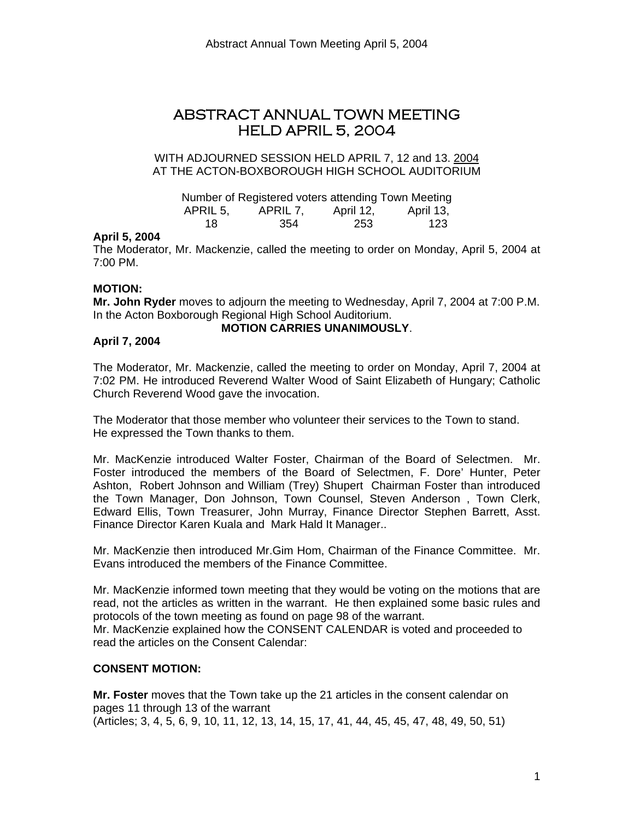# ABSTRACT ANNUAL TOWN MEETING HELD APRIL 5, 2004

#### WITH ADJOURNED SESSION HELD APRIL 7, 12 and 13. 2004 AT THE ACTON-BOXBOROUGH HIGH SCHOOL AUDITORIUM

|          | Number of Registered voters attending Town Meeting |           |           |
|----------|----------------------------------------------------|-----------|-----------|
| APRIL 5. | APRIL 7.                                           | April 12. | April 13, |
| 18       | -354                                               | -253      | 123       |

#### **April 5, 2004**

The Moderator, Mr. Mackenzie, called the meeting to order on Monday, April 5, 2004 at 7:00 PM.

#### **MOTION:**

**Mr. John Ryder** moves to adjourn the meeting to Wednesday, April 7, 2004 at 7:00 P.M. In the Acton Boxborough Regional High School Auditorium.

#### **MOTION CARRIES UNANIMOUSLY**.

#### **April 7, 2004**

The Moderator, Mr. Mackenzie, called the meeting to order on Monday, April 7, 2004 at 7:02 PM. He introduced Reverend Walter Wood of Saint Elizabeth of Hungary; Catholic Church Reverend Wood gave the invocation.

The Moderator that those member who volunteer their services to the Town to stand. He expressed the Town thanks to them.

Mr. MacKenzie introduced Walter Foster, Chairman of the Board of Selectmen. Mr. Foster introduced the members of the Board of Selectmen, F. Dore' Hunter, Peter Ashton, Robert Johnson and William (Trey) Shupert Chairman Foster than introduced the Town Manager, Don Johnson, Town Counsel, Steven Anderson , Town Clerk, Edward Ellis, Town Treasurer, John Murray, Finance Director Stephen Barrett, Asst. Finance Director Karen Kuala and Mark Hald It Manager..

Mr. MacKenzie then introduced Mr.Gim Hom, Chairman of the Finance Committee. Mr. Evans introduced the members of the Finance Committee.

Mr. MacKenzie informed town meeting that they would be voting on the motions that are read, not the articles as written in the warrant. He then explained some basic rules and protocols of the town meeting as found on page 98 of the warrant. Mr. MacKenzie explained how the CONSENT CALENDAR is voted and proceeded to read the articles on the Consent Calendar:

#### **CONSENT MOTION:**

**Mr. Foster** moves that the Town take up the 21 articles in the consent calendar on pages 11 through 13 of the warrant (Articles; 3, 4, 5, 6, 9, 10, 11, 12, 13, 14, 15, 17, 41, 44, 45, 45, 47, 48, 49, 50, 51)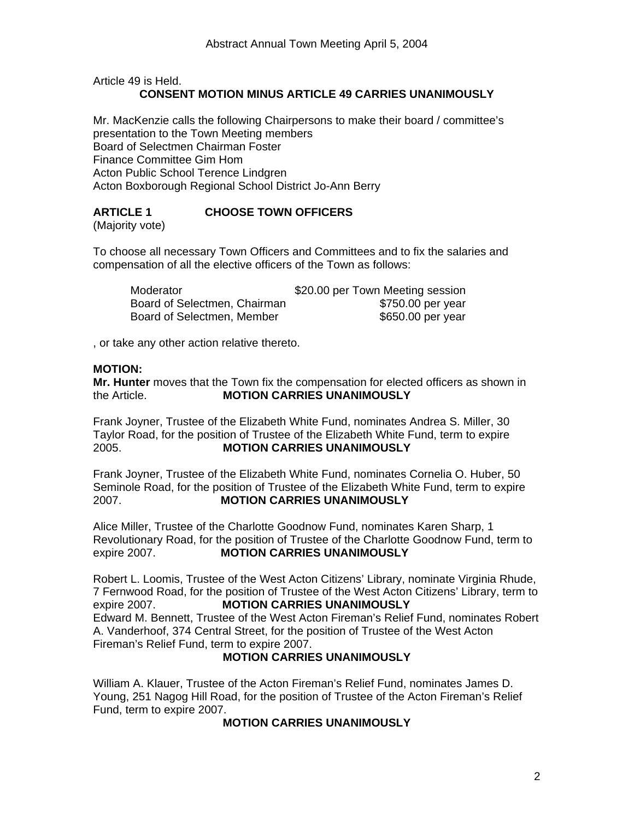Article 49 is Held. **CONSENT MOTION MINUS ARTICLE 49 CARRIES UNANIMOUSLY** 

Mr. MacKenzie calls the following Chairpersons to make their board / committee's presentation to the Town Meeting members Board of Selectmen Chairman Foster Finance Committee Gim Hom Acton Public School Terence Lindgren Acton Boxborough Regional School District Jo-Ann Berry

# **ARTICLE 1 CHOOSE TOWN OFFICERS**

(Majority vote)

To choose all necessary Town Officers and Committees and to fix the salaries and compensation of all the elective officers of the Town as follows:

| Moderator                    | \$20.00 per Town Meeting session |
|------------------------------|----------------------------------|
| Board of Selectmen, Chairman | \$750.00 per year                |
| Board of Selectmen, Member   | \$650.00 per year                |

, or take any other action relative thereto.

#### **MOTION:**

**Mr. Hunter** moves that the Town fix the compensation for elected officers as shown in the Article. **MOTION CARRIES UNANIMOUSLY**

Frank Joyner, Trustee of the Elizabeth White Fund, nominates Andrea S. Miller, 30 Taylor Road, for the position of Trustee of the Elizabeth White Fund, term to expire 2005. **MOTION CARRIES UNANIMOUSLY** 

Frank Joyner, Trustee of the Elizabeth White Fund, nominates Cornelia O. Huber, 50 Seminole Road, for the position of Trustee of the Elizabeth White Fund, term to expire 2007. **MOTION CARRIES UNANIMOUSLY** 

Alice Miller, Trustee of the Charlotte Goodnow Fund, nominates Karen Sharp, 1 Revolutionary Road, for the position of Trustee of the Charlotte Goodnow Fund, term to expire 2007. **MOTION CARRIES UNANIMOUSLY** 

Robert L. Loomis, Trustee of the West Acton Citizens' Library, nominate Virginia Rhude, 7 Fernwood Road, for the position of Trustee of the West Acton Citizens' Library, term to expire 2007. **MOTION CARRIES UNANIMOUSLY** Edward M. Bennett, Trustee of the West Acton Fireman's Relief Fund, nominates Robert A. Vanderhoof, 374 Central Street, for the position of Trustee of the West Acton Fireman's Relief Fund, term to expire 2007.

# **MOTION CARRIES UNANIMOUSLY**

William A. Klauer, Trustee of the Acton Fireman's Relief Fund, nominates James D. Young, 251 Nagog Hill Road, for the position of Trustee of the Acton Fireman's Relief Fund, term to expire 2007.

#### **MOTION CARRIES UNANIMOUSLY**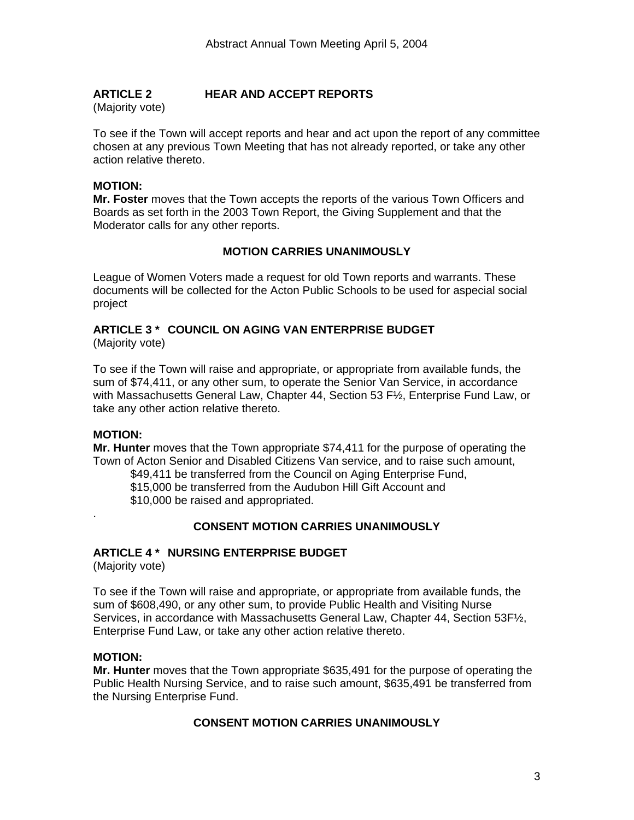# **ARTICLE 2 HEAR AND ACCEPT REPORTS**

(Majority vote)

To see if the Town will accept reports and hear and act upon the report of any committee chosen at any previous Town Meeting that has not already reported, or take any other action relative thereto.

# **MOTION:**

**Mr. Foster** moves that the Town accepts the reports of the various Town Officers and Boards as set forth in the 2003 Town Report, the Giving Supplement and that the Moderator calls for any other reports.

# **MOTION CARRIES UNANIMOUSLY**

League of Women Voters made a request for old Town reports and warrants. These documents will be collected for the Acton Public Schools to be used for aspecial social project

# **ARTICLE 3 \* COUNCIL ON AGING VAN ENTERPRISE BUDGET**

(Majority vote)

To see if the Town will raise and appropriate, or appropriate from available funds, the sum of \$74,411, or any other sum, to operate the Senior Van Service, in accordance with Massachusetts General Law, Chapter 44, Section 53 F½, Enterprise Fund Law, or take any other action relative thereto.

# **MOTION:**

.

**Mr. Hunter** moves that the Town appropriate \$74,411 for the purpose of operating the Town of Acton Senior and Disabled Citizens Van service, and to raise such amount,

\$49,411 be transferred from the Council on Aging Enterprise Fund, \$15,000 be transferred from the Audubon Hill Gift Account and \$10,000 be raised and appropriated.

# **CONSENT MOTION CARRIES UNANIMOUSLY**

# **ARTICLE 4 \* NURSING ENTERPRISE BUDGET**

(Majority vote)

To see if the Town will raise and appropriate, or appropriate from available funds, the sum of \$608,490, or any other sum, to provide Public Health and Visiting Nurse Services, in accordance with Massachusetts General Law, Chapter 44, Section 53F½, Enterprise Fund Law, or take any other action relative thereto.

#### **MOTION:**

**Mr. Hunter** moves that the Town appropriate \$635,491 for the purpose of operating the Public Health Nursing Service, and to raise such amount, \$635,491 be transferred from the Nursing Enterprise Fund.

# **CONSENT MOTION CARRIES UNANIMOUSLY**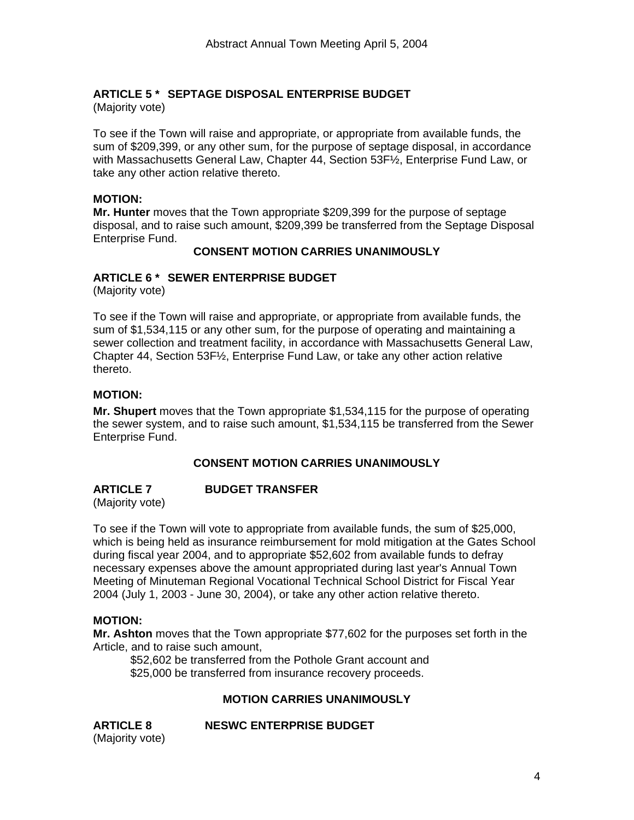# **ARTICLE 5 \* SEPTAGE DISPOSAL ENTERPRISE BUDGET**

(Majority vote)

To see if the Town will raise and appropriate, or appropriate from available funds, the sum of \$209,399, or any other sum, for the purpose of septage disposal, in accordance with Massachusetts General Law, Chapter 44, Section 53F½, Enterprise Fund Law, or take any other action relative thereto.

#### **MOTION:**

**Mr. Hunter** moves that the Town appropriate \$209,399 for the purpose of septage disposal, and to raise such amount, \$209,399 be transferred from the Septage Disposal Enterprise Fund.

# **CONSENT MOTION CARRIES UNANIMOUSLY**

#### **ARTICLE 6 \* SEWER ENTERPRISE BUDGET**

(Majority vote)

To see if the Town will raise and appropriate, or appropriate from available funds, the sum of \$1,534,115 or any other sum, for the purpose of operating and maintaining a sewer collection and treatment facility, in accordance with Massachusetts General Law, Chapter 44, Section 53F½, Enterprise Fund Law, or take any other action relative thereto.

#### **MOTION:**

**Mr. Shupert** moves that the Town appropriate \$1,534,115 for the purpose of operating the sewer system, and to raise such amount, \$1,534,115 be transferred from the Sewer Enterprise Fund.

## **CONSENT MOTION CARRIES UNANIMOUSLY**

**ARTICLE 7 BUDGET TRANSFER**  (Majority vote)

To see if the Town will vote to appropriate from available funds, the sum of \$25,000, which is being held as insurance reimbursement for mold mitigation at the Gates School during fiscal year 2004, and to appropriate \$52,602 from available funds to defray necessary expenses above the amount appropriated during last year's Annual Town Meeting of Minuteman Regional Vocational Technical School District for Fiscal Year 2004 (July 1, 2003 - June 30, 2004), or take any other action relative thereto.

#### **MOTION:**

**Mr. Ashton** moves that the Town appropriate \$77,602 for the purposes set forth in the Article, and to raise such amount,

 \$52,602 be transferred from the Pothole Grant account and \$25,000 be transferred from insurance recovery proceeds.

#### **MOTION CARRIES UNANIMOUSLY**

(Majority vote)

**ARTICLE 8 NESWC ENTERPRISE BUDGET**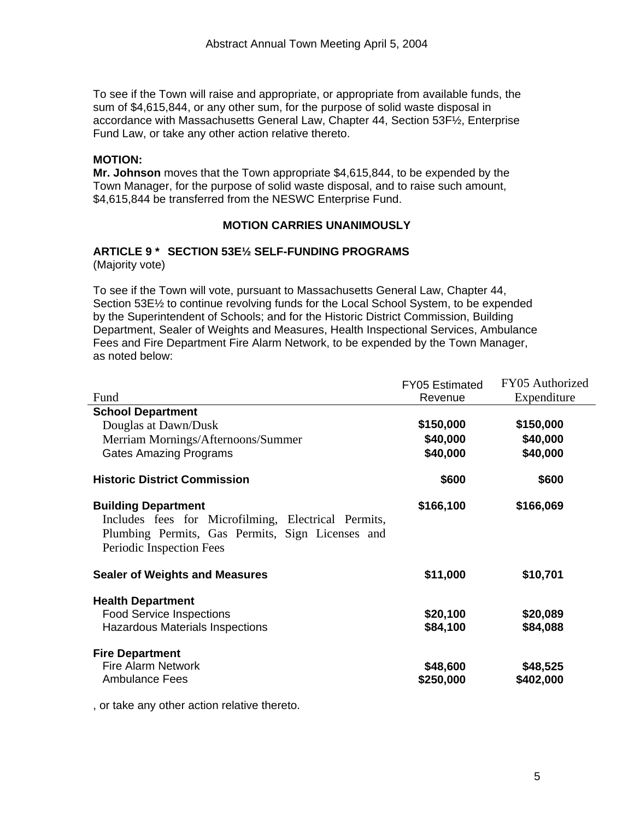To see if the Town will raise and appropriate, or appropriate from available funds, the sum of \$4,615,844, or any other sum, for the purpose of solid waste disposal in accordance with Massachusetts General Law, Chapter 44, Section 53F½, Enterprise Fund Law, or take any other action relative thereto.

#### **MOTION:**

**Mr. Johnson** moves that the Town appropriate \$4,615,844, to be expended by the Town Manager, for the purpose of solid waste disposal, and to raise such amount, \$4,615,844 be transferred from the NESWC Enterprise Fund.

#### **MOTION CARRIES UNANIMOUSLY**

#### **ARTICLE 9 \* SECTION 53E½ SELF-FUNDING PROGRAMS** (Majority vote)

To see if the Town will vote, pursuant to Massachusetts General Law, Chapter 44, Section 53E½ to continue revolving funds for the Local School System, to be expended by the Superintendent of Schools; and for the Historic District Commission, Building Department, Sealer of Weights and Measures, Health Inspectional Services, Ambulance Fees and Fire Department Fire Alarm Network, to be expended by the Town Manager, as noted below:

|                                                                                                                                                                   | <b>FY05 Estimated</b> | FY05 Authorized |
|-------------------------------------------------------------------------------------------------------------------------------------------------------------------|-----------------------|-----------------|
| Fund                                                                                                                                                              | Revenue               | Expenditure     |
| <b>School Department</b>                                                                                                                                          |                       |                 |
| Douglas at Dawn/Dusk                                                                                                                                              | \$150,000             | \$150,000       |
| Merriam Mornings/Afternoons/Summer                                                                                                                                | \$40,000              | \$40,000        |
| <b>Gates Amazing Programs</b>                                                                                                                                     | \$40,000              | \$40,000        |
| <b>Historic District Commission</b>                                                                                                                               | \$600                 | \$600           |
| <b>Building Department</b><br>Includes fees for Microfilming, Electrical Permits,<br>Plumbing Permits, Gas Permits, Sign Licenses and<br>Periodic Inspection Fees | \$166,100             | \$166,069       |
| <b>Sealer of Weights and Measures</b>                                                                                                                             | \$11,000              | \$10,701        |
| <b>Health Department</b>                                                                                                                                          |                       |                 |
| <b>Food Service Inspections</b>                                                                                                                                   | \$20,100              | \$20,089        |
| <b>Hazardous Materials Inspections</b>                                                                                                                            | \$84,100              | \$84,088        |
| <b>Fire Department</b>                                                                                                                                            |                       |                 |
| <b>Fire Alarm Network</b>                                                                                                                                         | \$48,600              | \$48,525        |
| <b>Ambulance Fees</b>                                                                                                                                             | \$250,000             | \$402,000       |

, or take any other action relative thereto.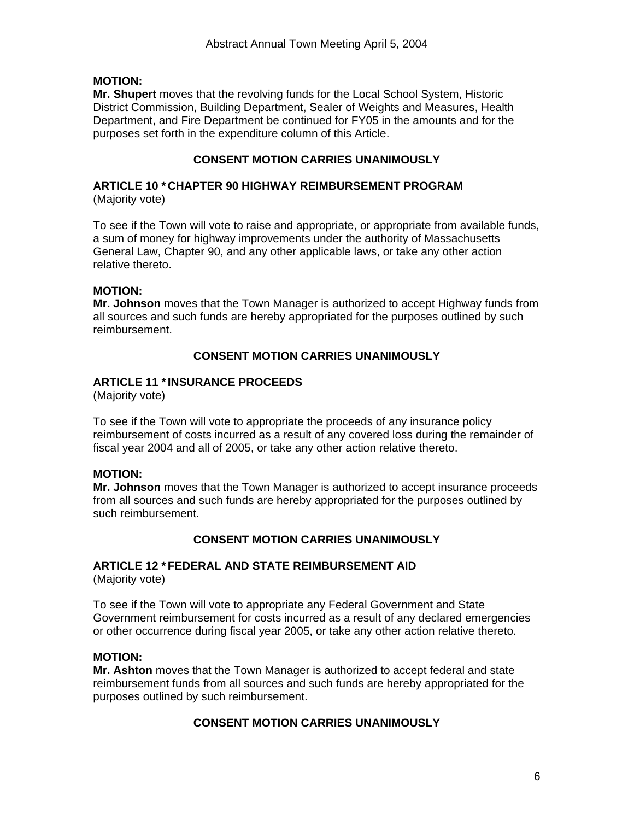# **MOTION:**

**Mr. Shupert** moves that the revolving funds for the Local School System, Historic District Commission, Building Department, Sealer of Weights and Measures, Health Department, and Fire Department be continued for FY05 in the amounts and for the purposes set forth in the expenditure column of this Article.

# **CONSENT MOTION CARRIES UNANIMOUSLY**

#### **ARTICLE 10 \* CHAPTER 90 HIGHWAY REIMBURSEMENT PROGRAM** (Majority vote)

To see if the Town will vote to raise and appropriate, or appropriate from available funds, a sum of money for highway improvements under the authority of Massachusetts General Law, Chapter 90, and any other applicable laws, or take any other action relative thereto.

# **MOTION:**

**Mr. Johnson** moves that the Town Manager is authorized to accept Highway funds from all sources and such funds are hereby appropriated for the purposes outlined by such reimbursement.

# **CONSENT MOTION CARRIES UNANIMOUSLY**

# **ARTICLE 11 \* INSURANCE PROCEEDS**

(Majority vote)

To see if the Town will vote to appropriate the proceeds of any insurance policy reimbursement of costs incurred as a result of any covered loss during the remainder of fiscal year 2004 and all of 2005, or take any other action relative thereto.

#### **MOTION:**

**Mr. Johnson** moves that the Town Manager is authorized to accept insurance proceeds from all sources and such funds are hereby appropriated for the purposes outlined by such reimbursement.

# **CONSENT MOTION CARRIES UNANIMOUSLY**

# **ARTICLE 12 \* FEDERAL AND STATE REIMBURSEMENT AID**

(Majority vote)

To see if the Town will vote to appropriate any Federal Government and State Government reimbursement for costs incurred as a result of any declared emergencies or other occurrence during fiscal year 2005, or take any other action relative thereto.

#### **MOTION:**

**Mr. Ashton** moves that the Town Manager is authorized to accept federal and state reimbursement funds from all sources and such funds are hereby appropriated for the purposes outlined by such reimbursement.

#### **CONSENT MOTION CARRIES UNANIMOUSLY**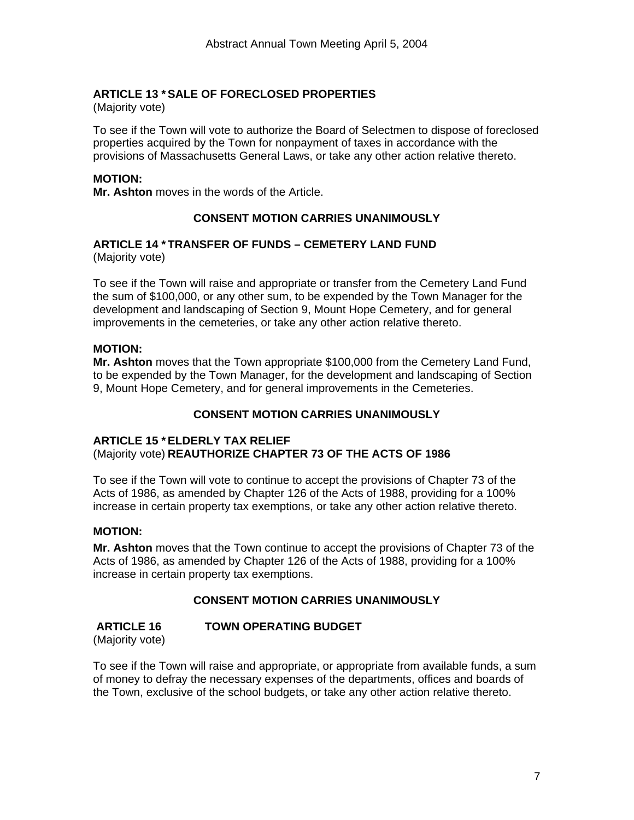# **ARTICLE 13 \* SALE OF FORECLOSED PROPERTIES**

(Majority vote)

To see if the Town will vote to authorize the Board of Selectmen to dispose of foreclosed properties acquired by the Town for nonpayment of taxes in accordance with the provisions of Massachusetts General Laws, or take any other action relative thereto.

#### **MOTION:**

**Mr. Ashton** moves in the words of the Article.

# **CONSENT MOTION CARRIES UNANIMOUSLY**

#### **ARTICLE 14 \* TRANSFER OF FUNDS – CEMETERY LAND FUND**  (Majority vote)

To see if the Town will raise and appropriate or transfer from the Cemetery Land Fund the sum of \$100,000, or any other sum, to be expended by the Town Manager for the development and landscaping of Section 9, Mount Hope Cemetery, and for general improvements in the cemeteries, or take any other action relative thereto.

#### **MOTION:**

**Mr. Ashton** moves that the Town appropriate \$100,000 from the Cemetery Land Fund, to be expended by the Town Manager, for the development and landscaping of Section 9, Mount Hope Cemetery, and for general improvements in the Cemeteries.

# **CONSENT MOTION CARRIES UNANIMOUSLY**

#### **ARTICLE 15 \* ELDERLY TAX RELIEF**  (Majority vote) **REAUTHORIZE CHAPTER 73 OF THE ACTS OF 1986**

To see if the Town will vote to continue to accept the provisions of Chapter 73 of the Acts of 1986, as amended by Chapter 126 of the Acts of 1988, providing for a 100% increase in certain property tax exemptions, or take any other action relative thereto.

#### **MOTION:**

**Mr. Ashton** moves that the Town continue to accept the provisions of Chapter 73 of the Acts of 1986, as amended by Chapter 126 of the Acts of 1988, providing for a 100% increase in certain property tax exemptions.

# **CONSENT MOTION CARRIES UNANIMOUSLY**

 **ARTICLE 16 TOWN OPERATING BUDGET** (Majority vote)

To see if the Town will raise and appropriate, or appropriate from available funds, a sum of money to defray the necessary expenses of the departments, offices and boards of the Town, exclusive of the school budgets, or take any other action relative thereto.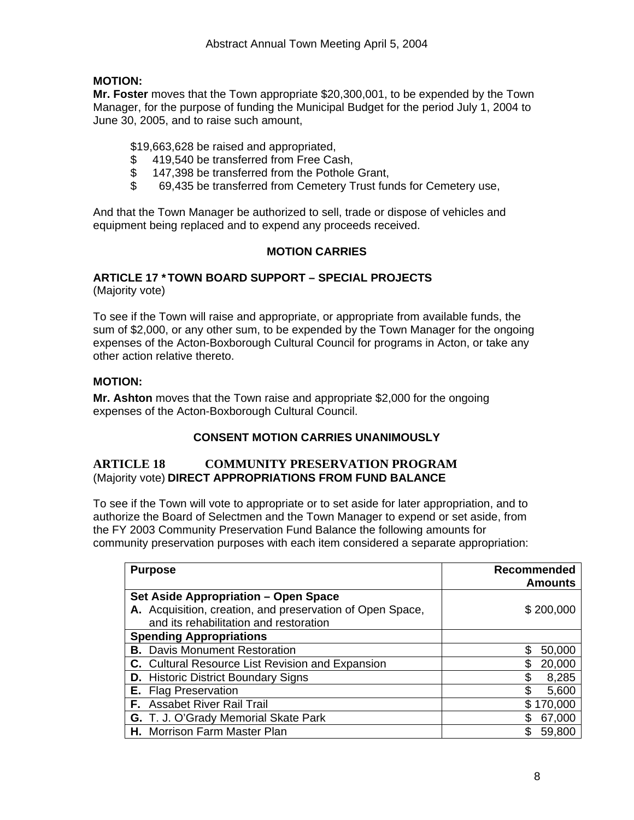# **MOTION:**

**Mr. Foster** moves that the Town appropriate \$20,300,001, to be expended by the Town Manager, for the purpose of funding the Municipal Budget for the period July 1, 2004 to June 30, 2005, and to raise such amount,

\$19,663,628 be raised and appropriated,

- \$ 419,540 be transferred from Free Cash,
- \$ 147,398 be transferred from the Pothole Grant,
- \$ 69,435 be transferred from Cemetery Trust funds for Cemetery use,

And that the Town Manager be authorized to sell, trade or dispose of vehicles and equipment being replaced and to expend any proceeds received.

# **MOTION CARRIES**

# **ARTICLE 17 \* TOWN BOARD SUPPORT – SPECIAL PROJECTS**

(Majority vote)

To see if the Town will raise and appropriate, or appropriate from available funds, the sum of \$2,000, or any other sum, to be expended by the Town Manager for the ongoing expenses of the Acton-Boxborough Cultural Council for programs in Acton, or take any other action relative thereto.

# **MOTION:**

**Mr. Ashton** moves that the Town raise and appropriate \$2,000 for the ongoing expenses of the Acton-Boxborough Cultural Council.

# **CONSENT MOTION CARRIES UNANIMOUSLY**

# **ARTICLE 18 COMMUNITY PRESERVATION PROGRAM**  (Majority vote) **DIRECT APPROPRIATIONS FROM FUND BALANCE**

To see if the Town will vote to appropriate or to set aside for later appropriation, and to authorize the Board of Selectmen and the Town Manager to expend or set aside, from the FY 2003 Community Preservation Fund Balance the following amounts for community preservation purposes with each item considered a separate appropriation:

| <b>Purpose</b>       |                                                                                                     | Recommended<br><b>Amounts</b> |
|----------------------|-----------------------------------------------------------------------------------------------------|-------------------------------|
|                      | Set Aside Appropriation – Open Space                                                                |                               |
|                      | A. Acquisition, creation, and preservation of Open Space,<br>and its rehabilitation and restoration | \$200,000                     |
|                      | <b>Spending Appropriations</b>                                                                      |                               |
|                      | <b>B.</b> Davis Monument Restoration                                                                | S<br>50,000                   |
|                      | C. Cultural Resource List Revision and Expansion                                                    | 20,000<br>\$                  |
|                      | <b>D.</b> Historic District Boundary Signs                                                          | 8,285<br>S                    |
| E. Flag Preservation |                                                                                                     | 5,600<br>S                    |
|                      | <b>F.</b> Assabet River Rail Trail                                                                  | \$170,000                     |
|                      | G. T. J. O'Grady Memorial Skate Park                                                                | 67,000                        |
|                      | H. Morrison Farm Master Plan                                                                        | \$<br>59,800                  |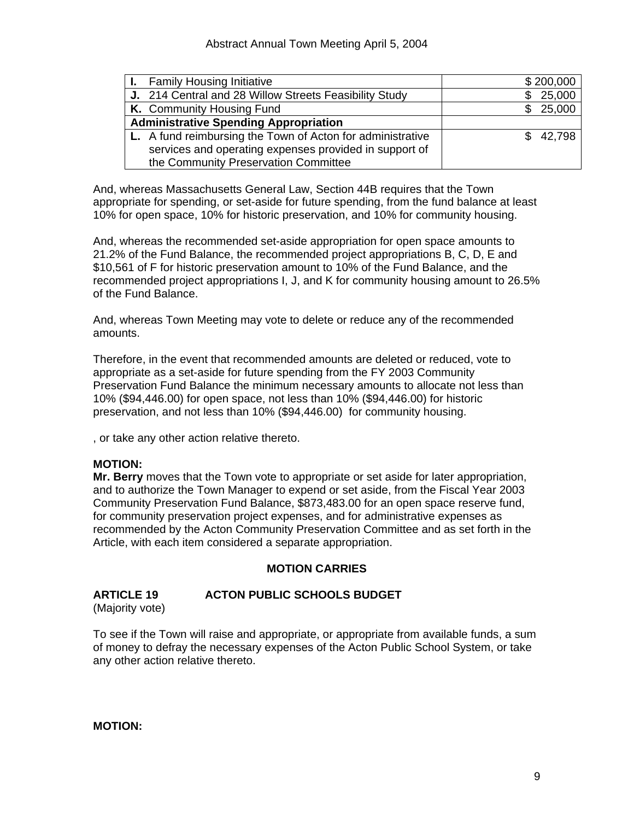| <b>I.</b> Family Housing Initiative                        | \$200,000 |
|------------------------------------------------------------|-----------|
| J. 214 Central and 28 Willow Streets Feasibility Study     | 25,000    |
| K. Community Housing Fund                                  | \$25,000  |
| <b>Administrative Spending Appropriation</b>               |           |
| L. A fund reimbursing the Town of Acton for administrative | \$42,798  |
| services and operating expenses provided in support of     |           |
| the Community Preservation Committee                       |           |

And, whereas Massachusetts General Law, Section 44B requires that the Town appropriate for spending, or set-aside for future spending, from the fund balance at least 10% for open space, 10% for historic preservation, and 10% for community housing.

And, whereas the recommended set-aside appropriation for open space amounts to 21.2% of the Fund Balance, the recommended project appropriations B, C, D, E and \$10,561 of F for historic preservation amount to 10% of the Fund Balance, and the recommended project appropriations I, J, and K for community housing amount to 26.5% of the Fund Balance.

And, whereas Town Meeting may vote to delete or reduce any of the recommended amounts.

Therefore, in the event that recommended amounts are deleted or reduced, vote to appropriate as a set-aside for future spending from the FY 2003 Community Preservation Fund Balance the minimum necessary amounts to allocate not less than 10% (\$94,446.00) for open space, not less than 10% (\$94,446.00) for historic preservation, and not less than 10% (\$94,446.00) for community housing.

, or take any other action relative thereto.

#### **MOTION:**

**Mr. Berry** moves that the Town vote to appropriate or set aside for later appropriation, and to authorize the Town Manager to expend or set aside, from the Fiscal Year 2003 Community Preservation Fund Balance, \$873,483.00 for an open space reserve fund, for community preservation project expenses, and for administrative expenses as recommended by the Acton Community Preservation Committee and as set forth in the Article, with each item considered a separate appropriation.

# **MOTION CARRIES**

# **ARTICLE 19 ACTON PUBLIC SCHOOLS BUDGET**

(Majority vote)

To see if the Town will raise and appropriate, or appropriate from available funds, a sum of money to defray the necessary expenses of the Acton Public School System, or take any other action relative thereto.

**MOTION:**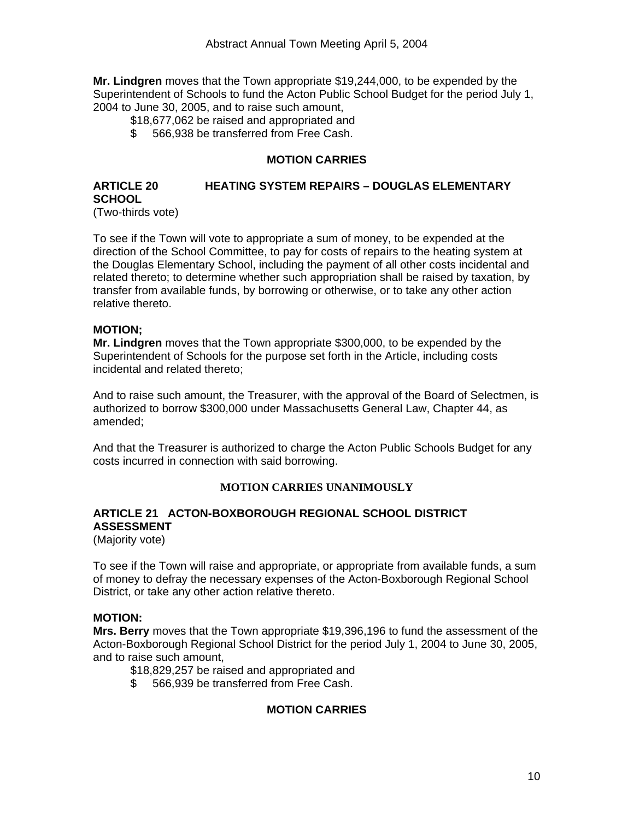**Mr. Lindgren** moves that the Town appropriate \$19,244,000, to be expended by the Superintendent of Schools to fund the Acton Public School Budget for the period July 1, 2004 to June 30, 2005, and to raise such amount,

\$18,677,062 be raised and appropriated and

\$ 566,938 be transferred from Free Cash.

# **MOTION CARRIES**

#### **ARTICLE 20 HEATING SYSTEM REPAIRS – DOUGLAS ELEMENTARY SCHOOL**  (Two-thirds vote)

To see if the Town will vote to appropriate a sum of money, to be expended at the direction of the School Committee, to pay for costs of repairs to the heating system at the Douglas Elementary School, including the payment of all other costs incidental and related thereto; to determine whether such appropriation shall be raised by taxation, by transfer from available funds, by borrowing or otherwise, or to take any other action relative thereto.

#### **MOTION;**

**Mr. Lindgren** moves that the Town appropriate \$300,000, to be expended by the Superintendent of Schools for the purpose set forth in the Article, including costs incidental and related thereto;

And to raise such amount, the Treasurer, with the approval of the Board of Selectmen, is authorized to borrow \$300,000 under Massachusetts General Law, Chapter 44, as amended;

And that the Treasurer is authorized to charge the Acton Public Schools Budget for any costs incurred in connection with said borrowing.

#### **MOTION CARRIES UNANIMOUSLY**

# **ARTICLE 21 ACTON-BOXBOROUGH REGIONAL SCHOOL DISTRICT ASSESSMENT**

(Majority vote)

To see if the Town will raise and appropriate, or appropriate from available funds, a sum of money to defray the necessary expenses of the Acton-Boxborough Regional School District, or take any other action relative thereto.

#### **MOTION:**

**Mrs. Berry** moves that the Town appropriate \$19,396,196 to fund the assessment of the Acton-Boxborough Regional School District for the period July 1, 2004 to June 30, 2005, and to raise such amount,

\$18,829,257 be raised and appropriated and

\$ 566,939 be transferred from Free Cash.

# **MOTION CARRIES**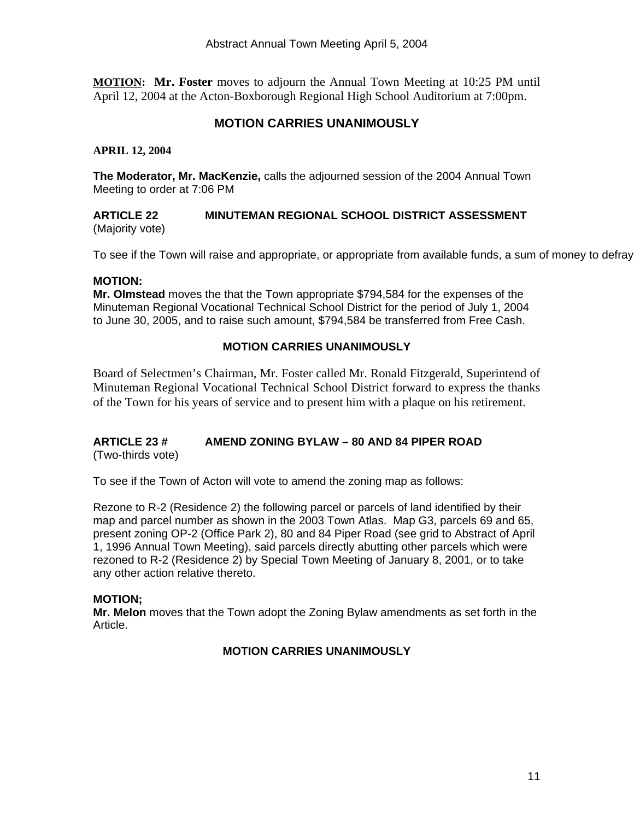**MOTION: Mr. Foster** moves to adjourn the Annual Town Meeting at 10:25 PM until April 12, 2004 at the Acton-Boxborough Regional High School Auditorium at 7:00pm.

# **MOTION CARRIES UNANIMOUSLY**

**APRIL 12, 2004** 

**The Moderator, Mr. MacKenzie,** calls the adjourned session of the 2004 Annual Town Meeting to order at 7:06 PM

#### **ARTICLE 22 MINUTEMAN REGIONAL SCHOOL DISTRICT ASSESSMENT**  (Majority vote)

To see if the Town will raise and appropriate, or appropriate from available funds, a sum of money to defray

#### **MOTION:**

**Mr. Olmstead** moves the that the Town appropriate \$794,584 for the expenses of the Minuteman Regional Vocational Technical School District for the period of July 1, 2004 to June 30, 2005, and to raise such amount, \$794,584 be transferred from Free Cash.

#### **MOTION CARRIES UNANIMOUSLY**

Board of Selectmen's Chairman, Mr. Foster called Mr. Ronald Fitzgerald, Superintend of Minuteman Regional Vocational Technical School District forward to express the thanks of the Town for his years of service and to present him with a plaque on his retirement.

# **ARTICLE 23 # AMEND ZONING BYLAW – 80 AND 84 PIPER ROAD**

(Two-thirds vote)

To see if the Town of Acton will vote to amend the zoning map as follows:

Rezone to R-2 (Residence 2) the following parcel or parcels of land identified by their map and parcel number as shown in the 2003 Town Atlas. Map G3, parcels 69 and 65, present zoning OP-2 (Office Park 2), 80 and 84 Piper Road (see grid to Abstract of April 1, 1996 Annual Town Meeting), said parcels directly abutting other parcels which were rezoned to R-2 (Residence 2) by Special Town Meeting of January 8, 2001, or to take any other action relative thereto.

#### **MOTION;**

**Mr. Melon** moves that the Town adopt the Zoning Bylaw amendments as set forth in the Article.

#### **MOTION CARRIES UNANIMOUSLY**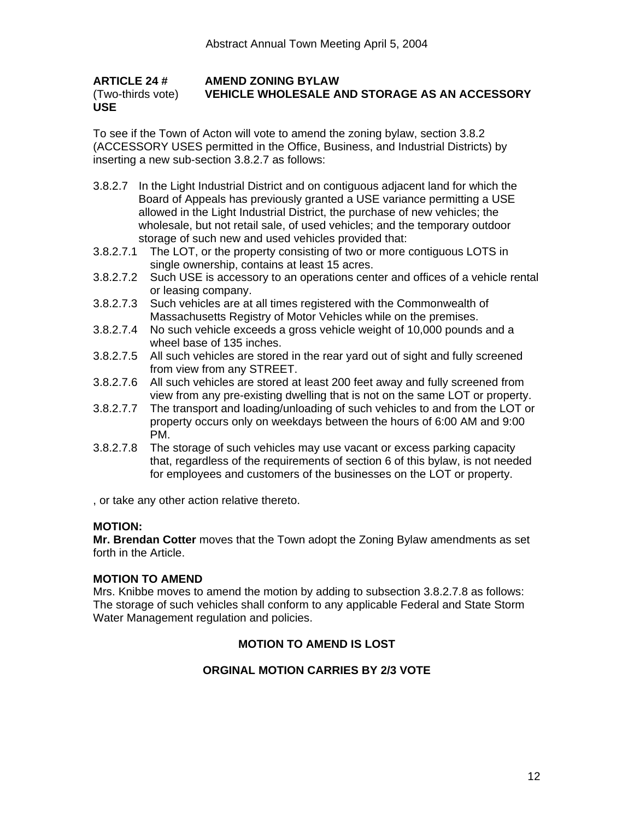**ARTICLE 24 # AMEND ZONING BYLAW**  (Two-thirds vote) **VEHICLE WHOLESALE AND STORAGE AS AN ACCESSORY USE**

To see if the Town of Acton will vote to amend the zoning bylaw, section 3.8.2 (ACCESSORY USES permitted in the Office, Business, and Industrial Districts) by inserting a new sub-section 3.8.2.7 as follows:

- 3.8.2.7 In the Light Industrial District and on contiguous adjacent land for which the Board of Appeals has previously granted a USE variance permitting a USE allowed in the Light Industrial District, the purchase of new vehicles; the wholesale, but not retail sale, of used vehicles; and the temporary outdoor storage of such new and used vehicles provided that:
- 3.8.2.7.1 The LOT, or the property consisting of two or more contiguous LOTS in single ownership, contains at least 15 acres.
- 3.8.2.7.2 Such USE is accessory to an operations center and offices of a vehicle rental or leasing company.
- 3.8.2.7.3 Such vehicles are at all times registered with the Commonwealth of Massachusetts Registry of Motor Vehicles while on the premises.
- 3.8.2.7.4 No such vehicle exceeds a gross vehicle weight of 10,000 pounds and a wheel base of 135 inches.
- 3.8.2.7.5 All such vehicles are stored in the rear yard out of sight and fully screened from view from any STREET.
- 3.8.2.7.6 All such vehicles are stored at least 200 feet away and fully screened from view from any pre-existing dwelling that is not on the same LOT or property.
- 3.8.2.7.7 The transport and loading/unloading of such vehicles to and from the LOT or property occurs only on weekdays between the hours of 6:00 AM and 9:00 PM.
- 3.8.2.7.8 The storage of such vehicles may use vacant or excess parking capacity that, regardless of the requirements of section 6 of this bylaw, is not needed for employees and customers of the businesses on the LOT or property.

, or take any other action relative thereto.

#### **MOTION:**

**Mr. Brendan Cotter** moves that the Town adopt the Zoning Bylaw amendments as set forth in the Article.

#### **MOTION TO AMEND**

Mrs. Knibbe moves to amend the motion by adding to subsection 3.8.2.7.8 as follows: The storage of such vehicles shall conform to any applicable Federal and State Storm Water Management regulation and policies.

# **MOTION TO AMEND IS LOST**

# **ORGINAL MOTION CARRIES BY 2/3 VOTE**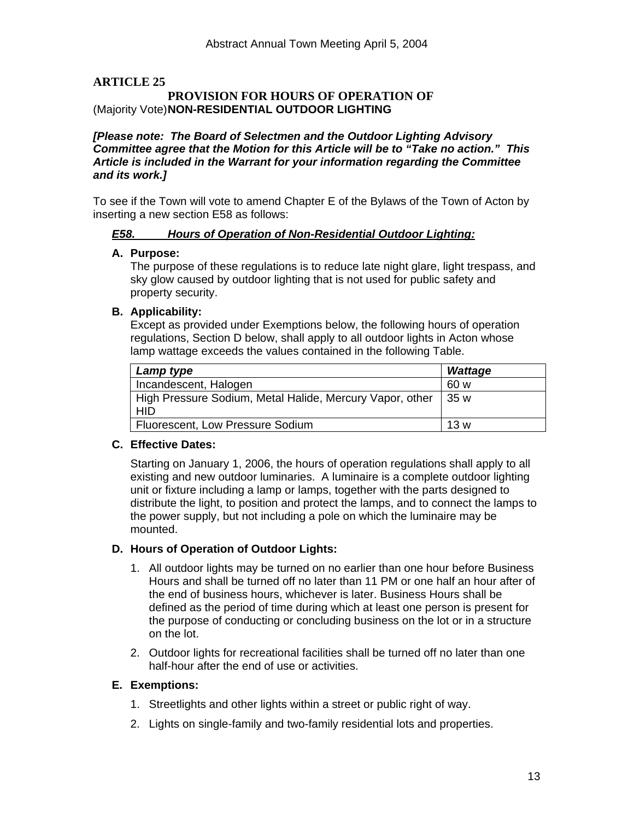# **ARTICLE 25**

#### **PROVISION FOR HOURS OF OPERATION OF**  (Majority Vote) **NON-RESIDENTIAL OUTDOOR LIGHTING**

#### *[Please note: The Board of Selectmen and the Outdoor Lighting Advisory Committee agree that the Motion for this Article will be to "Take no action." This Article is included in the Warrant for your information regarding the Committee and its work.]*

To see if the Town will vote to amend Chapter E of the Bylaws of the Town of Acton by inserting a new section E58 as follows:

# *E58. Hours of Operation of Non-Residential Outdoor Lighting:*

#### **A. Purpose:**

The purpose of these regulations is to reduce late night glare, light trespass, and sky glow caused by outdoor lighting that is not used for public safety and property security.

#### **B. Applicability:**

Except as provided under Exemptions below, the following hours of operation regulations, Section D below, shall apply to all outdoor lights in Acton whose lamp wattage exceeds the values contained in the following Table.

| Lamp type                                                | <b>Wattage</b> |
|----------------------------------------------------------|----------------|
| Incandescent, Halogen                                    | .60 w          |
| High Pressure Sodium, Metal Halide, Mercury Vapor, other | 35 w           |
| <b>HID</b>                                               |                |
| Fluorescent, Low Pressure Sodium                         | 13 w           |

#### **C. Effective Dates:**

Starting on January 1, 2006, the hours of operation regulations shall apply to all existing and new outdoor luminaries. A luminaire is a complete outdoor lighting unit or fixture including a lamp or lamps, together with the parts designed to distribute the light, to position and protect the lamps, and to connect the lamps to the power supply, but not including a pole on which the luminaire may be mounted.

#### **D. Hours of Operation of Outdoor Lights:**

- 1. All outdoor lights may be turned on no earlier than one hour before Business Hours and shall be turned off no later than 11 PM or one half an hour after of the end of business hours, whichever is later. Business Hours shall be defined as the period of time during which at least one person is present for the purpose of conducting or concluding business on the lot or in a structure on the lot.
- 2. Outdoor lights for recreational facilities shall be turned off no later than one half-hour after the end of use or activities.

#### **E. Exemptions:**

- 1. Streetlights and other lights within a street or public right of way.
- 2. Lights on single-family and two-family residential lots and properties.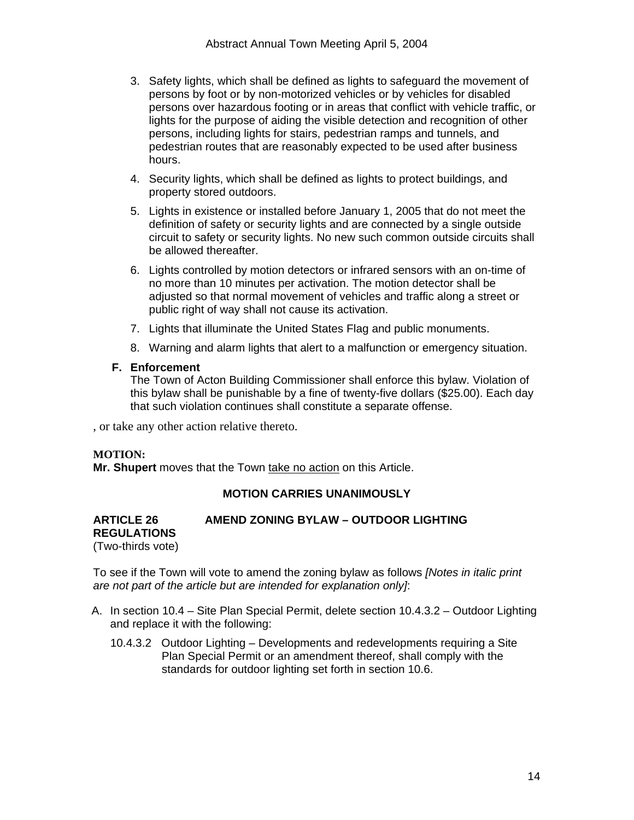- 3. Safety lights, which shall be defined as lights to safeguard the movement of persons by foot or by non-motorized vehicles or by vehicles for disabled persons over hazardous footing or in areas that conflict with vehicle traffic, or lights for the purpose of aiding the visible detection and recognition of other persons, including lights for stairs, pedestrian ramps and tunnels, and pedestrian routes that are reasonably expected to be used after business hours.
- 4. Security lights, which shall be defined as lights to protect buildings, and property stored outdoors.
- 5. Lights in existence or installed before January 1, 2005 that do not meet the definition of safety or security lights and are connected by a single outside circuit to safety or security lights. No new such common outside circuits shall be allowed thereafter.
- 6. Lights controlled by motion detectors or infrared sensors with an on-time of no more than 10 minutes per activation. The motion detector shall be adjusted so that normal movement of vehicles and traffic along a street or public right of way shall not cause its activation.
- 7. Lights that illuminate the United States Flag and public monuments.
- 8. Warning and alarm lights that alert to a malfunction or emergency situation.

#### **F. Enforcement**

The Town of Acton Building Commissioner shall enforce this bylaw. Violation of this bylaw shall be punishable by a fine of twenty-five dollars (\$25.00). Each day that such violation continues shall constitute a separate offense.

, or take any other action relative thereto.

#### **MOTION:**

**Mr. Shupert** moves that the Town take no action on this Article.

#### **MOTION CARRIES UNANIMOUSLY**

#### **ARTICLE 26 AMEND ZONING BYLAW – OUTDOOR LIGHTING REGULATIONS**  (Two-thirds vote)

To see if the Town will vote to amend the zoning bylaw as follows *[Notes in italic print are not part of the article but are intended for explanation only]*:

- A. In section 10.4 Site Plan Special Permit, delete section 10.4.3.2 Outdoor Lighting and replace it with the following:
	- 10.4.3.2 Outdoor Lighting Developments and redevelopments requiring a Site Plan Special Permit or an amendment thereof, shall comply with the standards for outdoor lighting set forth in section 10.6.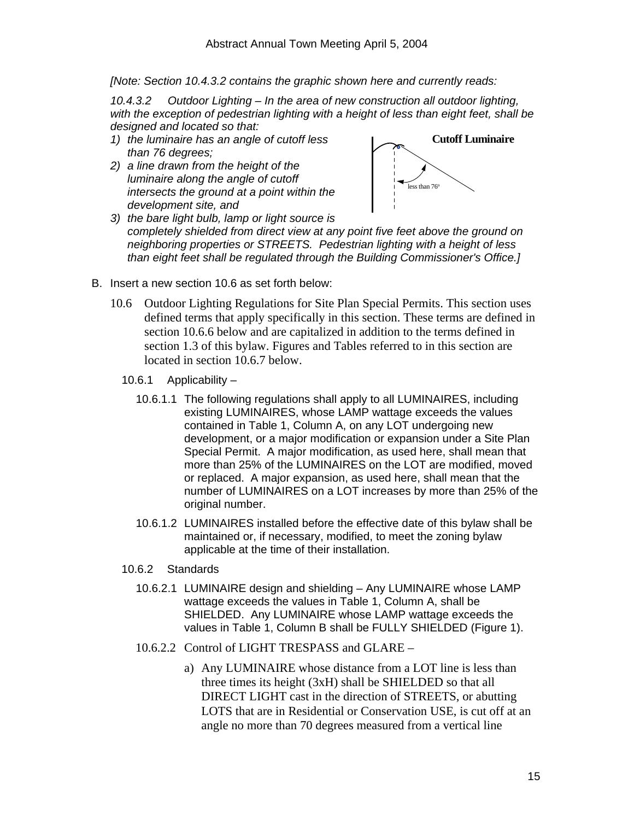*[Note: Section 10.4.3.2 contains the graphic shown here and currently reads:* 

*10.4.3.2 Outdoor Lighting – In the area of new construction all outdoor lighting, with the exception of pedestrian lighting with a height of less than eight feet, shall be designed and located so that:* 

- *1) the luminaire has an angle of cutoff less than 76 degrees;*
- *2) a line drawn from the height of the luminaire along the angle of cutoff intersects the ground at a point within the development site, and*



- *3) the bare light bulb, lamp or light source is completely shielded from direct view at any point five feet above the ground on neighboring properties or STREETS. Pedestrian lighting with a height of less than eight feet shall be regulated through the Building Commissioner's Office.]*
- B. Insert a new section 10.6 as set forth below:
	- 10.6 Outdoor Lighting Regulations for Site Plan Special Permits. This section uses defined terms that apply specifically in this section. These terms are defined in section 10.6.6 below and are capitalized in addition to the terms defined in section 1.3 of this bylaw. Figures and Tables referred to in this section are located in section 10.6.7 below.
		- 10.6.1 Applicability
			- 10.6.1.1 The following regulations shall apply to all LUMINAIRES, including existing LUMINAIRES, whose LAMP wattage exceeds the values contained in Table 1, Column A, on any LOT undergoing new development, or a major modification or expansion under a Site Plan Special Permit. A major modification, as used here, shall mean that more than 25% of the LUMINAIRES on the LOT are modified, moved or replaced. A major expansion, as used here, shall mean that the number of LUMINAIRES on a LOT increases by more than 25% of the original number.
			- 10.6.1.2 LUMINAIRES installed before the effective date of this bylaw shall be maintained or, if necessary, modified, to meet the zoning bylaw applicable at the time of their installation.
		- 10.6.2 Standards
			- 10.6.2.1 LUMINAIRE design and shielding Any LUMINAIRE whose LAMP wattage exceeds the values in Table 1, Column A, shall be SHIELDED. Any LUMINAIRE whose LAMP wattage exceeds the values in Table 1, Column B shall be FULLY SHIELDED (Figure 1).
			- 10.6.2.2 Control of LIGHT TRESPASS and GLARE
				- a) Any LUMINAIRE whose distance from a LOT line is less than three times its height (3xH) shall be SHIELDED so that all DIRECT LIGHT cast in the direction of STREETS, or abutting LOTS that are in Residential or Conservation USE, is cut off at an angle no more than 70 degrees measured from a vertical line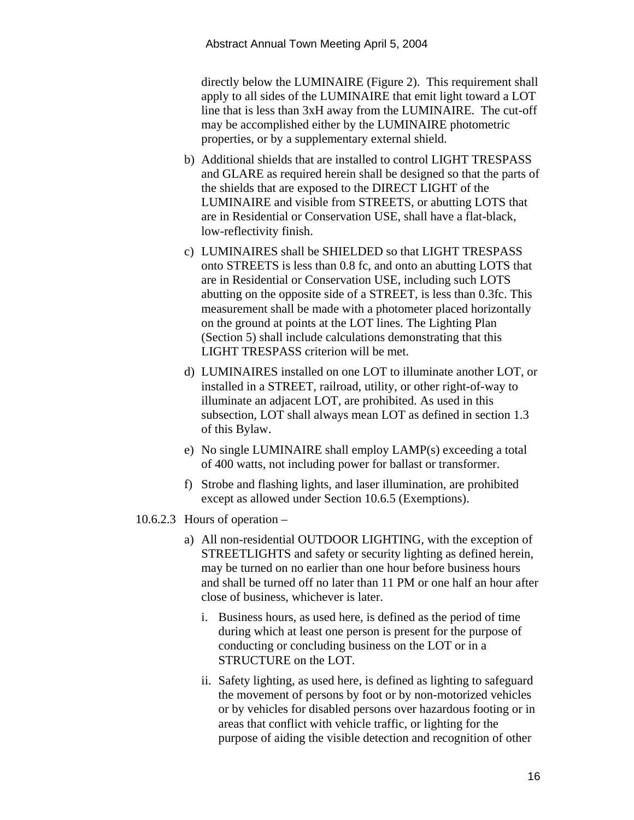directly below the LUMINAIRE (Figure 2). This requirement shall apply to all sides of the LUMINAIRE that emit light toward a LOT line that is less than 3xH away from the LUMINAIRE. The cut-off may be accomplished either by the LUMINAIRE photometric properties, or by a supplementary external shield.

- b) Additional shields that are installed to control LIGHT TRESPASS and GLARE as required herein shall be designed so that the parts of the shields that are exposed to the DIRECT LIGHT of the LUMINAIRE and visible from STREETS, or abutting LOTS that are in Residential or Conservation USE, shall have a flat-black, low-reflectivity finish.
- c) LUMINAIRES shall be SHIELDED so that LIGHT TRESPASS onto STREETS is less than 0.8 fc, and onto an abutting LOTS that are in Residential or Conservation USE, including such LOTS abutting on the opposite side of a STREET, is less than 0.3fc. This measurement shall be made with a photometer placed horizontally on the ground at points at the LOT lines. The Lighting Plan (Section 5) shall include calculations demonstrating that this LIGHT TRESPASS criterion will be met.
- d) LUMINAIRES installed on one LOT to illuminate another LOT, or installed in a STREET, railroad, utility, or other right-of-way to illuminate an adjacent LOT, are prohibited. As used in this subsection, LOT shall always mean LOT as defined in section 1.3 of this Bylaw.
- e) No single LUMINAIRE shall employ LAMP(s) exceeding a total of 400 watts, not including power for ballast or transformer.
- f) Strobe and flashing lights, and laser illumination, are prohibited except as allowed under Section 10.6.5 (Exemptions).
- 10.6.2.3 Hours of operation
	- a) All non-residential OUTDOOR LIGHTING, with the exception of STREETLIGHTS and safety or security lighting as defined herein, may be turned on no earlier than one hour before business hours and shall be turned off no later than 11 PM or one half an hour after close of business, whichever is later.
		- i. Business hours, as used here, is defined as the period of time during which at least one person is present for the purpose of conducting or concluding business on the LOT or in a STRUCTURE on the LOT.
		- ii. Safety lighting, as used here, is defined as lighting to safeguard the movement of persons by foot or by non-motorized vehicles or by vehicles for disabled persons over hazardous footing or in areas that conflict with vehicle traffic, or lighting for the purpose of aiding the visible detection and recognition of other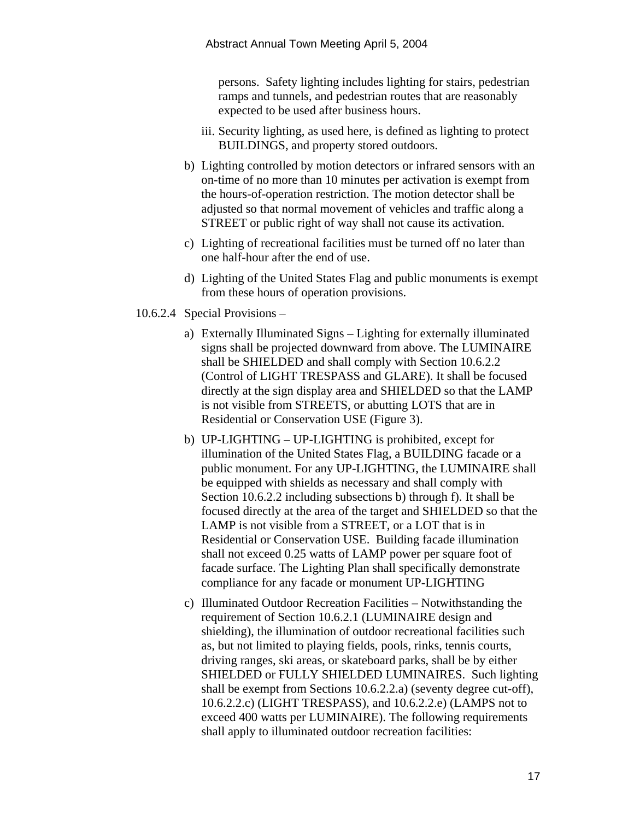persons. Safety lighting includes lighting for stairs, pedestrian ramps and tunnels, and pedestrian routes that are reasonably expected to be used after business hours.

- iii. Security lighting, as used here, is defined as lighting to protect BUILDINGS, and property stored outdoors.
- b) Lighting controlled by motion detectors or infrared sensors with an on-time of no more than 10 minutes per activation is exempt from the hours-of-operation restriction. The motion detector shall be adjusted so that normal movement of vehicles and traffic along a STREET or public right of way shall not cause its activation.
- c) Lighting of recreational facilities must be turned off no later than one half-hour after the end of use.
- d) Lighting of the United States Flag and public monuments is exempt from these hours of operation provisions.
- 10.6.2.4 Special Provisions
	- a) Externally Illuminated Signs Lighting for externally illuminated signs shall be projected downward from above. The LUMINAIRE shall be SHIELDED and shall comply with Section 10.6.2.2 (Control of LIGHT TRESPASS and GLARE). It shall be focused directly at the sign display area and SHIELDED so that the LAMP is not visible from STREETS, or abutting LOTS that are in Residential or Conservation USE (Figure 3).
	- b) UP-LIGHTING UP-LIGHTING is prohibited, except for illumination of the United States Flag, a BUILDING facade or a public monument. For any UP-LIGHTING, the LUMINAIRE shall be equipped with shields as necessary and shall comply with Section 10.6.2.2 including subsections b) through f). It shall be focused directly at the area of the target and SHIELDED so that the LAMP is not visible from a STREET, or a LOT that is in Residential or Conservation USE. Building facade illumination shall not exceed 0.25 watts of LAMP power per square foot of facade surface. The Lighting Plan shall specifically demonstrate compliance for any facade or monument UP-LIGHTING
	- c) Illuminated Outdoor Recreation Facilities Notwithstanding the requirement of Section 10.6.2.1 (LUMINAIRE design and shielding), the illumination of outdoor recreational facilities such as, but not limited to playing fields, pools, rinks, tennis courts, driving ranges, ski areas, or skateboard parks, shall be by either SHIELDED or FULLY SHIELDED LUMINAIRES. Such lighting shall be exempt from Sections 10.6.2.2.a) (seventy degree cut-off), 10.6.2.2.c) (LIGHT TRESPASS), and 10.6.2.2.e) (LAMPS not to exceed 400 watts per LUMINAIRE). The following requirements shall apply to illuminated outdoor recreation facilities: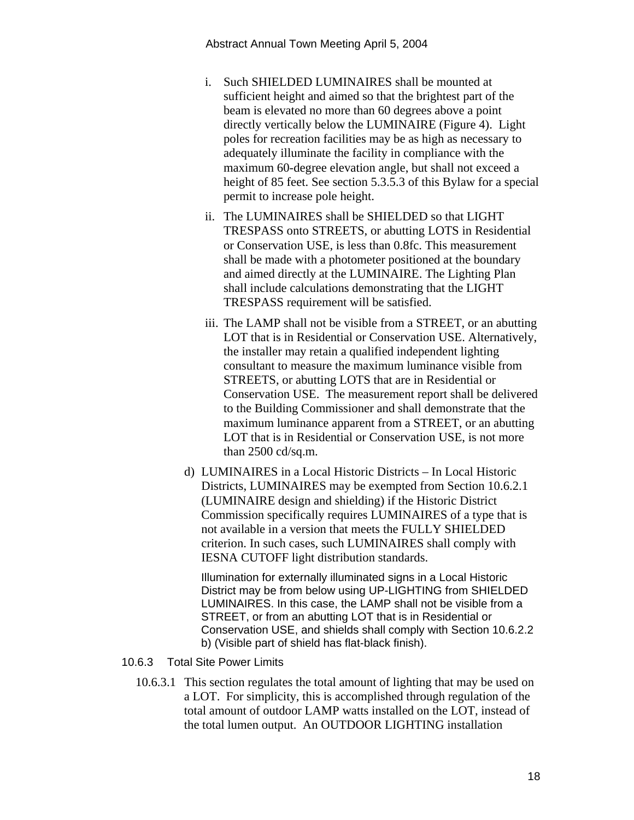- i. Such SHIELDED LUMINAIRES shall be mounted at sufficient height and aimed so that the brightest part of the beam is elevated no more than 60 degrees above a point directly vertically below the LUMINAIRE (Figure 4). Light poles for recreation facilities may be as high as necessary to adequately illuminate the facility in compliance with the maximum 60-degree elevation angle, but shall not exceed a height of 85 feet. See section 5.3.5.3 of this Bylaw for a special permit to increase pole height.
- ii. The LUMINAIRES shall be SHIELDED so that LIGHT TRESPASS onto STREETS, or abutting LOTS in Residential or Conservation USE, is less than 0.8fc. This measurement shall be made with a photometer positioned at the boundary and aimed directly at the LUMINAIRE. The Lighting Plan shall include calculations demonstrating that the LIGHT TRESPASS requirement will be satisfied.
- iii. The LAMP shall not be visible from a STREET, or an abutting LOT that is in Residential or Conservation USE. Alternatively, the installer may retain a qualified independent lighting consultant to measure the maximum luminance visible from STREETS, or abutting LOTS that are in Residential or Conservation USE. The measurement report shall be delivered to the Building Commissioner and shall demonstrate that the maximum luminance apparent from a STREET, or an abutting LOT that is in Residential or Conservation USE, is not more than 2500 cd/sq.m.
- d) LUMINAIRES in a Local Historic Districts In Local Historic Districts, LUMINAIRES may be exempted from Section 10.6.2.1 (LUMINAIRE design and shielding) if the Historic District Commission specifically requires LUMINAIRES of a type that is not available in a version that meets the FULLY SHIELDED criterion. In such cases, such LUMINAIRES shall comply with IESNA CUTOFF light distribution standards.

Illumination for externally illuminated signs in a Local Historic District may be from below using UP-LIGHTING from SHIELDED LUMINAIRES. In this case, the LAMP shall not be visible from a STREET, or from an abutting LOT that is in Residential or Conservation USE, and shields shall comply with Section 10.6.2.2 b) (Visible part of shield has flat-black finish).

- 10.6.3 Total Site Power Limits
	- 10.6.3.1 This section regulates the total amount of lighting that may be used on a LOT. For simplicity, this is accomplished through regulation of the total amount of outdoor LAMP watts installed on the LOT, instead of the total lumen output. An OUTDOOR LIGHTING installation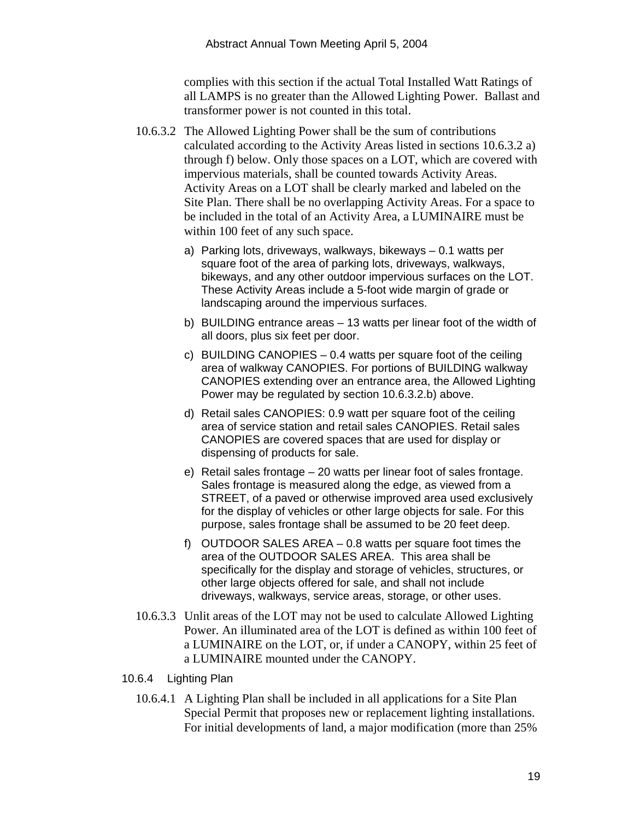complies with this section if the actual Total Installed Watt Ratings of all LAMPS is no greater than the Allowed Lighting Power. Ballast and transformer power is not counted in this total.

- 10.6.3.2 The Allowed Lighting Power shall be the sum of contributions calculated according to the Activity Areas listed in sections 10.6.3.2 a) through f) below. Only those spaces on a LOT, which are covered with impervious materials, shall be counted towards Activity Areas. Activity Areas on a LOT shall be clearly marked and labeled on the Site Plan. There shall be no overlapping Activity Areas. For a space to be included in the total of an Activity Area, a LUMINAIRE must be within 100 feet of any such space.
	- a) Parking lots, driveways, walkways, bikeways 0.1 watts per square foot of the area of parking lots, driveways, walkways, bikeways, and any other outdoor impervious surfaces on the LOT. These Activity Areas include a 5-foot wide margin of grade or landscaping around the impervious surfaces.
	- b) BUILDING entrance areas 13 watts per linear foot of the width of all doors, plus six feet per door.
	- c) BUILDING CANOPIES  $-0.4$  watts per square foot of the ceiling area of walkway CANOPIES. For portions of BUILDING walkway CANOPIES extending over an entrance area, the Allowed Lighting Power may be regulated by section 10.6.3.2.b) above.
	- d) Retail sales CANOPIES: 0.9 watt per square foot of the ceiling area of service station and retail sales CANOPIES. Retail sales CANOPIES are covered spaces that are used for display or dispensing of products for sale.
	- e) Retail sales frontage 20 watts per linear foot of sales frontage. Sales frontage is measured along the edge, as viewed from a STREET, of a paved or otherwise improved area used exclusively for the display of vehicles or other large objects for sale. For this purpose, sales frontage shall be assumed to be 20 feet deep.
	- f) OUTDOOR SALES AREA 0.8 watts per square foot times the area of the OUTDOOR SALES AREA. This area shall be specifically for the display and storage of vehicles, structures, or other large objects offered for sale, and shall not include driveways, walkways, service areas, storage, or other uses.
- 10.6.3.3 Unlit areas of the LOT may not be used to calculate Allowed Lighting Power. An illuminated area of the LOT is defined as within 100 feet of a LUMINAIRE on the LOT, or, if under a CANOPY, within 25 feet of a LUMINAIRE mounted under the CANOPY.
- 10.6.4 Lighting Plan
	- 10.6.4.1 A Lighting Plan shall be included in all applications for a Site Plan Special Permit that proposes new or replacement lighting installations. For initial developments of land, a major modification (more than 25%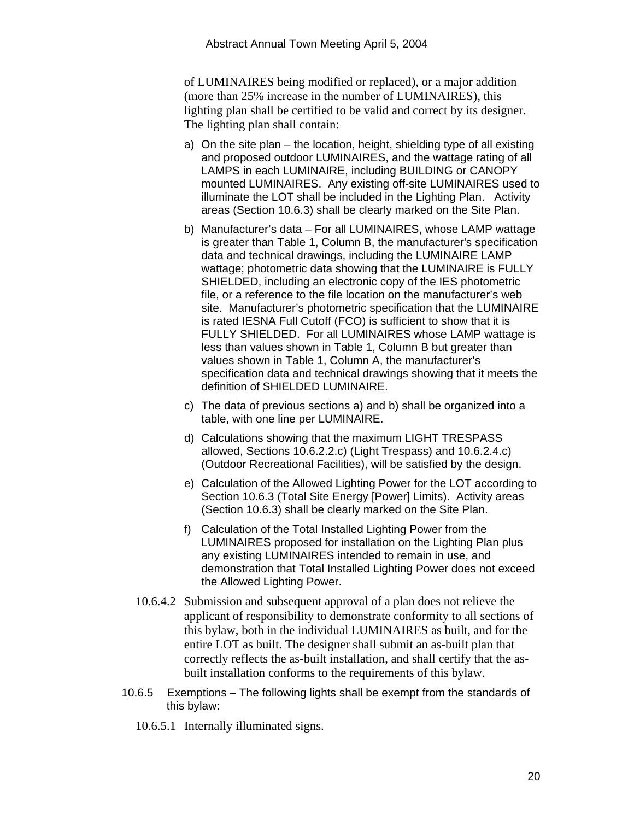of LUMINAIRES being modified or replaced), or a major addition (more than 25% increase in the number of LUMINAIRES), this lighting plan shall be certified to be valid and correct by its designer. The lighting plan shall contain:

- a) On the site plan the location, height, shielding type of all existing and proposed outdoor LUMINAIRES, and the wattage rating of all LAMPS in each LUMINAIRE, including BUILDING or CANOPY mounted LUMINAIRES. Any existing off-site LUMINAIRES used to illuminate the LOT shall be included in the Lighting Plan. Activity areas (Section 10.6.3) shall be clearly marked on the Site Plan.
- b) Manufacturer's data For all LUMINAIRES, whose LAMP wattage is greater than Table 1, Column B, the manufacturer's specification data and technical drawings, including the LUMINAIRE LAMP wattage; photometric data showing that the LUMINAIRE is FULLY SHIELDED, including an electronic copy of the IES photometric file, or a reference to the file location on the manufacturer's web site. Manufacturer's photometric specification that the LUMINAIRE is rated IESNA Full Cutoff (FCO) is sufficient to show that it is FULLY SHIELDED. For all LUMINAIRES whose LAMP wattage is less than values shown in Table 1, Column B but greater than values shown in Table 1, Column A, the manufacturer's specification data and technical drawings showing that it meets the definition of SHIELDED LUMINAIRE.
- c) The data of previous sections a) and b) shall be organized into a table, with one line per LUMINAIRE.
- d) Calculations showing that the maximum LIGHT TRESPASS allowed, Sections 10.6.2.2.c) (Light Trespass) and 10.6.2.4.c) (Outdoor Recreational Facilities), will be satisfied by the design.
- e) Calculation of the Allowed Lighting Power for the LOT according to Section 10.6.3 (Total Site Energy [Power] Limits). Activity areas (Section 10.6.3) shall be clearly marked on the Site Plan.
- f) Calculation of the Total Installed Lighting Power from the LUMINAIRES proposed for installation on the Lighting Plan plus any existing LUMINAIRES intended to remain in use, and demonstration that Total Installed Lighting Power does not exceed the Allowed Lighting Power.
- 10.6.4.2 Submission and subsequent approval of a plan does not relieve the applicant of responsibility to demonstrate conformity to all sections of this bylaw, both in the individual LUMINAIRES as built, and for the entire LOT as built. The designer shall submit an as-built plan that correctly reflects the as-built installation, and shall certify that the asbuilt installation conforms to the requirements of this bylaw.
- 10.6.5 Exemptions The following lights shall be exempt from the standards of this bylaw:
	- 10.6.5.1 Internally illuminated signs.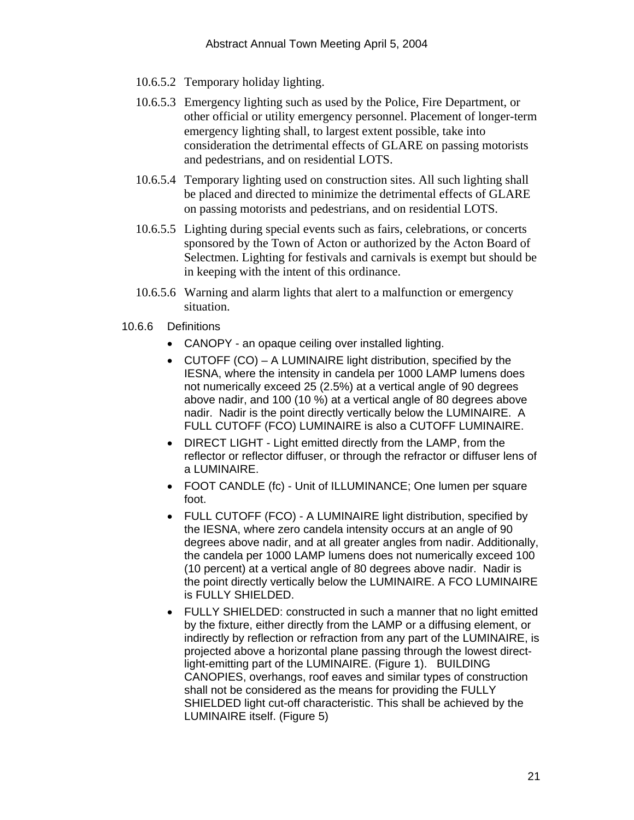- 10.6.5.2 Temporary holiday lighting.
- 10.6.5.3 Emergency lighting such as used by the Police, Fire Department, or other official or utility emergency personnel. Placement of longer-term emergency lighting shall, to largest extent possible, take into consideration the detrimental effects of GLARE on passing motorists and pedestrians, and on residential LOTS.
- 10.6.5.4 Temporary lighting used on construction sites. All such lighting shall be placed and directed to minimize the detrimental effects of GLARE on passing motorists and pedestrians, and on residential LOTS.
- 10.6.5.5 Lighting during special events such as fairs, celebrations, or concerts sponsored by the Town of Acton or authorized by the Acton Board of Selectmen. Lighting for festivals and carnivals is exempt but should be in keeping with the intent of this ordinance.
- 10.6.5.6 Warning and alarm lights that alert to a malfunction or emergency situation.
- 10.6.6 Definitions
	- CANOPY an opaque ceiling over installed lighting.
	- CUTOFF (CO) A LUMINAIRE light distribution, specified by the IESNA, where the intensity in candela per 1000 LAMP lumens does not numerically exceed 25 (2.5%) at a vertical angle of 90 degrees above nadir, and 100 (10 %) at a vertical angle of 80 degrees above nadir. Nadir is the point directly vertically below the LUMINAIRE. A FULL CUTOFF (FCO) LUMINAIRE is also a CUTOFF LUMINAIRE.
	- DIRECT LIGHT Light emitted directly from the LAMP, from the reflector or reflector diffuser, or through the refractor or diffuser lens of a LUMINAIRE.
	- FOOT CANDLE (fc) Unit of ILLUMINANCE; One lumen per square foot.
	- FULL CUTOFF (FCO) A LUMINAIRE light distribution, specified by the IESNA, where zero candela intensity occurs at an angle of 90 degrees above nadir, and at all greater angles from nadir. Additionally, the candela per 1000 LAMP lumens does not numerically exceed 100 (10 percent) at a vertical angle of 80 degrees above nadir. Nadir is the point directly vertically below the LUMINAIRE. A FCO LUMINAIRE is FULLY SHIELDED.
	- FULLY SHIELDED: constructed in such a manner that no light emitted by the fixture, either directly from the LAMP or a diffusing element, or indirectly by reflection or refraction from any part of the LUMINAIRE, is projected above a horizontal plane passing through the lowest directlight-emitting part of the LUMINAIRE. (Figure 1). BUILDING CANOPIES, overhangs, roof eaves and similar types of construction shall not be considered as the means for providing the FULLY SHIELDED light cut-off characteristic. This shall be achieved by the LUMINAIRE itself. (Figure 5)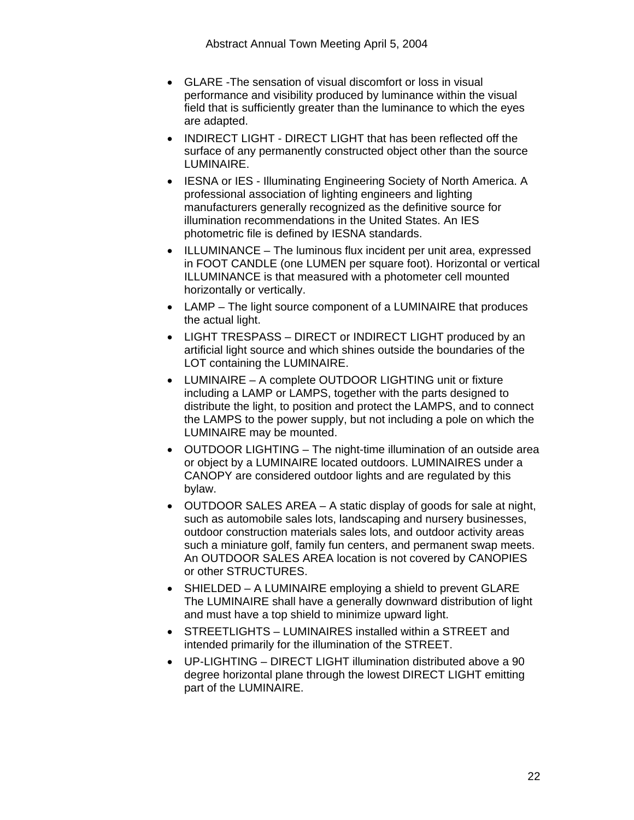- GLARE -The sensation of visual discomfort or loss in visual performance and visibility produced by luminance within the visual field that is sufficiently greater than the luminance to which the eyes are adapted.
- INDIRECT LIGHT DIRECT LIGHT that has been reflected off the surface of any permanently constructed object other than the source LUMINAIRE.
- IESNA or IES Illuminating Engineering Society of North America. A professional association of lighting engineers and lighting manufacturers generally recognized as the definitive source for illumination recommendations in the United States. An IES photometric file is defined by IESNA standards.
- ILLUMINANCE The luminous flux incident per unit area, expressed in FOOT CANDLE (one LUMEN per square foot). Horizontal or vertical ILLUMINANCE is that measured with a photometer cell mounted horizontally or vertically.
- LAMP The light source component of a LUMINAIRE that produces the actual light.
- LIGHT TRESPASS DIRECT or INDIRECT LIGHT produced by an artificial light source and which shines outside the boundaries of the LOT containing the LUMINAIRE.
- LUMINAIRE A complete OUTDOOR LIGHTING unit or fixture including a LAMP or LAMPS, together with the parts designed to distribute the light, to position and protect the LAMPS, and to connect the LAMPS to the power supply, but not including a pole on which the LUMINAIRE may be mounted.
- OUTDOOR LIGHTING The night-time illumination of an outside area or object by a LUMINAIRE located outdoors. LUMINAIRES under a CANOPY are considered outdoor lights and are regulated by this bylaw.
- OUTDOOR SALES AREA A static display of goods for sale at night, such as automobile sales lots, landscaping and nursery businesses, outdoor construction materials sales lots, and outdoor activity areas such a miniature golf, family fun centers, and permanent swap meets. An OUTDOOR SALES AREA location is not covered by CANOPIES or other STRUCTURES.
- SHIELDED A LUMINAIRE employing a shield to prevent GLARE The LUMINAIRE shall have a generally downward distribution of light and must have a top shield to minimize upward light.
- STREETLIGHTS LUMINAIRES installed within a STREET and intended primarily for the illumination of the STREET.
- UP-LIGHTING DIRECT LIGHT illumination distributed above a 90 degree horizontal plane through the lowest DIRECT LIGHT emitting part of the LUMINAIRE.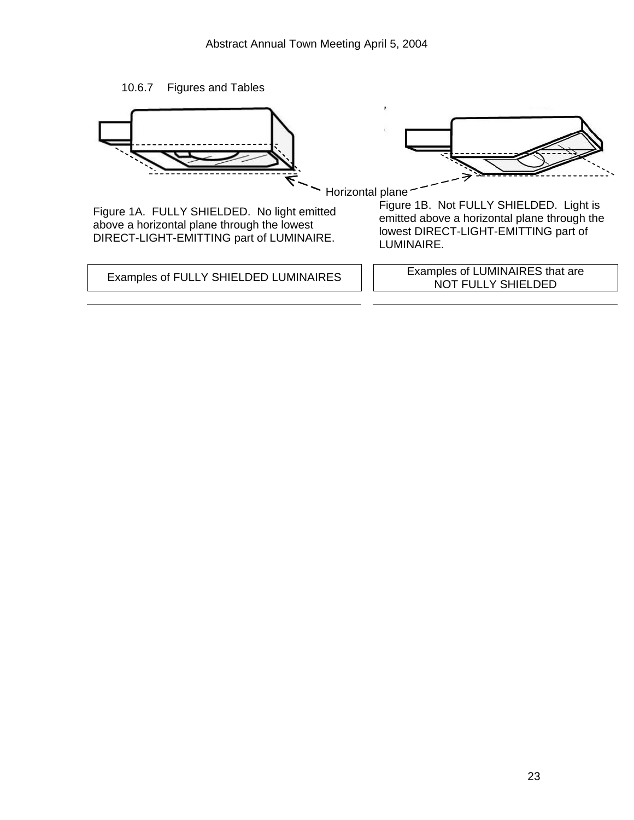



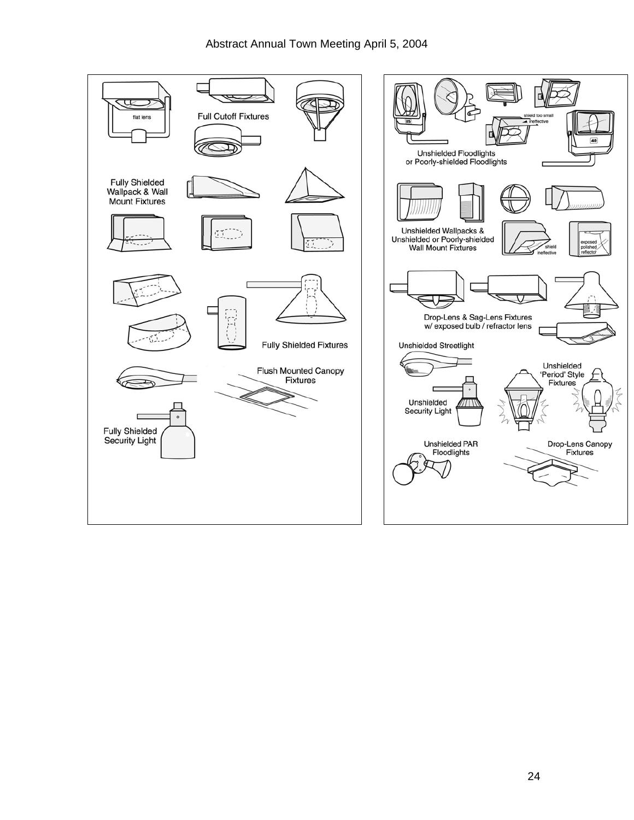

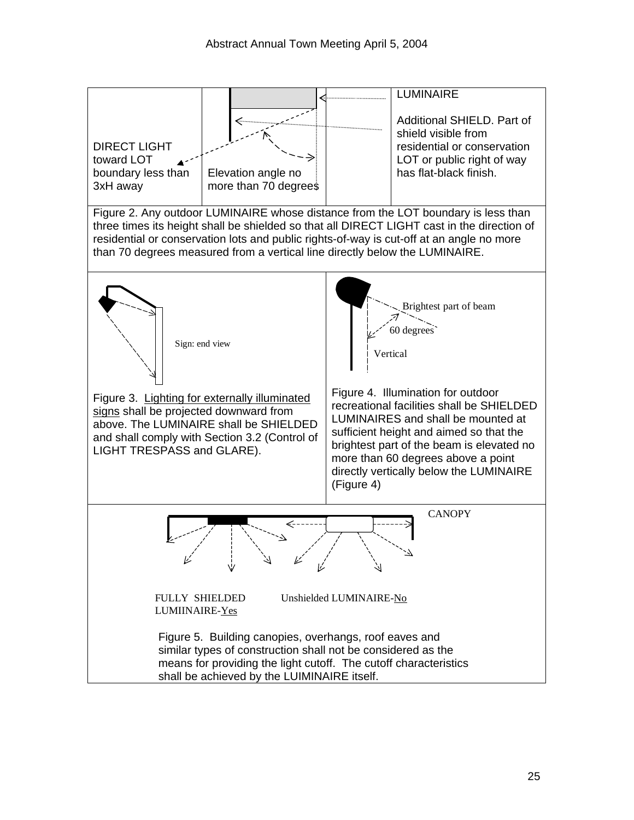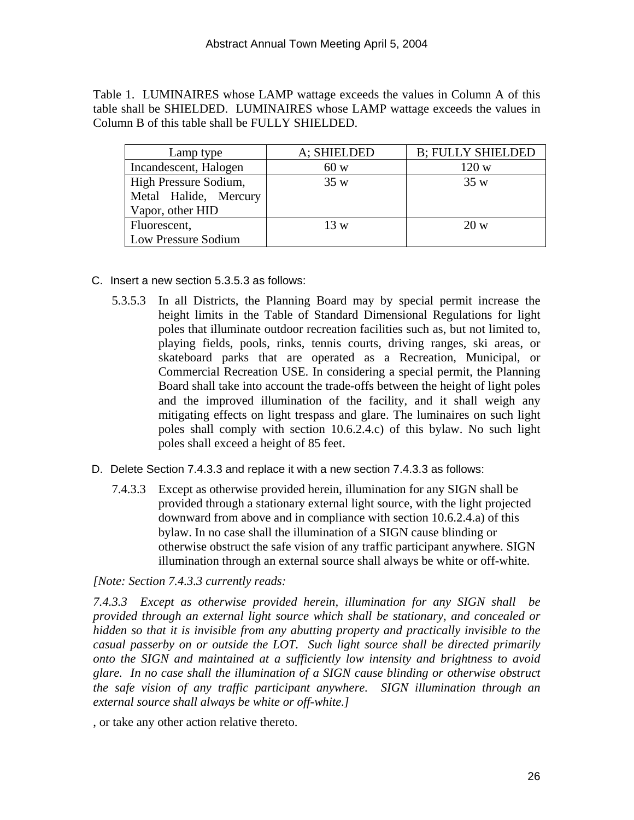Table 1. LUMINAIRES whose LAMP wattage exceeds the values in Column A of this table shall be SHIELDED. LUMINAIRES whose LAMP wattage exceeds the values in Column B of this table shall be FULLY SHIELDED.

| Lamp type             | A; SHIELDED | <b>B</b> ; FULLY SHIELDED |
|-----------------------|-------------|---------------------------|
| Incandescent, Halogen | 60 w        | 120 w                     |
| High Pressure Sodium, | 35w         | 35w                       |
| Metal Halide, Mercury |             |                           |
| Vapor, other HID      |             |                           |
| Fluorescent,          | 13 w        | 20 w                      |
| Low Pressure Sodium   |             |                           |

- C. Insert a new section 5.3.5.3 as follows:
	- 5.3.5.3 In all Districts, the Planning Board may by special permit increase the height limits in the Table of Standard Dimensional Regulations for light poles that illuminate outdoor recreation facilities such as, but not limited to, playing fields, pools, rinks, tennis courts, driving ranges, ski areas, or skateboard parks that are operated as a Recreation, Municipal, or Commercial Recreation USE. In considering a special permit, the Planning Board shall take into account the trade-offs between the height of light poles and the improved illumination of the facility, and it shall weigh any mitigating effects on light trespass and glare. The luminaires on such light poles shall comply with section 10.6.2.4.c) of this bylaw. No such light poles shall exceed a height of 85 feet.
- D. Delete Section 7.4.3.3 and replace it with a new section 7.4.3.3 as follows:
	- 7.4.3.3 Except as otherwise provided herein, illumination for any SIGN shall be provided through a stationary external light source, with the light projected downward from above and in compliance with section 10.6.2.4.a) of this bylaw. In no case shall the illumination of a SIGN cause blinding or otherwise obstruct the safe vision of any traffic participant anywhere. SIGN illumination through an external source shall always be white or off-white.

*[Note: Section 7.4.3.3 currently reads:* 

*7.4.3.3 Except as otherwise provided herein, illumination for any SIGN shall be provided through an external light source which shall be stationary, and concealed or hidden so that it is invisible from any abutting property and practically invisible to the casual passerby on or outside the LOT. Such light source shall be directed primarily onto the SIGN and maintained at a sufficiently low intensity and brightness to avoid glare. In no case shall the illumination of a SIGN cause blinding or otherwise obstruct the safe vision of any traffic participant anywhere. SIGN illumination through an external source shall always be white or off-white.]* 

, or take any other action relative thereto.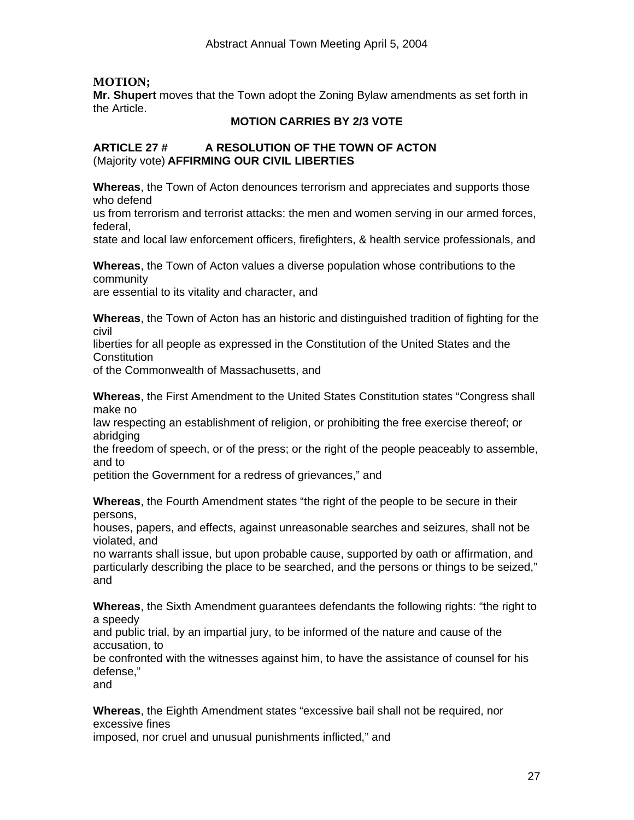# **MOTION;**

**Mr. Shupert** moves that the Town adopt the Zoning Bylaw amendments as set forth in the Article.

#### **MOTION CARRIES BY 2/3 VOTE**

#### **ARTICLE 27 # A RESOLUTION OF THE TOWN OF ACTON**  (Majority vote) **AFFIRMING OUR CIVIL LIBERTIES**

**Whereas**, the Town of Acton denounces terrorism and appreciates and supports those who defend

us from terrorism and terrorist attacks: the men and women serving in our armed forces, federal,

state and local law enforcement officers, firefighters, & health service professionals, and

**Whereas**, the Town of Acton values a diverse population whose contributions to the community

are essential to its vitality and character, and

**Whereas**, the Town of Acton has an historic and distinguished tradition of fighting for the civil

liberties for all people as expressed in the Constitution of the United States and the **Constitution** 

of the Commonwealth of Massachusetts, and

**Whereas**, the First Amendment to the United States Constitution states "Congress shall make no

law respecting an establishment of religion, or prohibiting the free exercise thereof; or abridging

the freedom of speech, or of the press; or the right of the people peaceably to assemble, and to

petition the Government for a redress of grievances," and

**Whereas**, the Fourth Amendment states "the right of the people to be secure in their persons,

houses, papers, and effects, against unreasonable searches and seizures, shall not be violated, and

no warrants shall issue, but upon probable cause, supported by oath or affirmation, and particularly describing the place to be searched, and the persons or things to be seized," and

**Whereas**, the Sixth Amendment guarantees defendants the following rights: "the right to a speedy

and public trial, by an impartial jury, to be informed of the nature and cause of the accusation, to

be confronted with the witnesses against him, to have the assistance of counsel for his defense,"

and

**Whereas**, the Eighth Amendment states "excessive bail shall not be required, nor excessive fines

imposed, nor cruel and unusual punishments inflicted," and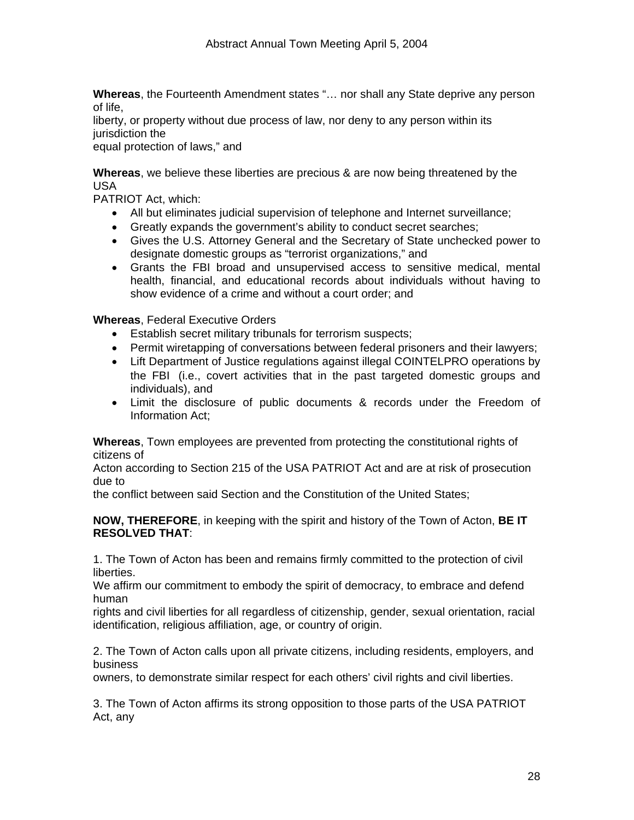**Whereas**, the Fourteenth Amendment states "… nor shall any State deprive any person of life,

liberty, or property without due process of law, nor deny to any person within its jurisdiction the

equal protection of laws," and

**Whereas**, we believe these liberties are precious & are now being threatened by the USA

PATRIOT Act, which:

- All but eliminates judicial supervision of telephone and Internet surveillance;
- Greatly expands the government's ability to conduct secret searches;
- Gives the U.S. Attorney General and the Secretary of State unchecked power to designate domestic groups as "terrorist organizations," and
- Grants the FBI broad and unsupervised access to sensitive medical, mental health, financial, and educational records about individuals without having to show evidence of a crime and without a court order; and

**Whereas**, Federal Executive Orders

- Establish secret military tribunals for terrorism suspects;
- Permit wiretapping of conversations between federal prisoners and their lawyers;
- Lift Department of Justice regulations against illegal COINTELPRO operations by the FBI (i.e., covert activities that in the past targeted domestic groups and individuals), and
- Limit the disclosure of public documents & records under the Freedom of Information Act;

**Whereas**, Town employees are prevented from protecting the constitutional rights of citizens of

Acton according to Section 215 of the USA PATRIOT Act and are at risk of prosecution due to

the conflict between said Section and the Constitution of the United States;

**NOW, THEREFORE**, in keeping with the spirit and history of the Town of Acton, **BE IT RESOLVED THAT**:

1. The Town of Acton has been and remains firmly committed to the protection of civil liberties.

We affirm our commitment to embody the spirit of democracy, to embrace and defend human

rights and civil liberties for all regardless of citizenship, gender, sexual orientation, racial identification, religious affiliation, age, or country of origin.

2. The Town of Acton calls upon all private citizens, including residents, employers, and business

owners, to demonstrate similar respect for each others' civil rights and civil liberties.

3. The Town of Acton affirms its strong opposition to those parts of the USA PATRIOT Act, any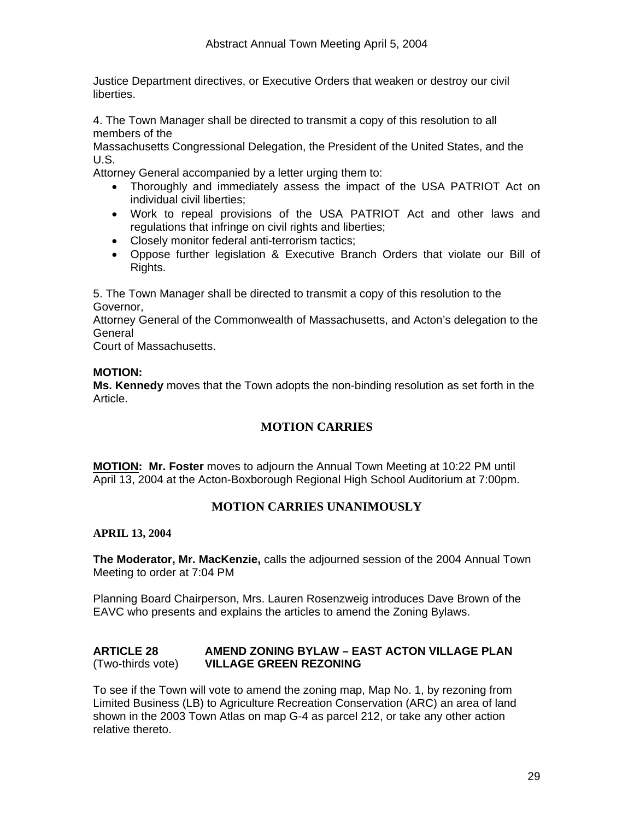Justice Department directives, or Executive Orders that weaken or destroy our civil liberties.

4. The Town Manager shall be directed to transmit a copy of this resolution to all members of the

Massachusetts Congressional Delegation, the President of the United States, and the U.S.

Attorney General accompanied by a letter urging them to:

- Thoroughly and immediately assess the impact of the USA PATRIOT Act on individual civil liberties;
- Work to repeal provisions of the USA PATRIOT Act and other laws and regulations that infringe on civil rights and liberties;
- Closely monitor federal anti-terrorism tactics;
- Oppose further legislation & Executive Branch Orders that violate our Bill of Rights.

5. The Town Manager shall be directed to transmit a copy of this resolution to the Governor,

Attorney General of the Commonwealth of Massachusetts, and Acton's delegation to the General

Court of Massachusetts.

#### **MOTION:**

**Ms. Kennedy** moves that the Town adopts the non-binding resolution as set forth in the Article.

# **MOTION CARRIES**

**MOTION: Mr. Foster** moves to adjourn the Annual Town Meeting at 10:22 PM until April 13, 2004 at the Acton-Boxborough Regional High School Auditorium at 7:00pm.

# **MOTION CARRIES UNANIMOUSLY**

**APRIL 13, 2004** 

**The Moderator, Mr. MacKenzie,** calls the adjourned session of the 2004 Annual Town Meeting to order at 7:04 PM

Planning Board Chairperson, Mrs. Lauren Rosenzweig introduces Dave Brown of the EAVC who presents and explains the articles to amend the Zoning Bylaws.

#### **ARTICLE 28 AMEND ZONING BYLAW – EAST ACTON VILLAGE PLAN**  (Two-thirds vote) **VILLAGE GREEN REZONING**

To see if the Town will vote to amend the zoning map, Map No. 1, by rezoning from Limited Business (LB) to Agriculture Recreation Conservation (ARC) an area of land shown in the 2003 Town Atlas on map G-4 as parcel 212, or take any other action relative thereto.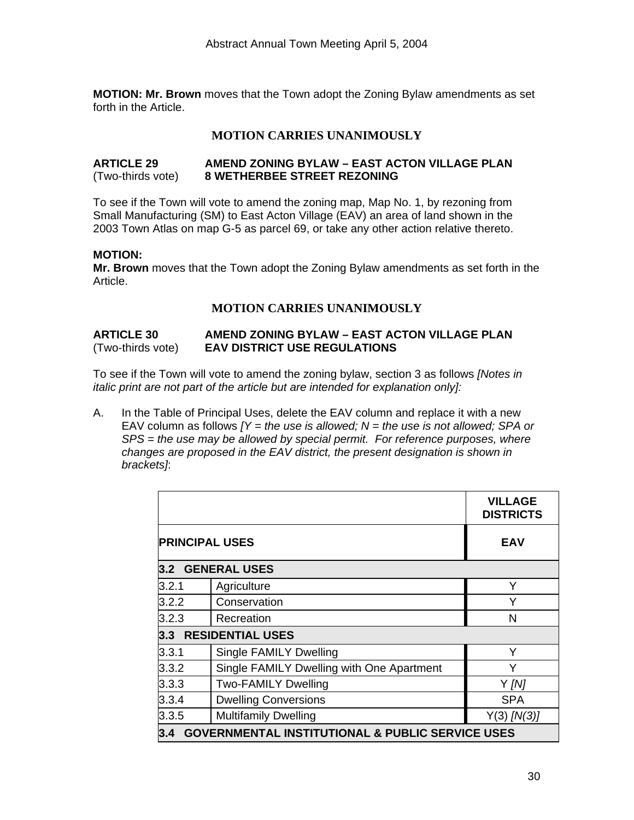**MOTION: Mr. Brown** moves that the Town adopt the Zoning Bylaw amendments as set forth in the Article.

# **MOTION CARRIES UNANIMOUSLY**

#### **ARTICLE 29 AMEND ZONING BYLAW – EAST ACTON VILLAGE PLAN**  (Two-thirds vote) **8 WETHERBEE STREET REZONING**

To see if the Town will vote to amend the zoning map, Map No. 1, by rezoning from Small Manufacturing (SM) to East Acton Village (EAV) an area of land shown in the 2003 Town Atlas on map G-5 as parcel 69, or take any other action relative thereto.

#### **MOTION:**

**Mr. Brown** moves that the Town adopt the Zoning Bylaw amendments as set forth in the Article.

# **MOTION CARRIES UNANIMOUSLY**

#### **ARTICLE 30 AMEND ZONING BYLAW – EAST ACTON VILLAGE PLAN**  (Two-thirds vote) **EAV DISTRICT USE REGULATIONS**

To see if the Town will vote to amend the zoning bylaw, section 3 as follows *[Notes in italic print are not part of the article but are intended for explanation only]:*

A. In the Table of Principal Uses, delete the EAV column and replace it with a new EAV column as follows  $\overline{Y}$  = the use is allowed;  $\overline{N}$  = the use is not allowed; SPA or *SPS = the use may be allowed by special permit. For reference purposes, where changes are proposed in the EAV district, the present designation is shown in brackets]*:

|                                      |                                                             | <b>VILLAGE</b><br><b>DISTRICTS</b> |
|--------------------------------------|-------------------------------------------------------------|------------------------------------|
| <b>PRINCIPAL USES</b>                |                                                             | <b>EAV</b>                         |
|                                      | 3.2 GENERAL USES                                            |                                    |
| 3.2.1                                | Agriculture                                                 | Y                                  |
| 3.2.2                                | Conservation                                                | Υ                                  |
| 3.2.3<br>Recreation                  |                                                             | N                                  |
| 3.3                                  | <b>RESIDENTIAL USES</b>                                     |                                    |
| 3.3.1                                | <b>Single FAMILY Dwelling</b>                               | Y                                  |
| 3.3.2                                | Single FAMILY Dwelling with One Apartment                   | Y                                  |
| 3.3.3                                | <b>Two-FAMILY Dwelling</b>                                  | $Y$ [N]                            |
| 3.3.4                                | <b>Dwelling Conversions</b>                                 | <b>SPA</b>                         |
| 3.3.5<br><b>Multifamily Dwelling</b> |                                                             | $Y(3)$ [N(3)]                      |
| 3.4                                  | <b>GOVERNMENTAL INSTITUTIONAL &amp; PUBLIC SERVICE USES</b> |                                    |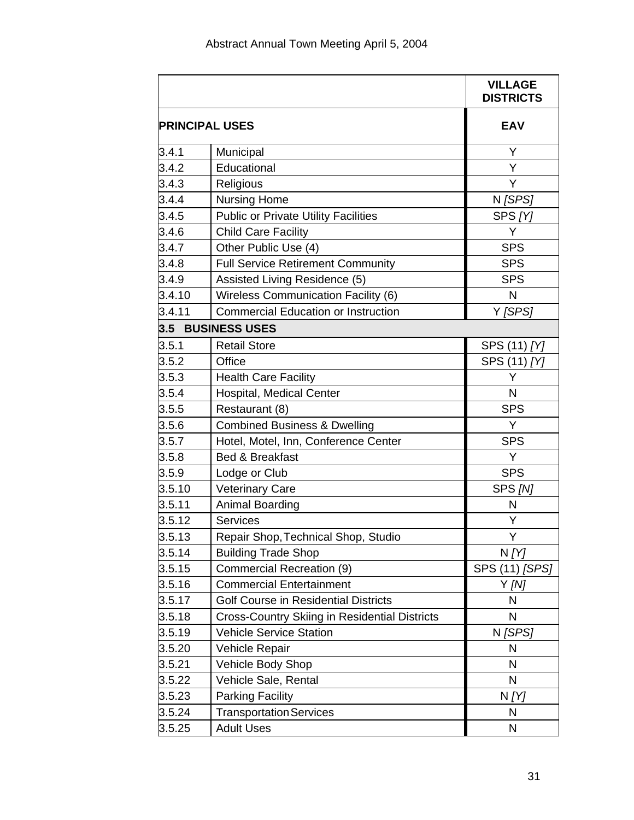|        |                                                      | <b>VILLAGE</b><br><b>DISTRICTS</b> |
|--------|------------------------------------------------------|------------------------------------|
|        | <b>PRINCIPAL USES</b>                                | <b>EAV</b>                         |
| 3.4.1  | Municipal                                            | Y                                  |
| 3.4.2  | Educational                                          | Y                                  |
| 3.4.3  | Religious                                            | Υ                                  |
| 3.4.4  | <b>Nursing Home</b>                                  | N [SPS]                            |
| 3.4.5  | <b>Public or Private Utility Facilities</b>          | SPS [Y]                            |
| 3.4.6  | <b>Child Care Facility</b>                           | Y                                  |
| 3.4.7  | Other Public Use (4)                                 | <b>SPS</b>                         |
| 3.4.8  | <b>Full Service Retirement Community</b>             | <b>SPS</b>                         |
| 3.4.9  | Assisted Living Residence (5)                        | <b>SPS</b>                         |
| 3.4.10 | Wireless Communication Facility (6)                  | N                                  |
| 3.4.11 | <b>Commercial Education or Instruction</b>           | Y [SPS]                            |
| 3.5    | <b>BUSINESS USES</b>                                 |                                    |
| 3.5.1  | <b>Retail Store</b>                                  | SPS (11) [Y]                       |
| 3.5.2  | Office                                               | SPS (11) [Y]                       |
| 3.5.3  | <b>Health Care Facility</b>                          | Y                                  |
| 3.5.4  | Hospital, Medical Center                             | N                                  |
| 3.5.5  | Restaurant (8)                                       | <b>SPS</b>                         |
| 3.5.6  | <b>Combined Business &amp; Dwelling</b>              | Y                                  |
| 3.5.7  | Hotel, Motel, Inn, Conference Center                 | <b>SPS</b>                         |
| 3.5.8  | Bed & Breakfast                                      | Y                                  |
| 3.5.9  | Lodge or Club                                        | <b>SPS</b>                         |
| 3.5.10 | <b>Veterinary Care</b>                               | SPS [N]                            |
| 3.5.11 | Animal Boarding                                      | N                                  |
| 3.5.12 | <b>Services</b>                                      | Υ                                  |
| 3.5.13 | Repair Shop, Technical Shop, Studio                  | Υ                                  |
| 3.5.14 | <b>Building Trade Shop</b>                           | N[Y]                               |
| 3.5.15 | Commercial Recreation (9)                            | SPS (11) [SPS]                     |
| 3.5.16 | <b>Commercial Entertainment</b>                      | Y [N]                              |
| 3.5.17 | Golf Course in Residential Districts                 | N                                  |
| 3.5.18 | <b>Cross-Country Skiing in Residential Districts</b> | N                                  |
| 3.5.19 | <b>Vehicle Service Station</b>                       | N [SPS]                            |
| 3.5.20 | Vehicle Repair                                       | N                                  |
| 3.5.21 | Vehicle Body Shop                                    | N                                  |
| 3.5.22 | Vehicle Sale, Rental                                 | N                                  |
| 3.5.23 | <b>Parking Facility</b>                              | N [Y]                              |
| 3.5.24 | <b>Transportation Services</b>                       | N                                  |
| 3.5.25 | <b>Adult Uses</b>                                    | N                                  |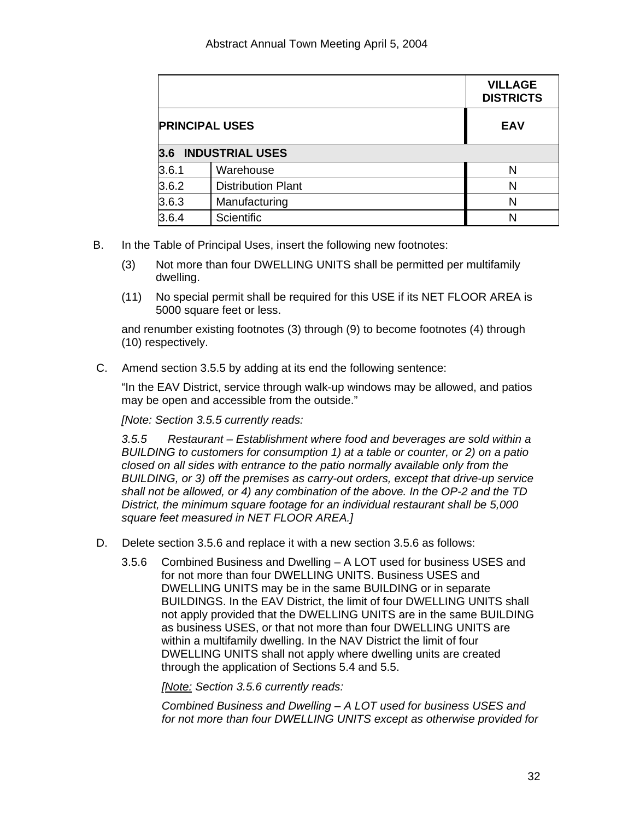|                       |                           | <b>VILLAGE</b><br><b>DISTRICTS</b> |
|-----------------------|---------------------------|------------------------------------|
| <b>PRINCIPAL USES</b> |                           | <b>EAV</b>                         |
| $3.6^{\circ}$         | <b>INDUSTRIAL USES</b>    |                                    |
| 3.6.1                 | Warehouse                 | N                                  |
| 3.6.2                 | <b>Distribution Plant</b> | N                                  |
| 3.6.3                 | Manufacturing             | N                                  |
| 3.6.4                 | Scientific                | N                                  |

- B. In the Table of Principal Uses, insert the following new footnotes:
	- (3) Not more than four DWELLING UNITS shall be permitted per multifamily dwelling.
	- (11) No special permit shall be required for this USE if its NET FLOOR AREA is 5000 square feet or less.

and renumber existing footnotes (3) through (9) to become footnotes (4) through (10) respectively.

C. Amend section 3.5.5 by adding at its end the following sentence:

"In the EAV District, service through walk-up windows may be allowed, and patios may be open and accessible from the outside."

*[Note: Section 3.5.5 currently reads:* 

*3.5.5 Restaurant – Establishment where food and beverages are sold within a BUILDING to customers for consumption 1) at a table or counter, or 2) on a patio closed on all sides with entrance to the patio normally available only from the BUILDING, or 3) off the premises as carry-out orders, except that drive-up service shall not be allowed, or 4) any combination of the above. In the OP-2 and the TD District, the minimum square footage for an individual restaurant shall be 5,000 square feet measured in NET FLOOR AREA.]* 

- D. Delete section 3.5.6 and replace it with a new section 3.5.6 as follows:
	- 3.5.6 Combined Business and Dwelling A LOT used for business USES and for not more than four DWELLING UNITS. Business USES and DWELLING UNITS may be in the same BUILDING or in separate BUILDINGS. In the EAV District, the limit of four DWELLING UNITS shall not apply provided that the DWELLING UNITS are in the same BUILDING as business USES, or that not more than four DWELLING UNITS are within a multifamily dwelling. In the NAV District the limit of four DWELLING UNITS shall not apply where dwelling units are created through the application of Sections 5.4 and 5.5.

*[Note: Section 3.5.6 currently reads:* 

*Combined Business and Dwelling – A LOT used for business USES and for not more than four DWELLING UNITS except as otherwise provided for*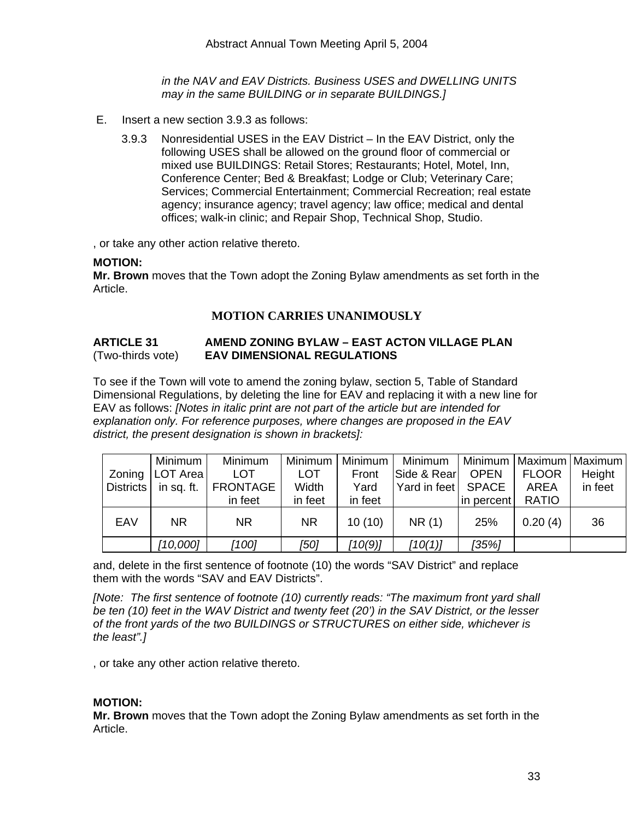*in the NAV and EAV Districts. Business USES and DWELLING UNITS may in the same BUILDING or in separate BUILDINGS.]* 

- E. Insert a new section 3.9.3 as follows:
	- 3.9.3 Nonresidential USES in the EAV District In the EAV District, only the following USES shall be allowed on the ground floor of commercial or mixed use BUILDINGS: Retail Stores; Restaurants; Hotel, Motel, Inn, Conference Center; Bed & Breakfast; Lodge or Club; Veterinary Care; Services; Commercial Entertainment; Commercial Recreation; real estate agency; insurance agency; travel agency; law office; medical and dental offices; walk-in clinic; and Repair Shop, Technical Shop, Studio.

, or take any other action relative thereto.

#### **MOTION:**

**Mr. Brown** moves that the Town adopt the Zoning Bylaw amendments as set forth in the Article.

# **MOTION CARRIES UNANIMOUSLY**

#### **ARTICLE 31 AMEND ZONING BYLAW – EAST ACTON VILLAGE PLAN**  (Two-thirds vote) **EAV DIMENSIONAL REGULATIONS**

To see if the Town will vote to amend the zoning bylaw, section 5, Table of Standard Dimensional Regulations, by deleting the line for EAV and replacing it with a new line for EAV as follows: *[Notes in italic print are not part of the article but are intended for explanation only. For reference purposes, where changes are proposed in the EAV district, the present designation is shown in brackets]:* 

|        | Minimum   | Minimum                           | Minimum    | Minimum | Minimum              |             |              | Minimum   Maximum   Maximum |
|--------|-----------|-----------------------------------|------------|---------|----------------------|-------------|--------------|-----------------------------|
| Zoning | LOT Area  | <b>LOT</b>                        | <b>LOT</b> | Front   | Side & Rear          | <b>OPEN</b> | <b>FLOOR</b> | Height                      |
|        |           | Districts   in sq. ft.   FRONTAGE | Width      | Yard    | Yard in feet   SPACE |             | AREA         | in feet                     |
|        |           | in feet                           | in feet    | in feet |                      | in percent  | <b>RATIO</b> |                             |
| EAV    | <b>NR</b> | <b>NR</b>                         | <b>NR</b>  | 10(10)  | NR(1)                | 25%         | 0.20(4)      | 36                          |
|        | [10,000]  | [100]                             | [50]       | [10(9)] | [10(1)]              | [35%]       |              |                             |

and, delete in the first sentence of footnote (10) the words "SAV District" and replace them with the words "SAV and EAV Districts".

*[Note: The first sentence of footnote (10) currently reads: "The maximum front yard shall be ten (10) feet in the WAV District and twenty feet (20') in the SAV District, or the lesser of the front yards of the two BUILDINGS or STRUCTURES on either side, whichever is the least".]* 

, or take any other action relative thereto.

#### **MOTION:**

**Mr. Brown** moves that the Town adopt the Zoning Bylaw amendments as set forth in the Article.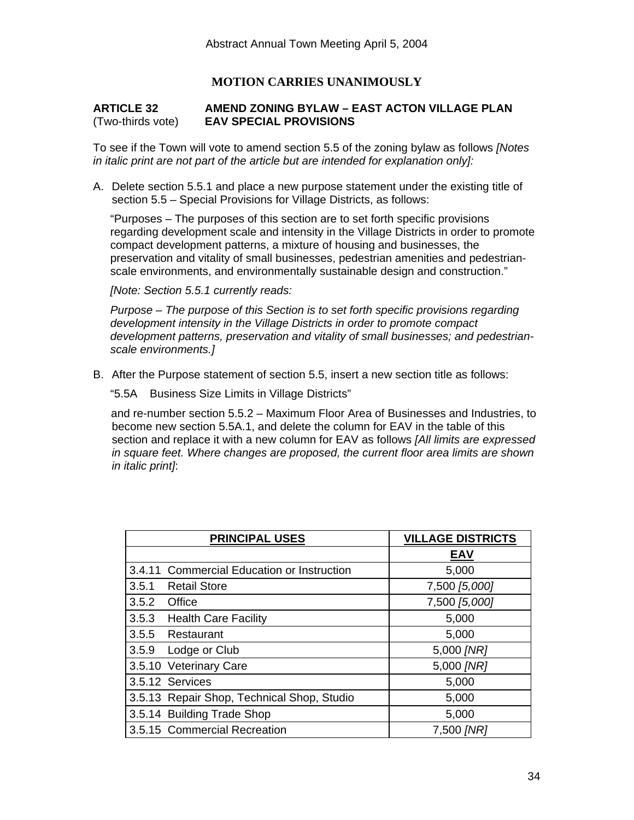# **MOTION CARRIES UNANIMOUSLY**

#### **ARTICLE 32 AMEND ZONING BYLAW – EAST ACTON VILLAGE PLAN**  (Two-thirds vote) **EAV SPECIAL PROVISIONS**

To see if the Town will vote to amend section 5.5 of the zoning bylaw as follows *[Notes in italic print are not part of the article but are intended for explanation only]:*

A. Delete section 5.5.1 and place a new purpose statement under the existing title of section 5.5 – Special Provisions for Village Districts, as follows:

"Purposes – The purposes of this section are to set forth specific provisions regarding development scale and intensity in the Village Districts in order to promote compact development patterns, a mixture of housing and businesses, the preservation and vitality of small businesses, pedestrian amenities and pedestrianscale environments, and environmentally sustainable design and construction."

*[Note: Section 5.5.1 currently reads:* 

*Purpose – The purpose of this Section is to set forth specific provisions regarding development intensity in the Village Districts in order to promote compact development patterns, preservation and vitality of small businesses; and pedestrianscale environments.]* 

B. After the Purpose statement of section 5.5, insert a new section title as follows:

"5.5A Business Size Limits in Village Districts"

and re-number section 5.5.2 – Maximum Floor Area of Businesses and Industries, to become new section 5.5A.1, and delete the column for EAV in the table of this section and replace it with a new column for EAV as follows *[All limits are expressed in square feet. Where changes are proposed, the current floor area limits are shown in italic print]*:

|       | <b>PRINCIPAL USES</b>                      | <b>VILLAGE DISTRICTS</b> |
|-------|--------------------------------------------|--------------------------|
|       |                                            | <b>EAV</b>               |
|       | 3.4.11 Commercial Education or Instruction | 5,000                    |
| 3.5.1 | <b>Retail Store</b>                        | 7,500 [5,000]            |
| 3.5.2 | Office                                     | 7,500 [5,000]            |
| 3.5.3 | <b>Health Care Facility</b>                | 5,000                    |
| 3.5.5 | Restaurant                                 | 5,000                    |
| 3.5.9 | Lodge or Club                              | 5,000 [NR]               |
|       | 3.5.10 Veterinary Care                     | 5,000 [NR]               |
|       | 3.5.12 Services                            | 5,000                    |
|       | 3.5.13 Repair Shop, Technical Shop, Studio | 5,000                    |
|       | 3.5.14 Building Trade Shop                 | 5,000                    |
|       | 3.5.15 Commercial Recreation               | 7,500 [NR]               |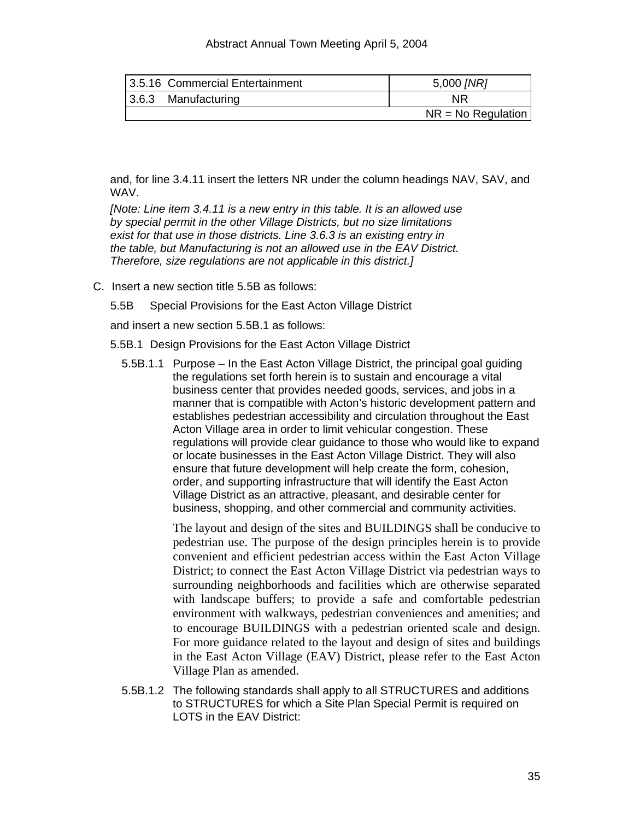#### Abstract Annual Town Meeting April 5, 2004

| 3.5.16 Commercial Entertainment | 5,000 [NR]           |
|---------------------------------|----------------------|
| $ 3.6.3$ Manufacturing          | <b>NR</b>            |
|                                 | $NR = No$ Regulation |

and, for line 3.4.11 insert the letters NR under the column headings NAV, SAV, and WAV.

*[Note: Line item 3.4.11 is a new entry in this table. It is an allowed use by special permit in the other Village Districts, but no size limitations exist for that use in those districts. Line 3.6.3 is an existing entry in the table, but Manufacturing is not an allowed use in the EAV District. Therefore, size regulations are not applicable in this district.]*

C. Insert a new section title 5.5B as follows:

5.5B Special Provisions for the East Acton Village District

and insert a new section 5.5B.1 as follows:

5.5B.1 Design Provisions for the East Acton Village District

5.5B.1.1 Purpose – In the East Acton Village District, the principal goal guiding the regulations set forth herein is to sustain and encourage a vital business center that provides needed goods, services, and jobs in a manner that is compatible with Acton's historic development pattern and establishes pedestrian accessibility and circulation throughout the East Acton Village area in order to limit vehicular congestion. These regulations will provide clear guidance to those who would like to expand or locate businesses in the East Acton Village District. They will also ensure that future development will help create the form, cohesion, order, and supporting infrastructure that will identify the East Acton Village District as an attractive, pleasant, and desirable center for business, shopping, and other commercial and community activities.

> The layout and design of the sites and BUILDINGS shall be conducive to pedestrian use. The purpose of the design principles herein is to provide convenient and efficient pedestrian access within the East Acton Village District; to connect the East Acton Village District via pedestrian ways to surrounding neighborhoods and facilities which are otherwise separated with landscape buffers; to provide a safe and comfortable pedestrian environment with walkways, pedestrian conveniences and amenities; and to encourage BUILDINGS with a pedestrian oriented scale and design. For more guidance related to the layout and design of sites and buildings in the East Acton Village (EAV) District, please refer to the East Acton Village Plan as amended.

5.5B.1.2 The following standards shall apply to all STRUCTURES and additions to STRUCTURES for which a Site Plan Special Permit is required on LOTS in the EAV District: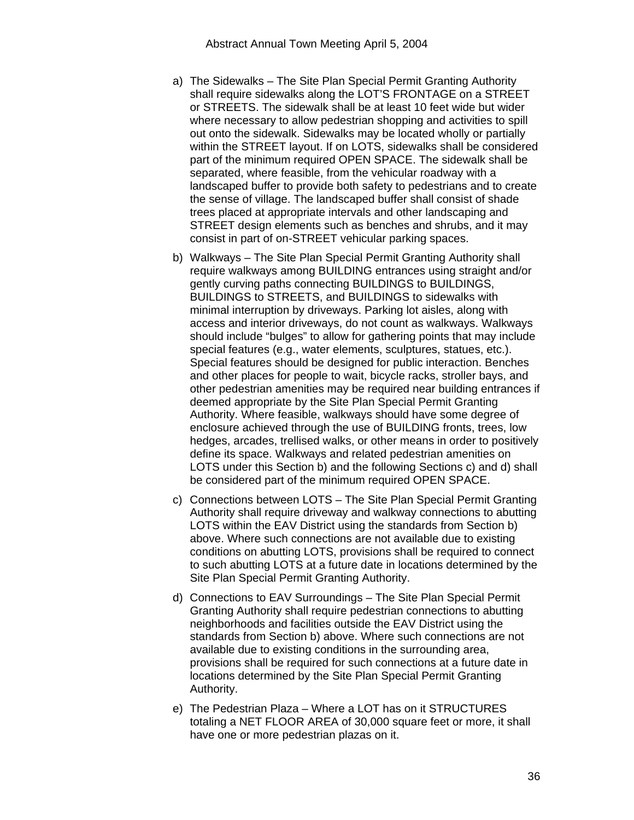- a) The Sidewalks The Site Plan Special Permit Granting Authority shall require sidewalks along the LOT'S FRONTAGE on a STREET or STREETS. The sidewalk shall be at least 10 feet wide but wider where necessary to allow pedestrian shopping and activities to spill out onto the sidewalk. Sidewalks may be located wholly or partially within the STREET layout. If on LOTS, sidewalks shall be considered part of the minimum required OPEN SPACE. The sidewalk shall be separated, where feasible, from the vehicular roadway with a landscaped buffer to provide both safety to pedestrians and to create the sense of village. The landscaped buffer shall consist of shade trees placed at appropriate intervals and other landscaping and STREET design elements such as benches and shrubs, and it may consist in part of on-STREET vehicular parking spaces.
- b) Walkways The Site Plan Special Permit Granting Authority shall require walkways among BUILDING entrances using straight and/or gently curving paths connecting BUILDINGS to BUILDINGS, BUILDINGS to STREETS, and BUILDINGS to sidewalks with minimal interruption by driveways. Parking lot aisles, along with access and interior driveways, do not count as walkways. Walkways should include "bulges" to allow for gathering points that may include special features (e.g., water elements, sculptures, statues, etc.). Special features should be designed for public interaction. Benches and other places for people to wait, bicycle racks, stroller bays, and other pedestrian amenities may be required near building entrances if deemed appropriate by the Site Plan Special Permit Granting Authority. Where feasible, walkways should have some degree of enclosure achieved through the use of BUILDING fronts, trees, low hedges, arcades, trellised walks, or other means in order to positively define its space. Walkways and related pedestrian amenities on LOTS under this Section b) and the following Sections c) and d) shall be considered part of the minimum required OPEN SPACE.
- c) Connections between LOTS The Site Plan Special Permit Granting Authority shall require driveway and walkway connections to abutting LOTS within the EAV District using the standards from Section b) above. Where such connections are not available due to existing conditions on abutting LOTS, provisions shall be required to connect to such abutting LOTS at a future date in locations determined by the Site Plan Special Permit Granting Authority.
- d) Connections to EAV Surroundings The Site Plan Special Permit Granting Authority shall require pedestrian connections to abutting neighborhoods and facilities outside the EAV District using the standards from Section b) above. Where such connections are not available due to existing conditions in the surrounding area, provisions shall be required for such connections at a future date in locations determined by the Site Plan Special Permit Granting Authority.
- e) The Pedestrian Plaza Where a LOT has on it STRUCTURES totaling a NET FLOOR AREA of 30,000 square feet or more, it shall have one or more pedestrian plazas on it.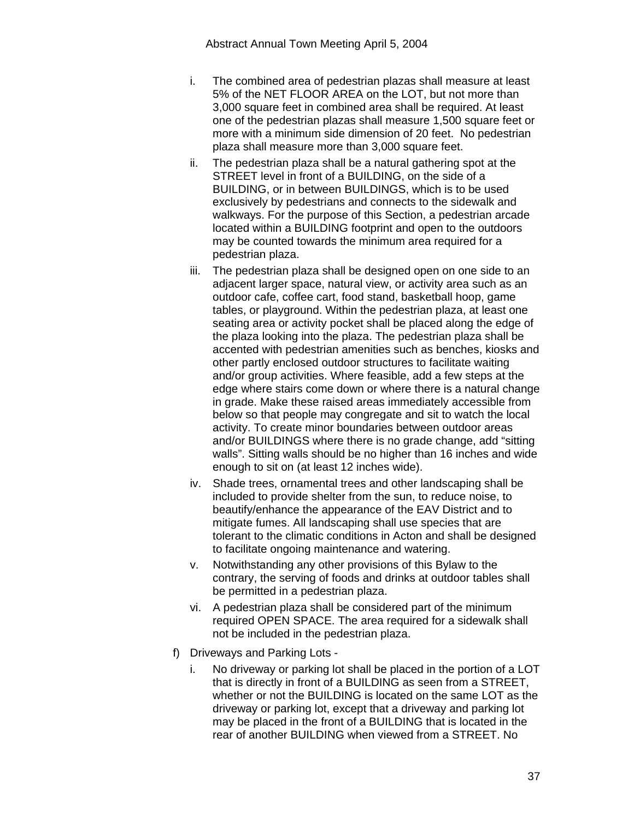- i. The combined area of pedestrian plazas shall measure at least 5% of the NET FLOOR AREA on the LOT, but not more than 3,000 square feet in combined area shall be required. At least one of the pedestrian plazas shall measure 1,500 square feet or more with a minimum side dimension of 20 feet. No pedestrian plaza shall measure more than 3,000 square feet.
- ii. The pedestrian plaza shall be a natural gathering spot at the STREET level in front of a BUILDING, on the side of a BUILDING, or in between BUILDINGS, which is to be used exclusively by pedestrians and connects to the sidewalk and walkways. For the purpose of this Section, a pedestrian arcade located within a BUILDING footprint and open to the outdoors may be counted towards the minimum area required for a pedestrian plaza.
- iii. The pedestrian plaza shall be designed open on one side to an adjacent larger space, natural view, or activity area such as an outdoor cafe, coffee cart, food stand, basketball hoop, game tables, or playground. Within the pedestrian plaza, at least one seating area or activity pocket shall be placed along the edge of the plaza looking into the plaza. The pedestrian plaza shall be accented with pedestrian amenities such as benches, kiosks and other partly enclosed outdoor structures to facilitate waiting and/or group activities. Where feasible, add a few steps at the edge where stairs come down or where there is a natural change in grade. Make these raised areas immediately accessible from below so that people may congregate and sit to watch the local activity. To create minor boundaries between outdoor areas and/or BUILDINGS where there is no grade change, add "sitting walls". Sitting walls should be no higher than 16 inches and wide enough to sit on (at least 12 inches wide).
- iv. Shade trees, ornamental trees and other landscaping shall be included to provide shelter from the sun, to reduce noise, to beautify/enhance the appearance of the EAV District and to mitigate fumes. All landscaping shall use species that are tolerant to the climatic conditions in Acton and shall be designed to facilitate ongoing maintenance and watering.
- v. Notwithstanding any other provisions of this Bylaw to the contrary, the serving of foods and drinks at outdoor tables shall be permitted in a pedestrian plaza.
- vi. A pedestrian plaza shall be considered part of the minimum required OPEN SPACE. The area required for a sidewalk shall not be included in the pedestrian plaza.
- f) Driveways and Parking Lots
	- i. No driveway or parking lot shall be placed in the portion of a LOT that is directly in front of a BUILDING as seen from a STREET, whether or not the BUILDING is located on the same LOT as the driveway or parking lot, except that a driveway and parking lot may be placed in the front of a BUILDING that is located in the rear of another BUILDING when viewed from a STREET. No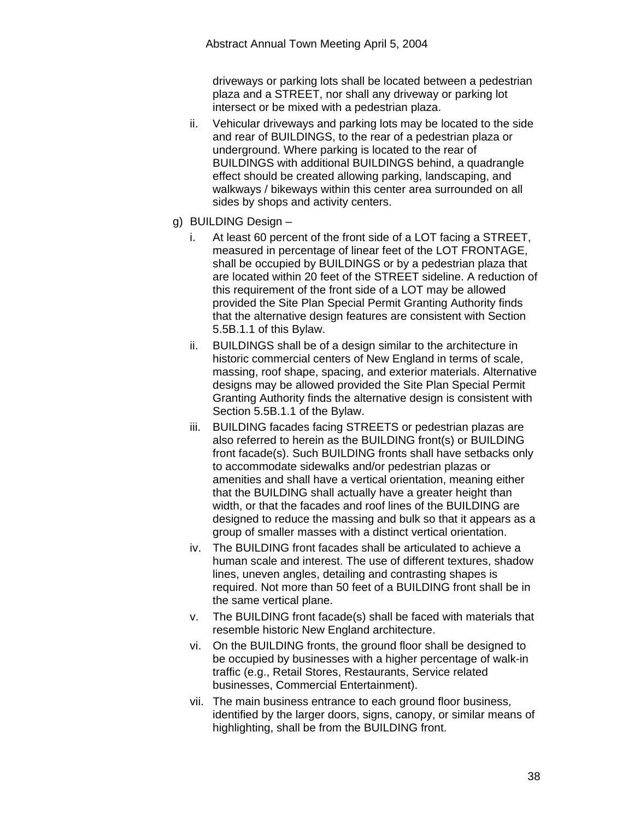driveways or parking lots shall be located between a pedestrian plaza and a STREET, nor shall any driveway or parking lot intersect or be mixed with a pedestrian plaza.

- ii. Vehicular driveways and parking lots may be located to the side and rear of BUILDINGS, to the rear of a pedestrian plaza or underground. Where parking is located to the rear of BUILDINGS with additional BUILDINGS behind, a quadrangle effect should be created allowing parking, landscaping, and walkways / bikeways within this center area surrounded on all sides by shops and activity centers.
- g) BUILDING Design
	- i. At least 60 percent of the front side of a LOT facing a STREET, measured in percentage of linear feet of the LOT FRONTAGE, shall be occupied by BUILDINGS or by a pedestrian plaza that are located within 20 feet of the STREET sideline. A reduction of this requirement of the front side of a LOT may be allowed provided the Site Plan Special Permit Granting Authority finds that the alternative design features are consistent with Section 5.5B.1.1 of this Bylaw.
	- ii. BUILDINGS shall be of a design similar to the architecture in historic commercial centers of New England in terms of scale, massing, roof shape, spacing, and exterior materials. Alternative designs may be allowed provided the Site Plan Special Permit Granting Authority finds the alternative design is consistent with Section 5.5B.1.1 of the Bylaw.
	- iii. BUILDING facades facing STREETS or pedestrian plazas are also referred to herein as the BUILDING front(s) or BUILDING front facade(s). Such BUILDING fronts shall have setbacks only to accommodate sidewalks and/or pedestrian plazas or amenities and shall have a vertical orientation, meaning either that the BUILDING shall actually have a greater height than width, or that the facades and roof lines of the BUILDING are designed to reduce the massing and bulk so that it appears as a group of smaller masses with a distinct vertical orientation.
	- iv. The BUILDING front facades shall be articulated to achieve a human scale and interest. The use of different textures, shadow lines, uneven angles, detailing and contrasting shapes is required. Not more than 50 feet of a BUILDING front shall be in the same vertical plane.
	- v. The BUILDING front facade(s) shall be faced with materials that resemble historic New England architecture.
	- vi. On the BUILDING fronts, the ground floor shall be designed to be occupied by businesses with a higher percentage of walk-in traffic (e.g., Retail Stores, Restaurants, Service related businesses, Commercial Entertainment).
	- vii. The main business entrance to each ground floor business, identified by the larger doors, signs, canopy, or similar means of highlighting, shall be from the BUILDING front.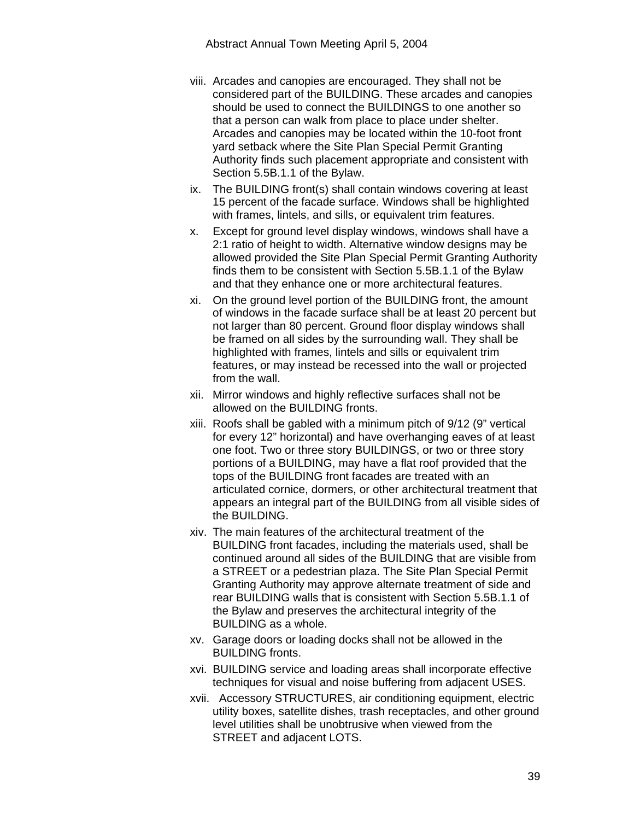- viii. Arcades and canopies are encouraged. They shall not be considered part of the BUILDING. These arcades and canopies should be used to connect the BUILDINGS to one another so that a person can walk from place to place under shelter. Arcades and canopies may be located within the 10-foot front yard setback where the Site Plan Special Permit Granting Authority finds such placement appropriate and consistent with Section 5.5B.1.1 of the Bylaw.
- ix. The BUILDING front(s) shall contain windows covering at least 15 percent of the facade surface. Windows shall be highlighted with frames, lintels, and sills, or equivalent trim features.
- x. Except for ground level display windows, windows shall have a 2:1 ratio of height to width. Alternative window designs may be allowed provided the Site Plan Special Permit Granting Authority finds them to be consistent with Section 5.5B.1.1 of the Bylaw and that they enhance one or more architectural features.
- xi. On the ground level portion of the BUILDING front, the amount of windows in the facade surface shall be at least 20 percent but not larger than 80 percent. Ground floor display windows shall be framed on all sides by the surrounding wall. They shall be highlighted with frames, lintels and sills or equivalent trim features, or may instead be recessed into the wall or projected from the wall.
- xii. Mirror windows and highly reflective surfaces shall not be allowed on the BUILDING fronts.
- xiii. Roofs shall be gabled with a minimum pitch of 9/12 (9" vertical for every 12" horizontal) and have overhanging eaves of at least one foot. Two or three story BUILDINGS, or two or three story portions of a BUILDING, may have a flat roof provided that the tops of the BUILDING front facades are treated with an articulated cornice, dormers, or other architectural treatment that appears an integral part of the BUILDING from all visible sides of the BUILDING.
- xiv. The main features of the architectural treatment of the BUILDING front facades, including the materials used, shall be continued around all sides of the BUILDING that are visible from a STREET or a pedestrian plaza. The Site Plan Special Permit Granting Authority may approve alternate treatment of side and rear BUILDING walls that is consistent with Section 5.5B.1.1 of the Bylaw and preserves the architectural integrity of the BUILDING as a whole.
- xv. Garage doors or loading docks shall not be allowed in the BUILDING fronts.
- xvi. BUILDING service and loading areas shall incorporate effective techniques for visual and noise buffering from adjacent USES.
- xvii. Accessory STRUCTURES, air conditioning equipment, electric utility boxes, satellite dishes, trash receptacles, and other ground level utilities shall be unobtrusive when viewed from the STREET and adjacent LOTS.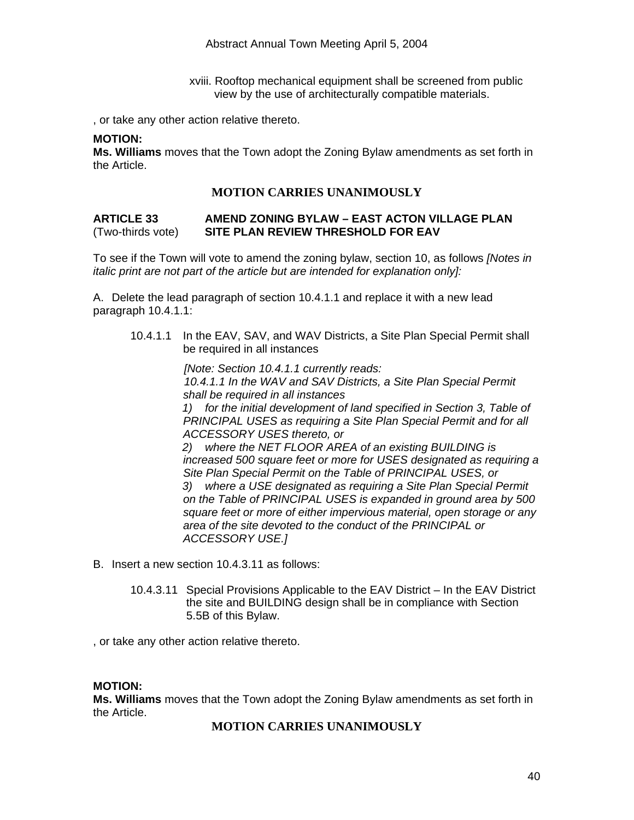xviii. Rooftop mechanical equipment shall be screened from public view by the use of architecturally compatible materials.

, or take any other action relative thereto.

#### **MOTION:**

**Ms. Williams** moves that the Town adopt the Zoning Bylaw amendments as set forth in the Article.

#### **MOTION CARRIES UNANIMOUSLY**

#### **ARTICLE 33 AMEND ZONING BYLAW – EAST ACTON VILLAGE PLAN**  (Two-thirds vote) **SITE PLAN REVIEW THRESHOLD FOR EAV**

To see if the Town will vote to amend the zoning bylaw, section 10, as follows *[Notes in italic print are not part of the article but are intended for explanation only]:* 

A. Delete the lead paragraph of section 10.4.1.1 and replace it with a new lead paragraph 10.4.1.1:

10.4.1.1 In the EAV, SAV, and WAV Districts, a Site Plan Special Permit shall be required in all instances

*[Note: Section 10.4.1.1 currently reads:* 

*10.4.1.1 In the WAV and SAV Districts, a Site Plan Special Permit shall be required in all instances* 

*1) for the initial development of land specified in Section 3, Table of*  **PRINCIPAL USES as requiring a Site Plan Special Permit and for all** *ACCESSORY USES thereto, or* 

*2) where the NET FLOOR AREA of an existing BUILDING is increased 500 square feet or more for USES designated as requiring a Site Plan Special Permit on the Table of PRINCIPAL USES, or* 

*3) where a USE designated as requiring a Site Plan Special Permit on the Table of PRINCIPAL USES is expanded in ground area by 500 square feet or more of either impervious material, open storage or any area of the site devoted to the conduct of the PRINCIPAL or ACCESSORY USE.]*

- B. Insert a new section 10.4.3.11 as follows:
	- 10.4.3.11 Special Provisions Applicable to the EAV District In the EAV District the site and BUILDING design shall be in compliance with Section 5.5B of this Bylaw.

, or take any other action relative thereto.

#### **MOTION:**

**Ms. Williams** moves that the Town adopt the Zoning Bylaw amendments as set forth in the Article.

#### **MOTION CARRIES UNANIMOUSLY**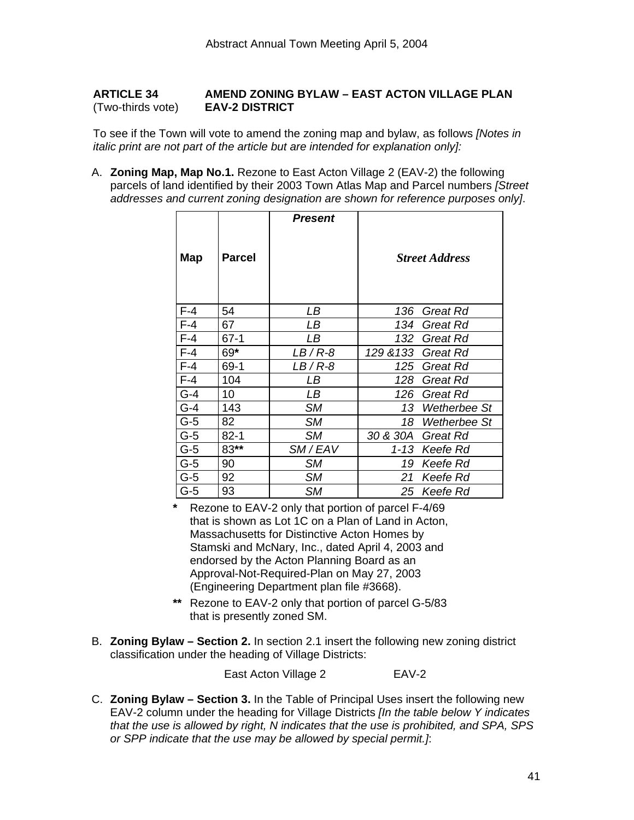#### **ARTICLE 34 AMEND ZONING BYLAW – EAST ACTON VILLAGE PLAN**  (Two-thirds vote) **EAV-2 DISTRICT**

To see if the Town will vote to amend the zoning map and bylaw, as follows *[Notes in italic print are not part of the article but are intended for explanation only]:*

A. **Zoning Map, Map No.1.** Rezone to East Acton Village 2 (EAV-2) the following parcels of land identified by their 2003 Town Atlas Map and Parcel numbers *[Street addresses and current zoning designation are shown for reference purposes only]*.

| Map   | <b>Parcel</b> | <b>Present</b> |           | <b>Street Address</b> |
|-------|---------------|----------------|-----------|-----------------------|
| F-4   | 54            | LВ             | 136       | Great Rd              |
| $F-4$ | 67            | LВ             | 134       | Great Rd              |
| $F-4$ | $67-1$        | LВ             | 132       | Great Rd              |
| $F-4$ | 69*           | $LB/R-8$       | 129 & 133 | Great Rd              |
| $F-4$ | 69-1          | LB / R-8       | 125       | Great Rd              |
| $F-4$ | 104           | LВ             | 128       | <b>Great Rd</b>       |
| $G-4$ | 10            | LВ             | 126       | Great Rd              |
| $G-4$ | 143           | SМ             | 13        | Wetherbee St          |
| $G-5$ | 82            | SМ             | 18        | Wetherbee St          |
| $G-5$ | $82 - 1$      | SМ             | 30 & 30A  | Great Rd              |
| $G-5$ | 83**          | SM/EAV         | $1 - 13$  | Keefe Rd              |
| G-5   | 90            | <b>SM</b>      | 19        | Keefe Rd              |
| G-5   | 92            | <b>SM</b>      | 21        | Keefe Rd              |
| G-5   | 93            | SM             | 25        | Keefe Rd              |

**\*** Rezone to EAV-2 only that portion of parcel F-4/69 that is shown as Lot 1C on a Plan of Land in Acton, Massachusetts for Distinctive Acton Homes by Stamski and McNary, Inc., dated April 4, 2003 and endorsed by the Acton Planning Board as an Approval-Not-Required-Plan on May 27, 2003 (Engineering Department plan file #3668).

- **\*\*** Rezone to EAV-2 only that portion of parcel G-5/83 that is presently zoned SM.
- B. **Zoning Bylaw Section 2.** In section 2.1 insert the following new zoning district classification under the heading of Village Districts:

East Acton Village 2 EAV-2

C. **Zoning Bylaw – Section 3.** In the Table of Principal Uses insert the following new EAV-2 column under the heading for Village Districts *[In the table below Y indicates that the use is allowed by right, N indicates that the use is prohibited, and SPA, SPS or SPP indicate that the use may be allowed by special permit.]*: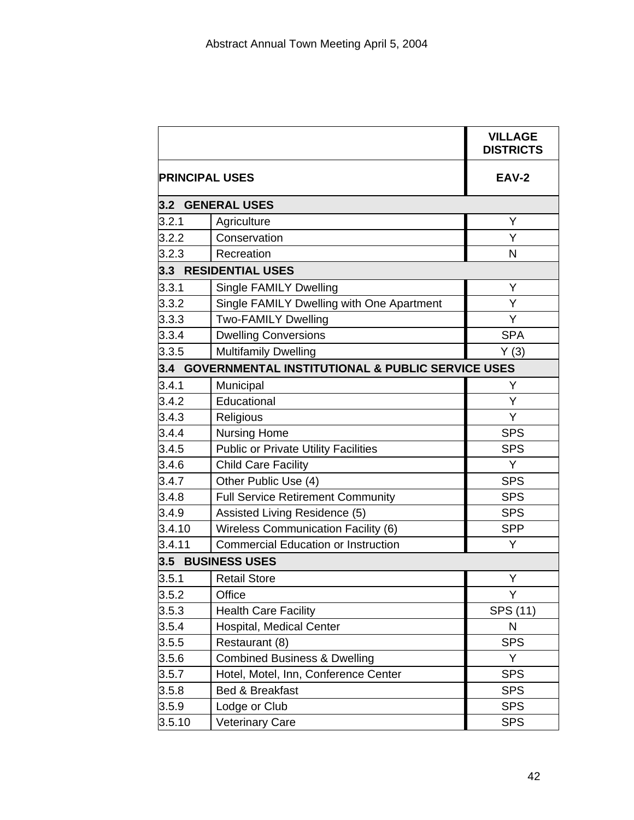|                       |                                                      | <b>VILLAGE</b><br><b>DISTRICTS</b> |
|-----------------------|------------------------------------------------------|------------------------------------|
| <b>PRINCIPAL USES</b> | <b>EAV-2</b>                                         |                                    |
|                       | 3.2 GENERAL USES                                     |                                    |
| 3.2.1                 | Agriculture                                          | Υ                                  |
| 3.2.2                 | Conservation                                         | Y                                  |
| 3.2.3                 | Recreation                                           | N                                  |
|                       | 3.3 RESIDENTIAL USES                                 |                                    |
| 3.3.1                 | <b>Single FAMILY Dwelling</b>                        | Y                                  |
| 3.3.2                 | Single FAMILY Dwelling with One Apartment            | Υ                                  |
| 3.3.3                 | <b>Two-FAMILY Dwelling</b>                           | Y                                  |
| 3.3.4                 | <b>Dwelling Conversions</b>                          | <b>SPA</b>                         |
| 3.3.5                 | <b>Multifamily Dwelling</b>                          | Y(3)                               |
|                       | 3.4 GOVERNMENTAL INSTITUTIONAL & PUBLIC SERVICE USES |                                    |
| 3.4.1                 | Municipal                                            | Υ                                  |
| 3.4.2                 | Educational                                          | Υ                                  |
| 3.4.3                 | Religious                                            | Y                                  |
| 3.4.4                 | <b>Nursing Home</b>                                  | <b>SPS</b>                         |
| 3.4.5                 | <b>Public or Private Utility Facilities</b>          | <b>SPS</b>                         |
| 3.4.6                 | <b>Child Care Facility</b>                           | Y                                  |
| 3.4.7                 | Other Public Use (4)                                 | <b>SPS</b>                         |
| 3.4.8                 | <b>Full Service Retirement Community</b>             | <b>SPS</b>                         |
| 3.4.9                 | Assisted Living Residence (5)                        | <b>SPS</b>                         |
| 3.4.10                | Wireless Communication Facility (6)                  | <b>SPP</b>                         |
| 3.4.11                | <b>Commercial Education or Instruction</b>           | Y                                  |
| 3.5                   | <b>BUSINESS USES</b>                                 |                                    |
| 3.5.1                 | <b>Retail Store</b>                                  | Υ                                  |
| 3.5.2                 | Office                                               | Y                                  |
| 3.5.3                 | <b>Health Care Facility</b>                          | SPS (11)                           |
| 3.5.4                 | Hospital, Medical Center                             | N                                  |
| 3.5.5                 | Restaurant (8)                                       | <b>SPS</b>                         |
| 3.5.6                 | <b>Combined Business &amp; Dwelling</b>              | Y                                  |
| 3.5.7                 | Hotel, Motel, Inn, Conference Center                 | <b>SPS</b>                         |
| 3.5.8                 | Bed & Breakfast                                      | <b>SPS</b>                         |
| 3.5.9                 | Lodge or Club                                        | <b>SPS</b>                         |
| 3.5.10                | <b>Veterinary Care</b>                               | <b>SPS</b>                         |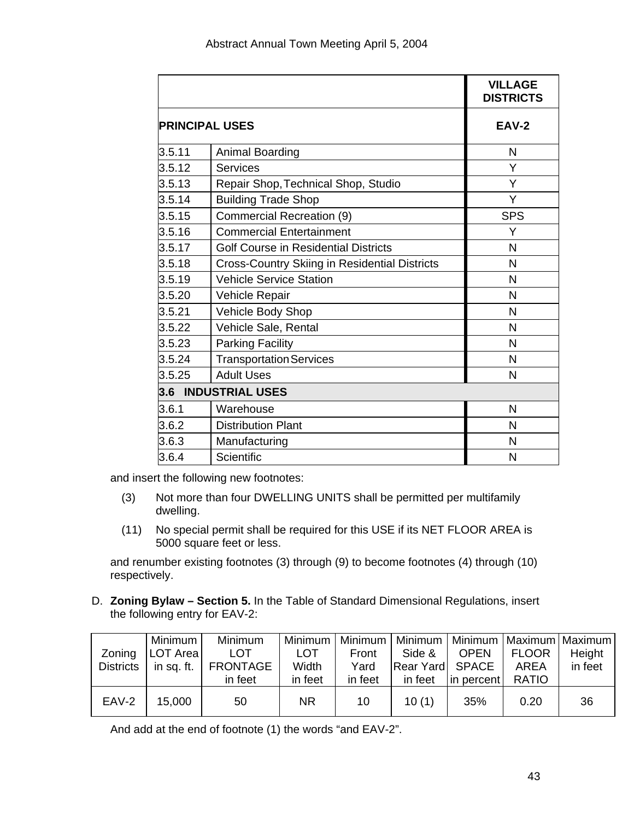|                       |                                                      | <b>VILLAGE</b><br><b>DISTRICTS</b> |
|-----------------------|------------------------------------------------------|------------------------------------|
| <b>PRINCIPAL USES</b> | <b>EAV-2</b>                                         |                                    |
| 3.5.11                | Animal Boarding                                      | N                                  |
| 3.5.12                | <b>Services</b>                                      | Y                                  |
| 3.5.13                | Repair Shop, Technical Shop, Studio                  | Y                                  |
| 3.5.14                | <b>Building Trade Shop</b>                           | Y                                  |
| 3.5.15                | Commercial Recreation (9)                            | <b>SPS</b>                         |
| 3.5.16                | <b>Commercial Entertainment</b>                      | Y                                  |
| 3.5.17                | <b>Golf Course in Residential Districts</b>          | N                                  |
| 3.5.18                | <b>Cross-Country Skiing in Residential Districts</b> | N                                  |
| 3.5.19                | <b>Vehicle Service Station</b>                       | N                                  |
| 3.5.20                | Vehicle Repair                                       | N                                  |
| 3.5.21                | Vehicle Body Shop                                    | N                                  |
| 3.5.22                | Vehicle Sale, Rental                                 | N                                  |
| 3.5.23                | <b>Parking Facility</b>                              | N                                  |
| 3.5.24                | <b>Transportation Services</b>                       | N                                  |
| 3.5.25                | <b>Adult Uses</b>                                    | N                                  |
|                       | 3.6 INDUSTRIAL USES                                  |                                    |
| 3.6.1                 | Warehouse                                            | N                                  |
| 3.6.2                 | <b>Distribution Plant</b>                            | N                                  |
| 3.6.3                 | Manufacturing                                        | N                                  |
| 3.6.4                 | Scientific                                           | N                                  |

and insert the following new footnotes:

- (3) Not more than four DWELLING UNITS shall be permitted per multifamily dwelling.
- (11) No special permit shall be required for this USE if its NET FLOOR AREA is 5000 square feet or less.

and renumber existing footnotes (3) through (9) to become footnotes (4) through (10) respectively.

D. **Zoning Bylaw – Section 5.** In the Table of Standard Dimensional Regulations, insert the following entry for EAV-2:

|                  | Minimum I | <b>Minimum</b>              |            |         | Minimum   Minimum   Minimum   Minimum   Maximum   Maximum |             |              |         |
|------------------|-----------|-----------------------------|------------|---------|-----------------------------------------------------------|-------------|--------------|---------|
| Zoning           | LOT Area  | <b>LOT</b>                  | <b>LOT</b> | Front   | Side &                                                    | <b>OPEN</b> | <b>FLOOR</b> | Height  |
| <b>Districts</b> |           | in sq. ft. $\vert$ FRONTAGE | Width      | Yard    | Rear Yard SPACE                                           |             | AREA         | in feet |
|                  |           | in feet                     | in feet    | in feet | in feet                                                   | in percent  | RATIO        |         |
| EAV-2            | 15,000    | 50                          | <b>NR</b>  | 10      | 10(1)                                                     | 35%         | 0.20         | 36      |

And add at the end of footnote (1) the words "and EAV-2".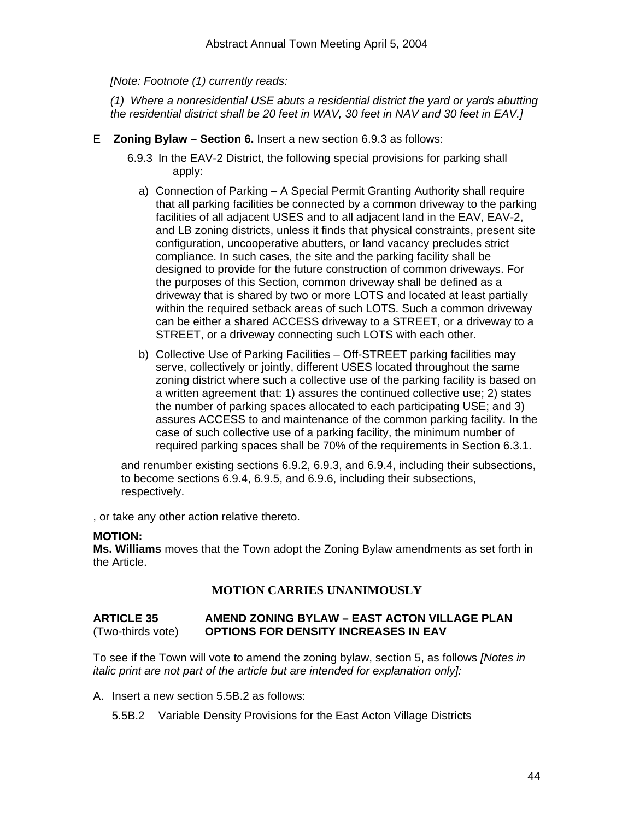*[Note: Footnote (1) currently reads:* 

*(1) Where a nonresidential USE abuts a residential district the yard or yards abutting the residential district shall be 20 feet in WAV, 30 feet in NAV and 30 feet in EAV.]* 

- E **Zoning Bylaw Section 6.** Insert a new section 6.9.3 as follows:
	- 6.9.3 In the EAV-2 District, the following special provisions for parking shall apply:
		- a) Connection of Parking A Special Permit Granting Authority shall require that all parking facilities be connected by a common driveway to the parking facilities of all adjacent USES and to all adjacent land in the EAV, EAV-2, and LB zoning districts, unless it finds that physical constraints, present site configuration, uncooperative abutters, or land vacancy precludes strict compliance. In such cases, the site and the parking facility shall be designed to provide for the future construction of common driveways. For the purposes of this Section, common driveway shall be defined as a driveway that is shared by two or more LOTS and located at least partially within the required setback areas of such LOTS. Such a common driveway can be either a shared ACCESS driveway to a STREET, or a driveway to a STREET, or a driveway connecting such LOTS with each other.
		- b) Collective Use of Parking Facilities Off-STREET parking facilities may serve, collectively or jointly, different USES located throughout the same zoning district where such a collective use of the parking facility is based on a written agreement that: 1) assures the continued collective use; 2) states the number of parking spaces allocated to each participating USE; and 3) assures ACCESS to and maintenance of the common parking facility. In the case of such collective use of a parking facility, the minimum number of required parking spaces shall be 70% of the requirements in Section 6.3.1.

and renumber existing sections 6.9.2, 6.9.3, and 6.9.4, including their subsections, to become sections 6.9.4, 6.9.5, and 6.9.6, including their subsections, respectively.

, or take any other action relative thereto.

#### **MOTION:**

**Ms. Williams** moves that the Town adopt the Zoning Bylaw amendments as set forth in the Article.

#### **MOTION CARRIES UNANIMOUSLY**

#### **ARTICLE 35 AMEND ZONING BYLAW – EAST ACTON VILLAGE PLAN**  (Two-thirds vote) **OPTIONS FOR DENSITY INCREASES IN EAV**

To see if the Town will vote to amend the zoning bylaw, section 5, as follows *[Notes in italic print are not part of the article but are intended for explanation only]:*

A. Insert a new section 5.5B.2 as follows:

5.5B.2 Variable Density Provisions for the East Acton Village Districts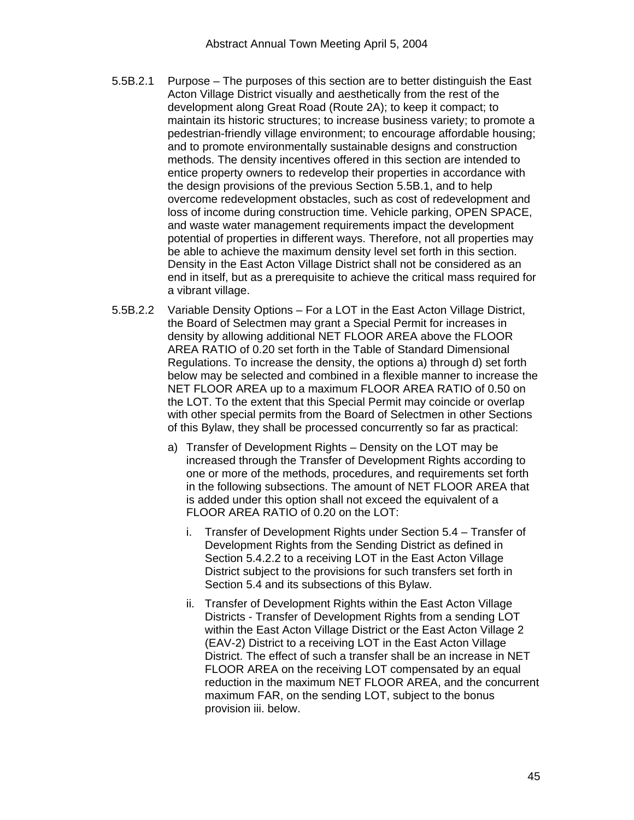- 5.5B.2.1 Purpose The purposes of this section are to better distinguish the East Acton Village District visually and aesthetically from the rest of the development along Great Road (Route 2A); to keep it compact; to maintain its historic structures; to increase business variety; to promote a pedestrian-friendly village environment; to encourage affordable housing; and to promote environmentally sustainable designs and construction methods. The density incentives offered in this section are intended to entice property owners to redevelop their properties in accordance with the design provisions of the previous Section 5.5B.1, and to help overcome redevelopment obstacles, such as cost of redevelopment and loss of income during construction time. Vehicle parking, OPEN SPACE, and waste water management requirements impact the development potential of properties in different ways. Therefore, not all properties may be able to achieve the maximum density level set forth in this section. Density in the East Acton Village District shall not be considered as an end in itself, but as a prerequisite to achieve the critical mass required for a vibrant village.
- 5.5B.2.2 Variable Density Options For a LOT in the East Acton Village District, the Board of Selectmen may grant a Special Permit for increases in density by allowing additional NET FLOOR AREA above the FLOOR AREA RATIO of 0.20 set forth in the Table of Standard Dimensional Regulations. To increase the density, the options a) through d) set forth below may be selected and combined in a flexible manner to increase the NET FLOOR AREA up to a maximum FLOOR AREA RATIO of 0.50 on the LOT. To the extent that this Special Permit may coincide or overlap with other special permits from the Board of Selectmen in other Sections of this Bylaw, they shall be processed concurrently so far as practical:
	- a) Transfer of Development Rights Density on the LOT may be increased through the Transfer of Development Rights according to one or more of the methods, procedures, and requirements set forth in the following subsections. The amount of NET FLOOR AREA that is added under this option shall not exceed the equivalent of a FLOOR AREA RATIO of 0.20 on the LOT:
		- i. Transfer of Development Rights under Section 5.4 Transfer of Development Rights from the Sending District as defined in Section 5.4.2.2 to a receiving LOT in the East Acton Village District subject to the provisions for such transfers set forth in Section 5.4 and its subsections of this Bylaw.
		- ii. Transfer of Development Rights within the East Acton Village Districts - Transfer of Development Rights from a sending LOT within the East Acton Village District or the East Acton Village 2 (EAV-2) District to a receiving LOT in the East Acton Village District. The effect of such a transfer shall be an increase in NET FLOOR AREA on the receiving LOT compensated by an equal reduction in the maximum NET FLOOR AREA, and the concurrent maximum FAR, on the sending LOT, subject to the bonus provision iii. below.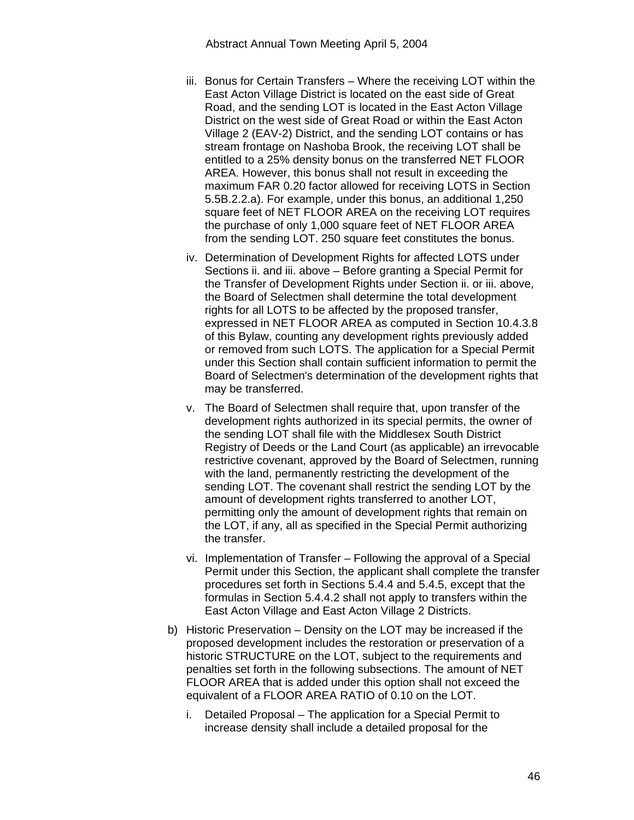- iii. Bonus for Certain Transfers Where the receiving LOT within the East Acton Village District is located on the east side of Great Road, and the sending LOT is located in the East Acton Village District on the west side of Great Road or within the East Acton Village 2 (EAV-2) District, and the sending LOT contains or has stream frontage on Nashoba Brook, the receiving LOT shall be entitled to a 25% density bonus on the transferred NET FLOOR AREA. However, this bonus shall not result in exceeding the maximum FAR 0.20 factor allowed for receiving LOTS in Section 5.5B.2.2.a). For example, under this bonus, an additional 1,250 square feet of NET FLOOR AREA on the receiving LOT requires the purchase of only 1,000 square feet of NET FLOOR AREA from the sending LOT. 250 square feet constitutes the bonus.
- iv. Determination of Development Rights for affected LOTS under Sections ii. and iii. above – Before granting a Special Permit for the Transfer of Development Rights under Section ii. or iii. above, the Board of Selectmen shall determine the total development rights for all LOTS to be affected by the proposed transfer, expressed in NET FLOOR AREA as computed in Section 10.4.3.8 of this Bylaw, counting any development rights previously added or removed from such LOTS. The application for a Special Permit under this Section shall contain sufficient information to permit the Board of Selectmen's determination of the development rights that may be transferred.
- v. The Board of Selectmen shall require that, upon transfer of the development rights authorized in its special permits, the owner of the sending LOT shall file with the Middlesex South District Registry of Deeds or the Land Court (as applicable) an irrevocable restrictive covenant, approved by the Board of Selectmen, running with the land, permanently restricting the development of the sending LOT. The covenant shall restrict the sending LOT by the amount of development rights transferred to another LOT, permitting only the amount of development rights that remain on the LOT, if any, all as specified in the Special Permit authorizing the transfer.
- vi. Implementation of Transfer Following the approval of a Special Permit under this Section, the applicant shall complete the transfer procedures set forth in Sections 5.4.4 and 5.4.5, except that the formulas in Section 5.4.4.2 shall not apply to transfers within the East Acton Village and East Acton Village 2 Districts.
- b) Historic Preservation Density on the LOT may be increased if the proposed development includes the restoration or preservation of a historic STRUCTURE on the LOT, subject to the requirements and penalties set forth in the following subsections. The amount of NET FLOOR AREA that is added under this option shall not exceed the equivalent of a FLOOR AREA RATIO of 0.10 on the LOT.
	- i. Detailed Proposal The application for a Special Permit to increase density shall include a detailed proposal for the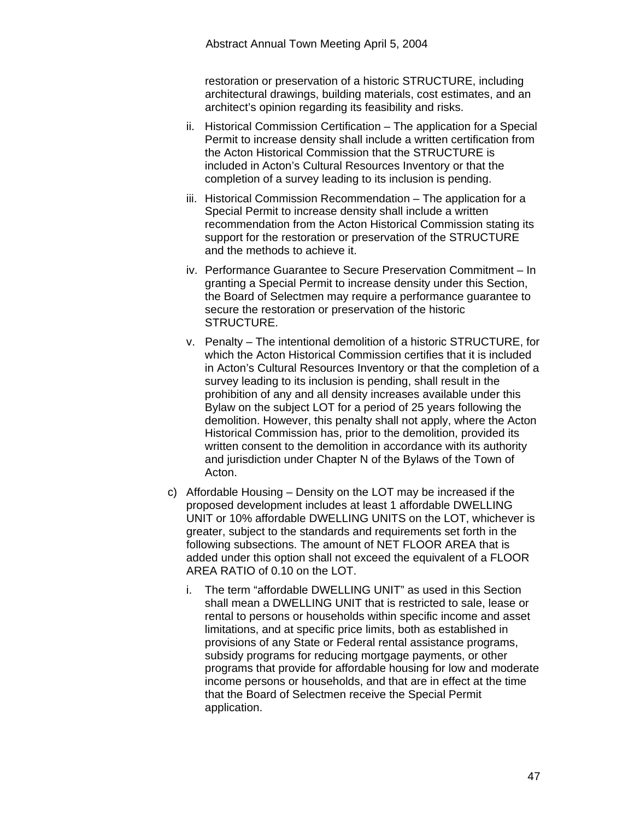restoration or preservation of a historic STRUCTURE, including architectural drawings, building materials, cost estimates, and an architect's opinion regarding its feasibility and risks.

- ii. Historical Commission Certification The application for a Special Permit to increase density shall include a written certification from the Acton Historical Commission that the STRUCTURE is included in Acton's Cultural Resources Inventory or that the completion of a survey leading to its inclusion is pending.
- iii. Historical Commission Recommendation The application for a Special Permit to increase density shall include a written recommendation from the Acton Historical Commission stating its support for the restoration or preservation of the STRUCTURE and the methods to achieve it.
- iv. Performance Guarantee to Secure Preservation Commitment In granting a Special Permit to increase density under this Section, the Board of Selectmen may require a performance guarantee to secure the restoration or preservation of the historic STRUCTURE.
- v. Penalty The intentional demolition of a historic STRUCTURE, for which the Acton Historical Commission certifies that it is included in Acton's Cultural Resources Inventory or that the completion of a survey leading to its inclusion is pending, shall result in the prohibition of any and all density increases available under this Bylaw on the subject LOT for a period of 25 years following the demolition. However, this penalty shall not apply, where the Acton Historical Commission has, prior to the demolition, provided its written consent to the demolition in accordance with its authority and jurisdiction under Chapter N of the Bylaws of the Town of Acton.
- c) Affordable Housing Density on the LOT may be increased if the proposed development includes at least 1 affordable DWELLING UNIT or 10% affordable DWELLING UNITS on the LOT, whichever is greater, subject to the standards and requirements set forth in the following subsections. The amount of NET FLOOR AREA that is added under this option shall not exceed the equivalent of a FLOOR AREA RATIO of 0.10 on the LOT.
	- i. The term "affordable DWELLING UNIT" as used in this Section shall mean a DWELLING UNIT that is restricted to sale, lease or rental to persons or households within specific income and asset limitations, and at specific price limits, both as established in provisions of any State or Federal rental assistance programs, subsidy programs for reducing mortgage payments, or other programs that provide for affordable housing for low and moderate income persons or households, and that are in effect at the time that the Board of Selectmen receive the Special Permit application.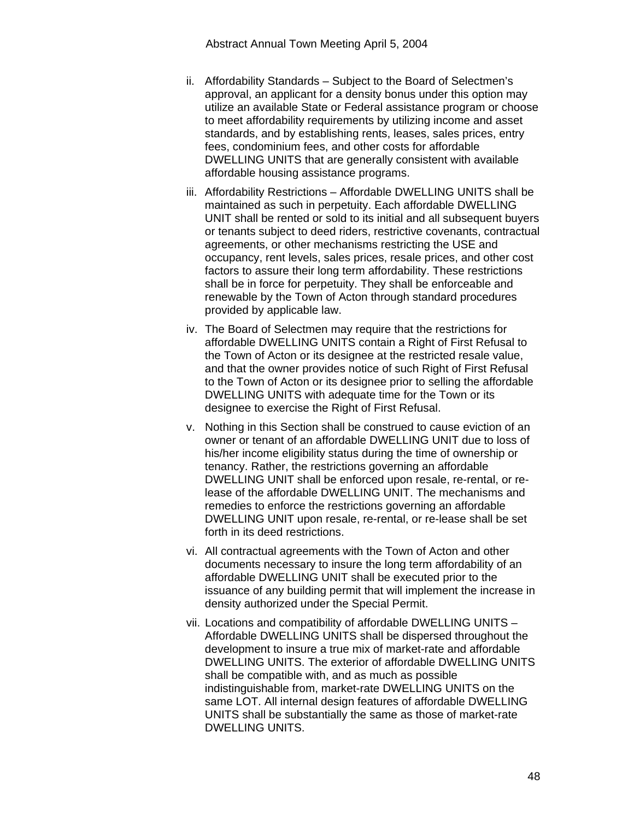- ii. Affordability Standards Subject to the Board of Selectmen's approval, an applicant for a density bonus under this option may utilize an available State or Federal assistance program or choose to meet affordability requirements by utilizing income and asset standards, and by establishing rents, leases, sales prices, entry fees, condominium fees, and other costs for affordable DWELLING UNITS that are generally consistent with available affordable housing assistance programs.
- iii. Affordability Restrictions Affordable DWELLING UNITS shall be maintained as such in perpetuity. Each affordable DWELLING UNIT shall be rented or sold to its initial and all subsequent buyers or tenants subject to deed riders, restrictive covenants, contractual agreements, or other mechanisms restricting the USE and occupancy, rent levels, sales prices, resale prices, and other cost factors to assure their long term affordability. These restrictions shall be in force for perpetuity. They shall be enforceable and renewable by the Town of Acton through standard procedures provided by applicable law.
- iv. The Board of Selectmen may require that the restrictions for affordable DWELLING UNITS contain a Right of First Refusal to the Town of Acton or its designee at the restricted resale value, and that the owner provides notice of such Right of First Refusal to the Town of Acton or its designee prior to selling the affordable DWELLING UNITS with adequate time for the Town or its designee to exercise the Right of First Refusal.
- v. Nothing in this Section shall be construed to cause eviction of an owner or tenant of an affordable DWELLING UNIT due to loss of his/her income eligibility status during the time of ownership or tenancy. Rather, the restrictions governing an affordable DWELLING UNIT shall be enforced upon resale, re-rental, or release of the affordable DWELLING UNIT. The mechanisms and remedies to enforce the restrictions governing an affordable DWELLING UNIT upon resale, re-rental, or re-lease shall be set forth in its deed restrictions.
- vi. All contractual agreements with the Town of Acton and other documents necessary to insure the long term affordability of an affordable DWELLING UNIT shall be executed prior to the issuance of any building permit that will implement the increase in density authorized under the Special Permit.
- vii. Locations and compatibility of affordable DWELLING UNITS Affordable DWELLING UNITS shall be dispersed throughout the development to insure a true mix of market-rate and affordable DWELLING UNITS. The exterior of affordable DWELLING UNITS shall be compatible with, and as much as possible indistinguishable from, market-rate DWELLING UNITS on the same LOT. All internal design features of affordable DWELLING UNITS shall be substantially the same as those of market-rate DWELLING UNITS.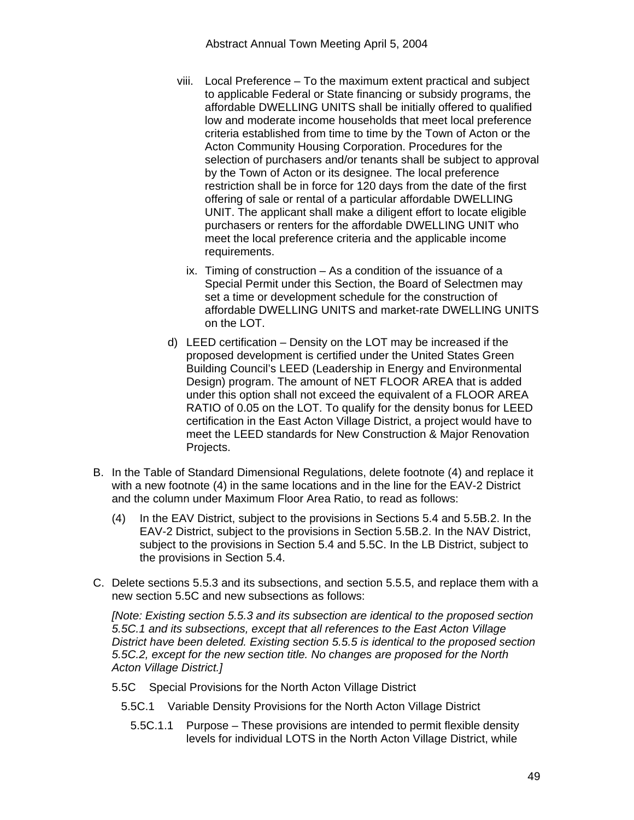- viii. Local Preference To the maximum extent practical and subject to applicable Federal or State financing or subsidy programs, the affordable DWELLING UNITS shall be initially offered to qualified low and moderate income households that meet local preference criteria established from time to time by the Town of Acton or the Acton Community Housing Corporation. Procedures for the selection of purchasers and/or tenants shall be subject to approval by the Town of Acton or its designee. The local preference restriction shall be in force for 120 days from the date of the first offering of sale or rental of a particular affordable DWELLING UNIT. The applicant shall make a diligent effort to locate eligible purchasers or renters for the affordable DWELLING UNIT who meet the local preference criteria and the applicable income requirements.
	- ix. Timing of construction As a condition of the issuance of a Special Permit under this Section, the Board of Selectmen may set a time or development schedule for the construction of affordable DWELLING UNITS and market-rate DWELLING UNITS on the LOT.
- d) LEED certification Density on the LOT may be increased if the proposed development is certified under the United States Green Building Council's LEED (Leadership in Energy and Environmental Design) program. The amount of NET FLOOR AREA that is added under this option shall not exceed the equivalent of a FLOOR AREA RATIO of 0.05 on the LOT. To qualify for the density bonus for LEED certification in the East Acton Village District, a project would have to meet the LEED standards for New Construction & Major Renovation Projects.
- B. In the Table of Standard Dimensional Regulations, delete footnote (4) and replace it with a new footnote (4) in the same locations and in the line for the EAV-2 District and the column under Maximum Floor Area Ratio, to read as follows:
	- (4) In the EAV District, subject to the provisions in Sections 5.4 and 5.5B.2. In the EAV-2 District, subject to the provisions in Section 5.5B.2. In the NAV District, subject to the provisions in Section 5.4 and 5.5C. In the LB District, subject to the provisions in Section 5.4.
- C. Delete sections 5.5.3 and its subsections, and section 5.5.5, and replace them with a new section 5.5C and new subsections as follows:

*[Note: Existing section 5.5.3 and its subsection are identical to the proposed section 5.5C.1 and its subsections, except that all references to the East Acton Village District have been deleted. Existing section 5.5.5 is identical to the proposed section 5.5C.2, except for the new section title. No changes are proposed for the North Acton Village District.]*

- 5.5C Special Provisions for the North Acton Village District
	- 5.5C.1 Variable Density Provisions for the North Acton Village District
		- 5.5C.1.1 Purpose These provisions are intended to permit flexible density levels for individual LOTS in the North Acton Village District, while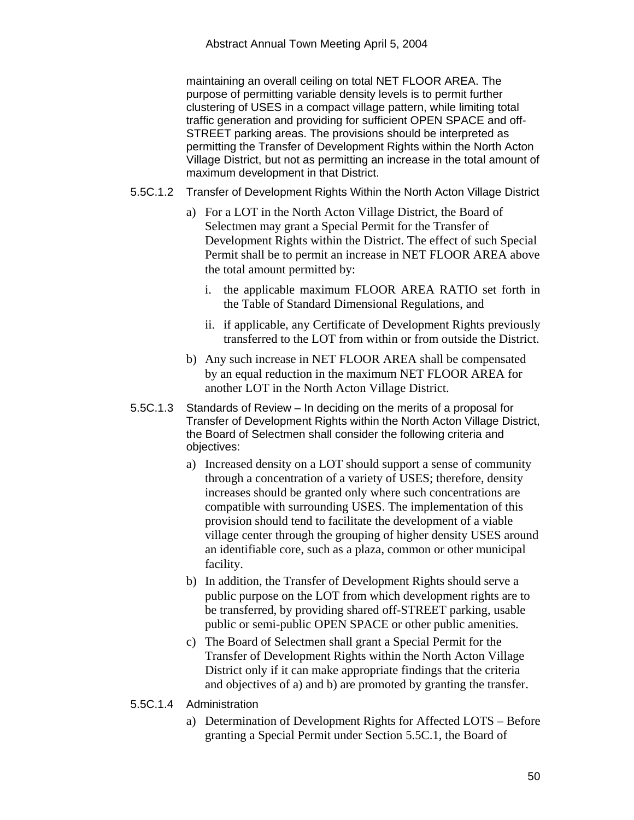maintaining an overall ceiling on total NET FLOOR AREA. The purpose of permitting variable density levels is to permit further clustering of USES in a compact village pattern, while limiting total traffic generation and providing for sufficient OPEN SPACE and off-STREET parking areas. The provisions should be interpreted as permitting the Transfer of Development Rights within the North Acton Village District, but not as permitting an increase in the total amount of maximum development in that District.

- 5.5C.1.2 Transfer of Development Rights Within the North Acton Village District
	- a) For a LOT in the North Acton Village District, the Board of Selectmen may grant a Special Permit for the Transfer of Development Rights within the District. The effect of such Special Permit shall be to permit an increase in NET FLOOR AREA above the total amount permitted by:
		- i. the applicable maximum FLOOR AREA RATIO set forth in the Table of Standard Dimensional Regulations, and
		- ii. if applicable, any Certificate of Development Rights previously transferred to the LOT from within or from outside the District.
	- b) Any such increase in NET FLOOR AREA shall be compensated by an equal reduction in the maximum NET FLOOR AREA for another LOT in the North Acton Village District.
- 5.5C.1.3 Standards of Review In deciding on the merits of a proposal for Transfer of Development Rights within the North Acton Village District, the Board of Selectmen shall consider the following criteria and objectives:
	- a) Increased density on a LOT should support a sense of community through a concentration of a variety of USES; therefore, density increases should be granted only where such concentrations are compatible with surrounding USES. The implementation of this provision should tend to facilitate the development of a viable village center through the grouping of higher density USES around an identifiable core, such as a plaza, common or other municipal facility.
	- b) In addition, the Transfer of Development Rights should serve a public purpose on the LOT from which development rights are to be transferred, by providing shared off-STREET parking, usable public or semi-public OPEN SPACE or other public amenities.
	- c) The Board of Selectmen shall grant a Special Permit for the Transfer of Development Rights within the North Acton Village District only if it can make appropriate findings that the criteria and objectives of a) and b) are promoted by granting the transfer.
- 5.5C.1.4 Administration
	- a) Determination of Development Rights for Affected LOTS Before granting a Special Permit under Section 5.5C.1, the Board of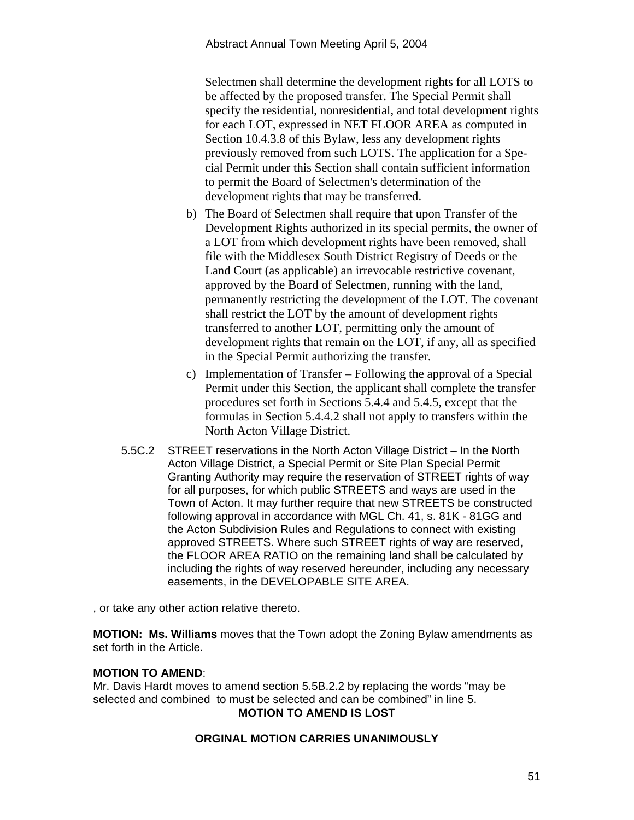Selectmen shall determine the development rights for all LOTS to be affected by the proposed transfer. The Special Permit shall specify the residential, nonresidential, and total development rights for each LOT, expressed in NET FLOOR AREA as computed in Section 10.4.3.8 of this Bylaw, less any development rights previously removed from such LOTS. The application for a Special Permit under this Section shall contain sufficient information to permit the Board of Selectmen's determination of the development rights that may be transferred.

- b) The Board of Selectmen shall require that upon Transfer of the Development Rights authorized in its special permits, the owner of a LOT from which development rights have been removed, shall file with the Middlesex South District Registry of Deeds or the Land Court (as applicable) an irrevocable restrictive covenant, approved by the Board of Selectmen, running with the land, permanently restricting the development of the LOT. The covenant shall restrict the LOT by the amount of development rights transferred to another LOT, permitting only the amount of development rights that remain on the LOT, if any, all as specified in the Special Permit authorizing the transfer.
- c) Implementation of Transfer Following the approval of a Special Permit under this Section, the applicant shall complete the transfer procedures set forth in Sections 5.4.4 and 5.4.5, except that the formulas in Section 5.4.4.2 shall not apply to transfers within the North Acton Village District.
- 5.5C.2 STREET reservations in the North Acton Village District In the North Acton Village District, a Special Permit or Site Plan Special Permit Granting Authority may require the reservation of STREET rights of way for all purposes, for which public STREETS and ways are used in the Town of Acton. It may further require that new STREETS be constructed following approval in accordance with MGL Ch. 41, s. 81K - 81GG and the Acton Subdivision Rules and Regulations to connect with existing approved STREETS. Where such STREET rights of way are reserved, the FLOOR AREA RATIO on the remaining land shall be calculated by including the rights of way reserved hereunder, including any necessary easements, in the DEVELOPABLE SITE AREA.

, or take any other action relative thereto.

**MOTION: Ms. Williams** moves that the Town adopt the Zoning Bylaw amendments as set forth in the Article.

# **MOTION TO AMEND**:

Mr. Davis Hardt moves to amend section 5.5B.2.2 by replacing the words "may be selected and combined to must be selected and can be combined" in line 5. **MOTION TO AMEND IS LOST** 

#### **ORGINAL MOTION CARRIES UNANIMOUSLY**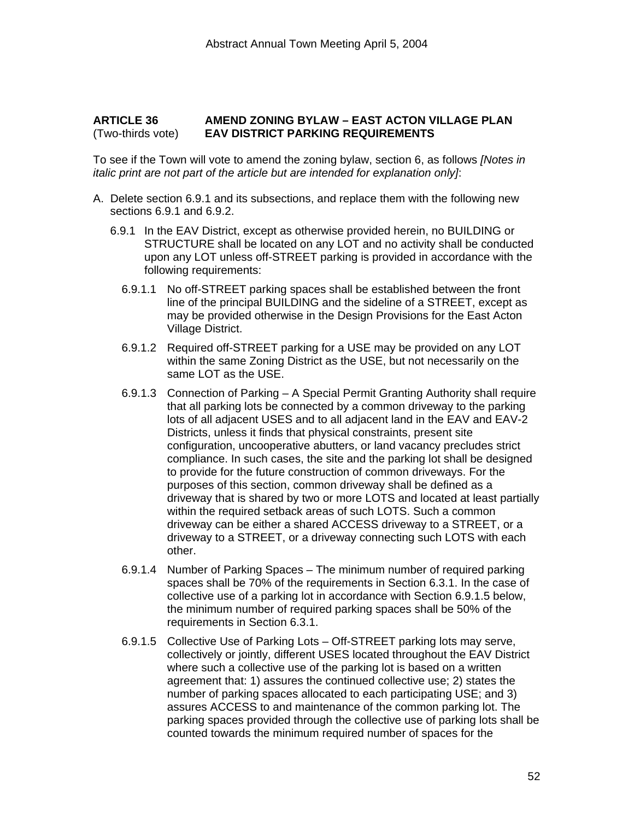#### **ARTICLE 36 AMEND ZONING BYLAW – EAST ACTON VILLAGE PLAN**  (Two-thirds vote) **EAV DISTRICT PARKING REQUIREMENTS**

To see if the Town will vote to amend the zoning bylaw, section 6, as follows *[Notes in italic print are not part of the article but are intended for explanation only]*:

- A. Delete section 6.9.1 and its subsections, and replace them with the following new sections 6.9.1 and 6.9.2.
	- 6.9.1 In the EAV District, except as otherwise provided herein, no BUILDING or STRUCTURE shall be located on any LOT and no activity shall be conducted upon any LOT unless off-STREET parking is provided in accordance with the following requirements:
		- 6.9.1.1 No off-STREET parking spaces shall be established between the front line of the principal BUILDING and the sideline of a STREET, except as may be provided otherwise in the Design Provisions for the East Acton Village District.
		- 6.9.1.2 Required off-STREET parking for a USE may be provided on any LOT within the same Zoning District as the USE, but not necessarily on the same LOT as the USE.
		- 6.9.1.3 Connection of Parking A Special Permit Granting Authority shall require that all parking lots be connected by a common driveway to the parking lots of all adjacent USES and to all adjacent land in the EAV and EAV-2 Districts, unless it finds that physical constraints, present site configuration, uncooperative abutters, or land vacancy precludes strict compliance. In such cases, the site and the parking lot shall be designed to provide for the future construction of common driveways. For the purposes of this section, common driveway shall be defined as a driveway that is shared by two or more LOTS and located at least partially within the required setback areas of such LOTS. Such a common driveway can be either a shared ACCESS driveway to a STREET, or a driveway to a STREET, or a driveway connecting such LOTS with each other.
		- 6.9.1.4 Number of Parking Spaces The minimum number of required parking spaces shall be 70% of the requirements in Section 6.3.1. In the case of collective use of a parking lot in accordance with Section 6.9.1.5 below, the minimum number of required parking spaces shall be 50% of the requirements in Section 6.3.1.
		- 6.9.1.5 Collective Use of Parking Lots Off-STREET parking lots may serve, collectively or jointly, different USES located throughout the EAV District where such a collective use of the parking lot is based on a written agreement that: 1) assures the continued collective use; 2) states the number of parking spaces allocated to each participating USE; and 3) assures ACCESS to and maintenance of the common parking lot. The parking spaces provided through the collective use of parking lots shall be counted towards the minimum required number of spaces for the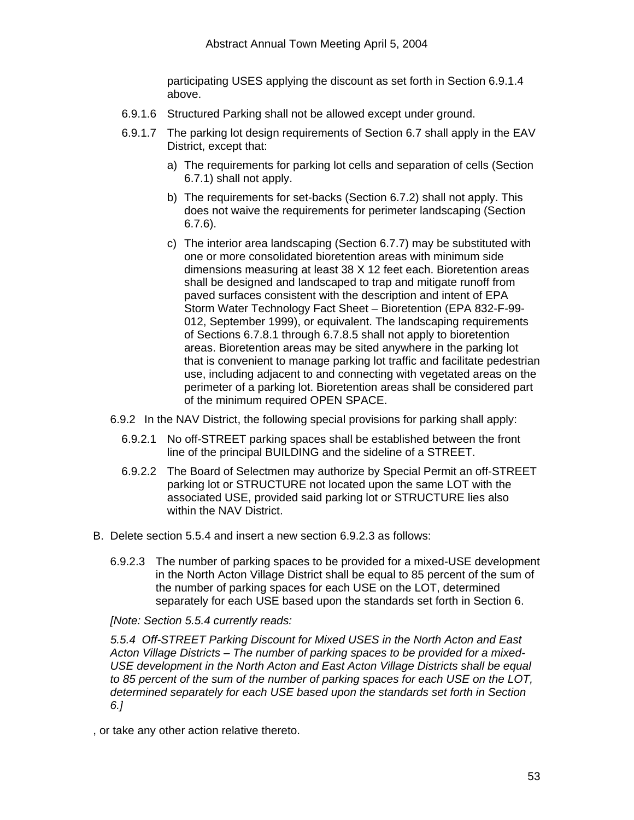participating USES applying the discount as set forth in Section 6.9.1.4 above.

- 6.9.1.6 Structured Parking shall not be allowed except under ground.
- 6.9.1.7 The parking lot design requirements of Section 6.7 shall apply in the EAV District, except that:
	- a) The requirements for parking lot cells and separation of cells (Section 6.7.1) shall not apply.
	- b) The requirements for set-backs (Section 6.7.2) shall not apply. This does not waive the requirements for perimeter landscaping (Section 6.7.6).
	- c) The interior area landscaping (Section 6.7.7) may be substituted with one or more consolidated bioretention areas with minimum side dimensions measuring at least 38 X 12 feet each. Bioretention areas shall be designed and landscaped to trap and mitigate runoff from paved surfaces consistent with the description and intent of EPA Storm Water Technology Fact Sheet – Bioretention (EPA 832-F-99- 012, September 1999), or equivalent. The landscaping requirements of Sections 6.7.8.1 through 6.7.8.5 shall not apply to bioretention areas. Bioretention areas may be sited anywhere in the parking lot that is convenient to manage parking lot traffic and facilitate pedestrian use, including adjacent to and connecting with vegetated areas on the perimeter of a parking lot. Bioretention areas shall be considered part of the minimum required OPEN SPACE.
- 6.9.2 In the NAV District, the following special provisions for parking shall apply:
	- 6.9.2.1 No off-STREET parking spaces shall be established between the front line of the principal BUILDING and the sideline of a STREET.
	- 6.9.2.2 The Board of Selectmen may authorize by Special Permit an off-STREET parking lot or STRUCTURE not located upon the same LOT with the associated USE, provided said parking lot or STRUCTURE lies also within the NAV District.
- B. Delete section 5.5.4 and insert a new section 6.9.2.3 as follows:
	- 6.9.2.3 The number of parking spaces to be provided for a mixed-USE development in the North Acton Village District shall be equal to 85 percent of the sum of the number of parking spaces for each USE on the LOT, determined separately for each USE based upon the standards set forth in Section 6.

*[Note: Section 5.5.4 currently reads:* 

*5.5.4 Off-STREET Parking Discount for Mixed USES in the North Acton and East Acton Village Districts – The number of parking spaces to be provided for a mixed-USE development in the North Acton and East Acton Village Districts shall be equal to 85 percent of the sum of the number of parking spaces for each USE on the LOT, determined separately for each USE based upon the standards set forth in Section 6.]* 

, or take any other action relative thereto.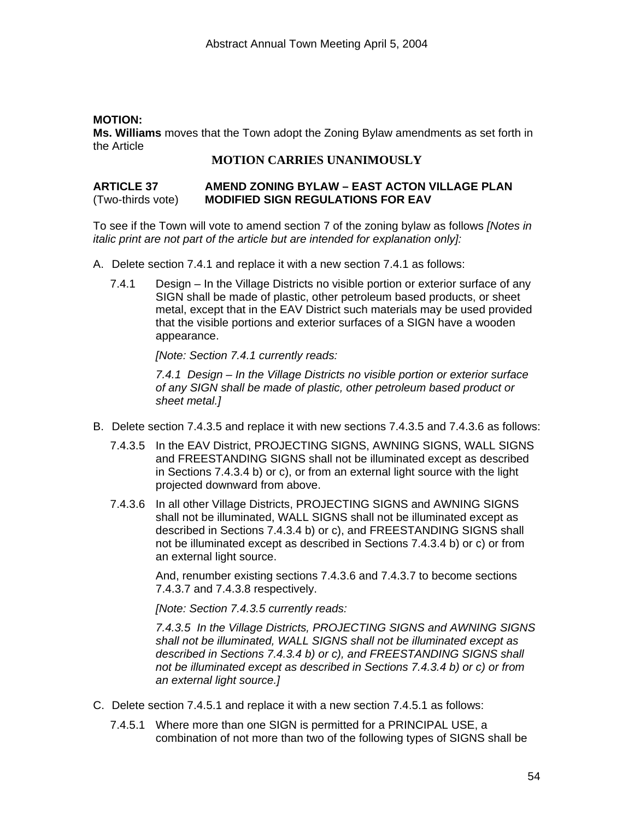## **MOTION:**

**Ms. Williams** moves that the Town adopt the Zoning Bylaw amendments as set forth in the Article

# **MOTION CARRIES UNANIMOUSLY**

#### **ARTICLE 37 AMEND ZONING BYLAW – EAST ACTON VILLAGE PLAN**  (Two-thirds vote) **MODIFIED SIGN REGULATIONS FOR EAV**

To see if the Town will vote to amend section 7 of the zoning bylaw as follows *[Notes in italic print are not part of the article but are intended for explanation only]:*

- A. Delete section 7.4.1 and replace it with a new section 7.4.1 as follows:
	- 7.4.1 Design In the Village Districts no visible portion or exterior surface of any SIGN shall be made of plastic, other petroleum based products, or sheet metal, except that in the EAV District such materials may be used provided that the visible portions and exterior surfaces of a SIGN have a wooden appearance.

*[Note: Section 7.4.1 currently reads:* 

*7.4.1 Design – In the Village Districts no visible portion or exterior surface of any SIGN shall be made of plastic, other petroleum based product or sheet metal.]* 

- B. Delete section 7.4.3.5 and replace it with new sections 7.4.3.5 and 7.4.3.6 as follows:
	- 7.4.3.5 In the EAV District, PROJECTING SIGNS, AWNING SIGNS, WALL SIGNS and FREESTANDING SIGNS shall not be illuminated except as described in Sections 7.4.3.4 b) or c), or from an external light source with the light projected downward from above.
	- 7.4.3.6 In all other Village Districts, PROJECTING SIGNS and AWNING SIGNS shall not be illuminated, WALL SIGNS shall not be illuminated except as described in Sections 7.4.3.4 b) or c), and FREESTANDING SIGNS shall not be illuminated except as described in Sections 7.4.3.4 b) or c) or from an external light source.

And, renumber existing sections 7.4.3.6 and 7.4.3.7 to become sections 7.4.3.7 and 7.4.3.8 respectively.

*[Note: Section 7.4.3.5 currently reads:* 

*7.4.3.5 In the Village Districts, PROJECTING SIGNS and AWNING SIGNS shall not be illuminated, WALL SIGNS shall not be illuminated except as described in Sections 7.4.3.4 b) or c), and FREESTANDING SIGNS shall not be illuminated except as described in Sections 7.4.3.4 b) or c) or from an external light source.]* 

- C. Delete section 7.4.5.1 and replace it with a new section 7.4.5.1 as follows:
	- 7.4.5.1 Where more than one SIGN is permitted for a PRINCIPAL USE, a combination of not more than two of the following types of SIGNS shall be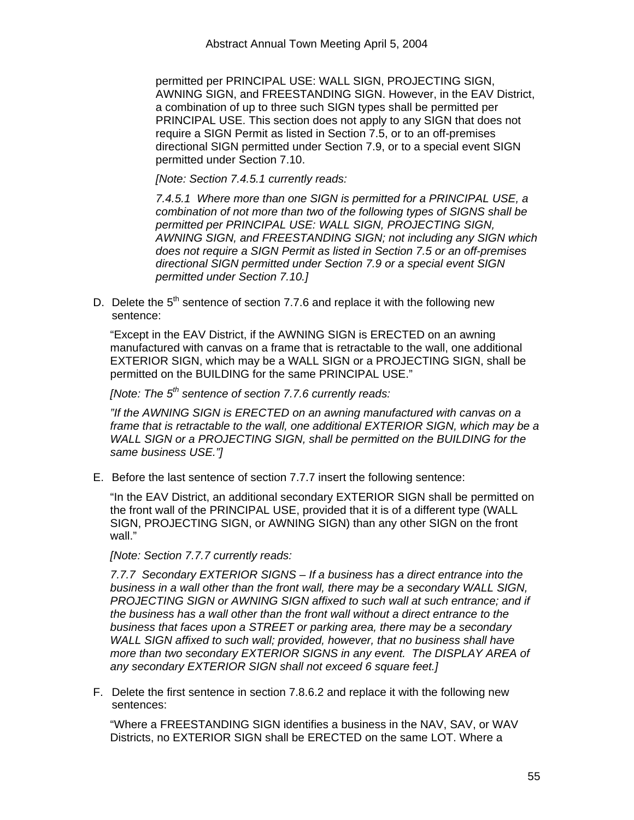permitted per PRINCIPAL USE: WALL SIGN, PROJECTING SIGN, AWNING SIGN, and FREESTANDING SIGN. However, in the EAV District, a combination of up to three such SIGN types shall be permitted per PRINCIPAL USE. This section does not apply to any SIGN that does not require a SIGN Permit as listed in Section 7.5, or to an off-premises directional SIGN permitted under Section 7.9, or to a special event SIGN permitted under Section 7.10.

*[Note: Section 7.4.5.1 currently reads:* 

*7.4.5.1 Where more than one SIGN is permitted for a PRINCIPAL USE, a combination of not more than two of the following types of SIGNS shall be permitted per PRINCIPAL USE: WALL SIGN, PROJECTING SIGN, AWNING SIGN, and FREESTANDING SIGN; not including any SIGN which does not require a SIGN Permit as listed in Section 7.5 or an off-premises directional SIGN permitted under Section 7.9 or a special event SIGN permitted under Section 7.10.]* 

D. Delete the  $5<sup>th</sup>$  sentence of section 7.7.6 and replace it with the following new sentence:

"Except in the EAV District, if the AWNING SIGN is ERECTED on an awning manufactured with canvas on a frame that is retractable to the wall, one additional EXTERIOR SIGN, which may be a WALL SIGN or a PROJECTING SIGN, shall be permitted on the BUILDING for the same PRINCIPAL USE."

*[Note: The 5th sentence of section 7.7.6 currently reads:* 

*"If the AWNING SIGN is ERECTED on an awning manufactured with canvas on a frame that is retractable to the wall, one additional EXTERIOR SIGN, which may be a WALL SIGN or a PROJECTING SIGN, shall be permitted on the BUILDING for the same business USE."]* 

E. Before the last sentence of section 7.7.7 insert the following sentence:

"In the EAV District, an additional secondary EXTERIOR SIGN shall be permitted on the front wall of the PRINCIPAL USE, provided that it is of a different type (WALL SIGN, PROJECTING SIGN, or AWNING SIGN) than any other SIGN on the front wall."

*[Note: Section 7.7.7 currently reads:* 

*7.7.7 Secondary EXTERIOR SIGNS – If a business has a direct entrance into the business in a wall other than the front wall, there may be a secondary WALL SIGN, PROJECTING SIGN or AWNING SIGN affixed to such wall at such entrance: and if the business has a wall other than the front wall without a direct entrance to the business that faces upon a STREET or parking area, there may be a secondary WALL SIGN affixed to such wall; provided, however, that no business shall have more than two secondary EXTERIOR SIGNS in any event. The DISPLAY AREA of any secondary EXTERIOR SIGN shall not exceed 6 square feet.]* 

F. Delete the first sentence in section 7.8.6.2 and replace it with the following new sentences:

"Where a FREESTANDING SIGN identifies a business in the NAV, SAV, or WAV Districts, no EXTERIOR SIGN shall be ERECTED on the same LOT. Where a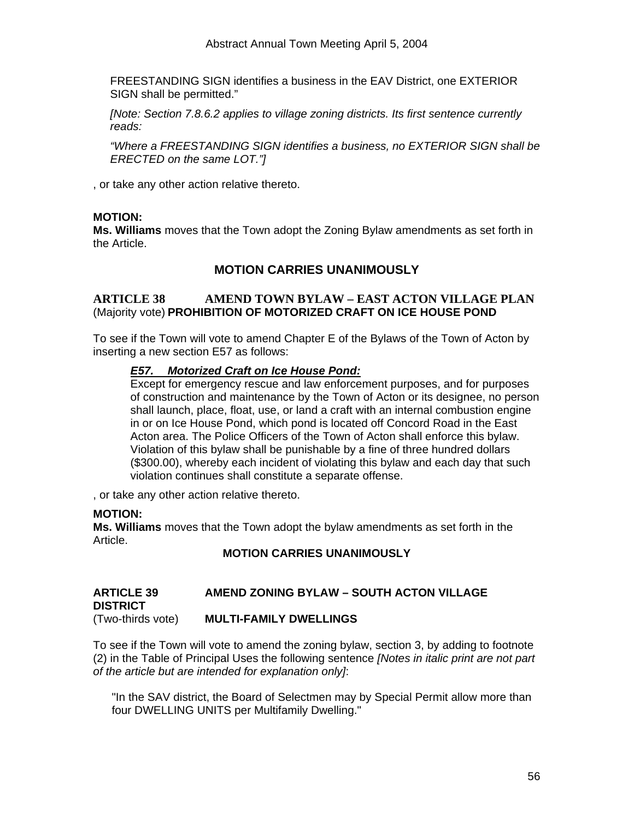FREESTANDING SIGN identifies a business in the EAV District, one EXTERIOR SIGN shall be permitted."

*[Note: Section 7.8.6.2 applies to village zoning districts. Its first sentence currently reads:* 

*"Where a FREESTANDING SIGN identifies a business, no EXTERIOR SIGN shall be ERECTED on the same LOT."]* 

, or take any other action relative thereto.

#### **MOTION:**

**Ms. Williams** moves that the Town adopt the Zoning Bylaw amendments as set forth in the Article.

# **MOTION CARRIES UNANIMOUSLY**

#### **ARTICLE 38 AMEND TOWN BYLAW – EAST ACTON VILLAGE PLAN**  (Majority vote) **PROHIBITION OF MOTORIZED CRAFT ON ICE HOUSE POND**

To see if the Town will vote to amend Chapter E of the Bylaws of the Town of Acton by inserting a new section E57 as follows:

#### *E57. Motorized Craft on Ice House Pond:*

Except for emergency rescue and law enforcement purposes, and for purposes of construction and maintenance by the Town of Acton or its designee, no person shall launch, place, float, use, or land a craft with an internal combustion engine in or on Ice House Pond, which pond is located off Concord Road in the East Acton area. The Police Officers of the Town of Acton shall enforce this bylaw. Violation of this bylaw shall be punishable by a fine of three hundred dollars (\$300.00), whereby each incident of violating this bylaw and each day that such violation continues shall constitute a separate offense.

, or take any other action relative thereto.

#### **MOTION:**

**Ms. Williams** moves that the Town adopt the bylaw amendments as set forth in the Article.

#### **MOTION CARRIES UNANIMOUSLY**

#### **ARTICLE 39 AMEND ZONING BYLAW – SOUTH ACTON VILLAGE DISTRICT**  (Two-thirds vote) **MULTI-FAMILY DWELLINGS**

To see if the Town will vote to amend the zoning bylaw, section 3, by adding to footnote (2) in the Table of Principal Uses the following sentence *[Notes in italic print are not part of the article but are intended for explanation only]*:

"In the SAV district, the Board of Selectmen may by Special Permit allow more than four DWELLING UNITS per Multifamily Dwelling."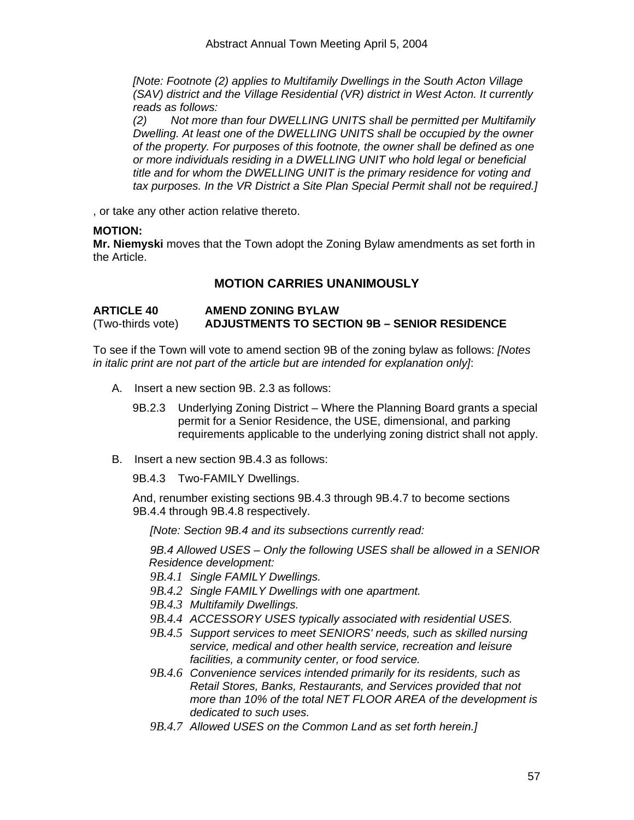*[Note: Footnote (2) applies to Multifamily Dwellings in the South Acton Village (SAV) district and the Village Residential (VR) district in West Acton. It currently reads as follows:* 

*(2) Not more than four DWELLING UNITS shall be permitted per Multifamily Dwelling. At least one of the DWELLING UNITS shall be occupied by the owner of the property. For purposes of this footnote, the owner shall be defined as one or more individuals residing in a DWELLING UNIT who hold legal or beneficial title and for whom the DWELLING UNIT is the primary residence for voting and tax purposes. In the VR District a Site Plan Special Permit shall not be required.]* 

, or take any other action relative thereto.

#### **MOTION:**

**Mr. Niemyski** moves that the Town adopt the Zoning Bylaw amendments as set forth in the Article.

# **MOTION CARRIES UNANIMOUSLY**

**ARTICLE 40 AMEND ZONING BYLAW**  (Two-thirds vote) **ADJUSTMENTS TO SECTION 9B – SENIOR RESIDENCE**

To see if the Town will vote to amend section 9B of the zoning bylaw as follows: *[Notes in italic print are not part of the article but are intended for explanation only]*:

- A. Insert a new section 9B. 2.3 as follows:
	- 9B.2.3 Underlying Zoning District Where the Planning Board grants a special permit for a Senior Residence, the USE, dimensional, and parking requirements applicable to the underlying zoning district shall not apply.
- B. Insert a new section 9B.4.3 as follows:

9B.4.3 Two-FAMILY Dwellings.

And, renumber existing sections 9B.4.3 through 9B.4.7 to become sections 9B.4.4 through 9B.4.8 respectively.

*[Note: Section 9B.4 and its subsections currently read:* 

*9B.4 Allowed USES – Only the following USES shall be allowed in a SENIOR Residence development:* 

*9B.4.1 Single FAMILY Dwellings.* 

- *9B.4.2 Single FAMILY Dwellings with one apartment.*
- *9B.4.3 Multifamily Dwellings.*
- *9B.4.4 ACCESSORY USES typically associated with residential USES.*
- *9B.4.5 Support services to meet SENIORS' needs, such as skilled nursing service, medical and other health service, recreation and leisure facilities, a community center, or food service.*
- *9B.4.6 Convenience services intended primarily for its residents, such as Retail Stores, Banks, Restaurants, and Services provided that not more than 10% of the total NET FLOOR AREA of the development is dedicated to such uses.*
- *9B.4.7 Allowed USES on the Common Land as set forth herein.]*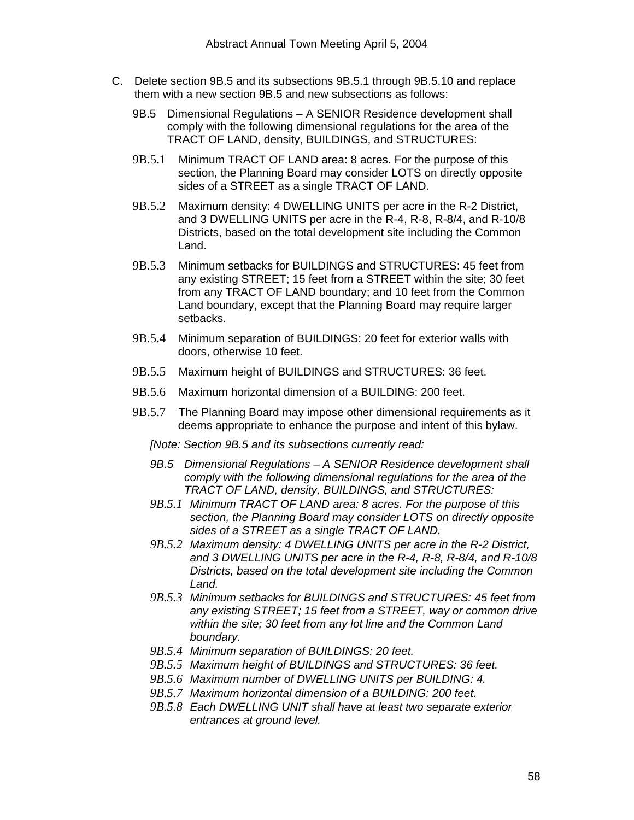- C. Delete section 9B.5 and its subsections 9B.5.1 through 9B.5.10 and replace them with a new section 9B.5 and new subsections as follows:
	- 9B.5 Dimensional Regulations A SENIOR Residence development shall comply with the following dimensional regulations for the area of the TRACT OF LAND, density, BUILDINGS, and STRUCTURES:
	- 9B.5.1 Minimum TRACT OF LAND area: 8 acres. For the purpose of this section, the Planning Board may consider LOTS on directly opposite sides of a STREET as a single TRACT OF LAND.
	- 9B.5.2 Maximum density: 4 DWELLING UNITS per acre in the R-2 District, and 3 DWELLING UNITS per acre in the R-4, R-8, R-8/4, and R-10/8 Districts, based on the total development site including the Common Land.
	- 9B.5.3 Minimum setbacks for BUILDINGS and STRUCTURES: 45 feet from any existing STREET; 15 feet from a STREET within the site; 30 feet from any TRACT OF LAND boundary; and 10 feet from the Common Land boundary, except that the Planning Board may require larger setbacks.
	- 9B.5.4 Minimum separation of BUILDINGS: 20 feet for exterior walls with doors, otherwise 10 feet.
	- 9B.5.5 Maximum height of BUILDINGS and STRUCTURES: 36 feet.
	- 9B.5.6 Maximum horizontal dimension of a BUILDING: 200 feet.
	- 9B.5.7 The Planning Board may impose other dimensional requirements as it deems appropriate to enhance the purpose and intent of this bylaw.

*[Note: Section 9B.5 and its subsections currently read:* 

- *9B.5 Dimensional Regulations A SENIOR Residence development shall comply with the following dimensional regulations for the area of the TRACT OF LAND, density, BUILDINGS, and STRUCTURES:*
- *9B.5.1 Minimum TRACT OF LAND area: 8 acres. For the purpose of this section, the Planning Board may consider LOTS on directly opposite sides of a STREET as a single TRACT OF LAND.*
- *9B.5.2 Maximum density: 4 DWELLING UNITS per acre in the R-2 District, and 3 DWELLING UNITS per acre in the R-4, R-8, R-8/4, and R-10/8 Districts, based on the total development site including the Common Land.*
- *9B.5.3 Minimum setbacks for BUILDINGS and STRUCTURES: 45 feet from any existing STREET; 15 feet from a STREET, way or common drive within the site; 30 feet from any lot line and the Common Land boundary.*
- *9B.5.4 Minimum separation of BUILDINGS: 20 feet.*
- *9B.5.5 Maximum height of BUILDINGS and STRUCTURES: 36 feet.*
- *9B.5.6 Maximum number of DWELLING UNITS per BUILDING: 4.*
- *9B.5.7 Maximum horizontal dimension of a BUILDING: 200 feet.*
- *9B.5.8 Each DWELLING UNIT shall have at least two separate exterior entrances at ground level.*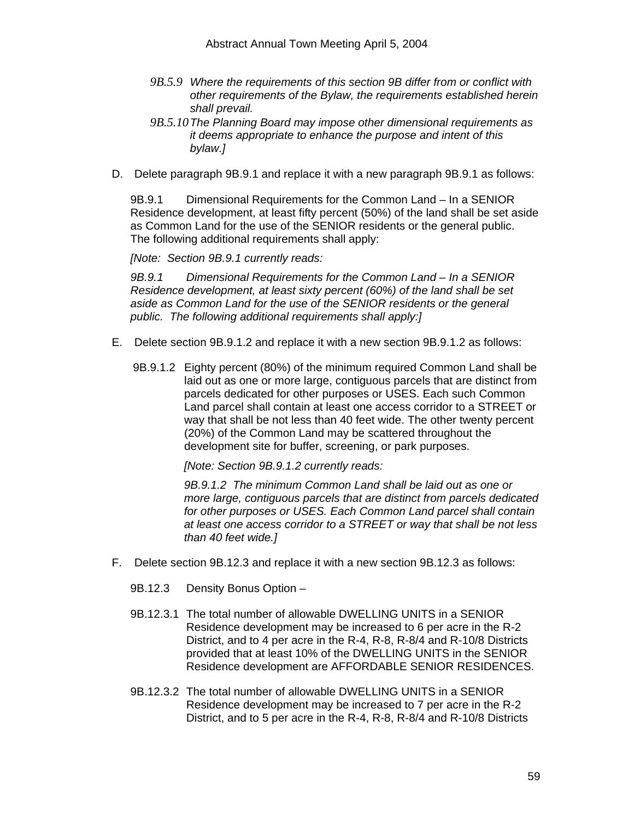- *9B.5.9 Where the requirements of this section 9B differ from or conflict with other requirements of the Bylaw, the requirements established herein shall prevail.*
- *9B.5.10The Planning Board may impose other dimensional requirements as it deems appropriate to enhance the purpose and intent of this bylaw.]*
- D. Delete paragraph 9B.9.1 and replace it with a new paragraph 9B.9.1 as follows:

9B.9.1 Dimensional Requirements for the Common Land – In a SENIOR Residence development, at least fifty percent (50%) of the land shall be set aside as Common Land for the use of the SENIOR residents or the general public. The following additional requirements shall apply:

*[Note: Section 9B.9.1 currently reads:* 

*9B.9.1 Dimensional Requirements for the Common Land – In a SENIOR Residence development, at least sixty percent (60%) of the land shall be set aside as Common Land for the use of the SENIOR residents or the general public. The following additional requirements shall apply:]* 

- E. Delete section 9B.9.1.2 and replace it with a new section 9B.9.1.2 as follows:
	- 9B.9.1.2 Eighty percent (80%) of the minimum required Common Land shall be laid out as one or more large, contiguous parcels that are distinct from parcels dedicated for other purposes or USES. Each such Common Land parcel shall contain at least one access corridor to a STREET or way that shall be not less than 40 feet wide. The other twenty percent (20%) of the Common Land may be scattered throughout the development site for buffer, screening, or park purposes.

*[Note: Section 9B.9.1.2 currently reads:* 

*9B.9.1.2 The minimum Common Land shall be laid out as one or more large, contiguous parcels that are distinct from parcels dedicated for other purposes or USES. Each Common Land parcel shall contain at least one access corridor to a STREET or way that shall be not less than 40 feet wide.]* 

- F. Delete section 9B.12.3 and replace it with a new section 9B.12.3 as follows:
	- 9B.12.3 Density Bonus Option –
	- 9B.12.3.1 The total number of allowable DWELLING UNITS in a SENIOR Residence development may be increased to 6 per acre in the R-2 District, and to 4 per acre in the R-4, R-8, R-8/4 and R-10/8 Districts provided that at least 10% of the DWELLING UNITS in the SENIOR Residence development are AFFORDABLE SENIOR RESIDENCES.
	- 9B.12.3.2 The total number of allowable DWELLING UNITS in a SENIOR Residence development may be increased to 7 per acre in the R-2 District, and to 5 per acre in the R-4, R-8, R-8/4 and R-10/8 Districts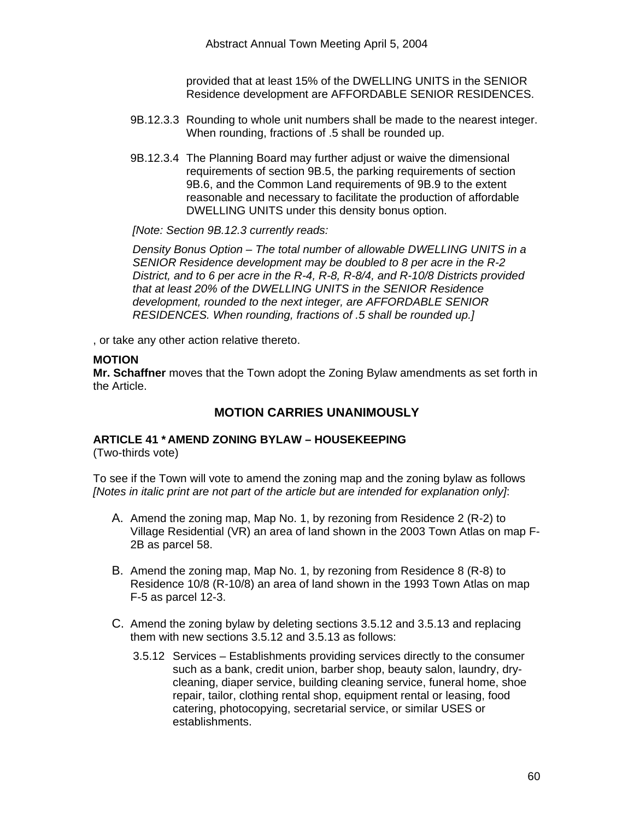Abstract Annual Town Meeting April 5, 2004

provided that at least 15% of the DWELLING UNITS in the SENIOR Residence development are AFFORDABLE SENIOR RESIDENCES.

- 9B.12.3.3 Rounding to whole unit numbers shall be made to the nearest integer. When rounding, fractions of .5 shall be rounded up.
- 9B.12.3.4 The Planning Board may further adjust or waive the dimensional requirements of section 9B.5, the parking requirements of section 9B.6, and the Common Land requirements of 9B.9 to the extent reasonable and necessary to facilitate the production of affordable DWELLING UNITS under this density bonus option.

*[Note: Section 9B.12.3 currently reads:* 

*Density Bonus Option – The total number of allowable DWELLING UNITS in a SENIOR Residence development may be doubled to 8 per acre in the R-2 District, and to 6 per acre in the R-4, R-8, R-8/4, and R-10/8 Districts provided that at least 20% of the DWELLING UNITS in the SENIOR Residence development, rounded to the next integer, are AFFORDABLE SENIOR RESIDENCES. When rounding, fractions of .5 shall be rounded up.]* 

, or take any other action relative thereto.

#### **MOTION**

**Mr. Schaffner** moves that the Town adopt the Zoning Bylaw amendments as set forth in the Article.

# **MOTION CARRIES UNANIMOUSLY**

#### **ARTICLE 41 \* AMEND ZONING BYLAW – HOUSEKEEPING**  (Two-thirds vote)

To see if the Town will vote to amend the zoning map and the zoning bylaw as follows *[Notes in italic print are not part of the article but are intended for explanation only]*:

- A. Amend the zoning map, Map No. 1, by rezoning from Residence 2 (R-2) to Village Residential (VR) an area of land shown in the 2003 Town Atlas on map F-2B as parcel 58.
- B. Amend the zoning map, Map No. 1, by rezoning from Residence 8 (R-8) to Residence 10/8 (R-10/8) an area of land shown in the 1993 Town Atlas on map F-5 as parcel 12-3.
- C. Amend the zoning bylaw by deleting sections 3.5.12 and 3.5.13 and replacing them with new sections 3.5.12 and 3.5.13 as follows:
	- 3.5.12 Services Establishments providing services directly to the consumer such as a bank, credit union, barber shop, beauty salon, laundry, drycleaning, diaper service, building cleaning service, funeral home, shoe repair, tailor, clothing rental shop, equipment rental or leasing, food catering, photocopying, secretarial service, or similar USES or establishments.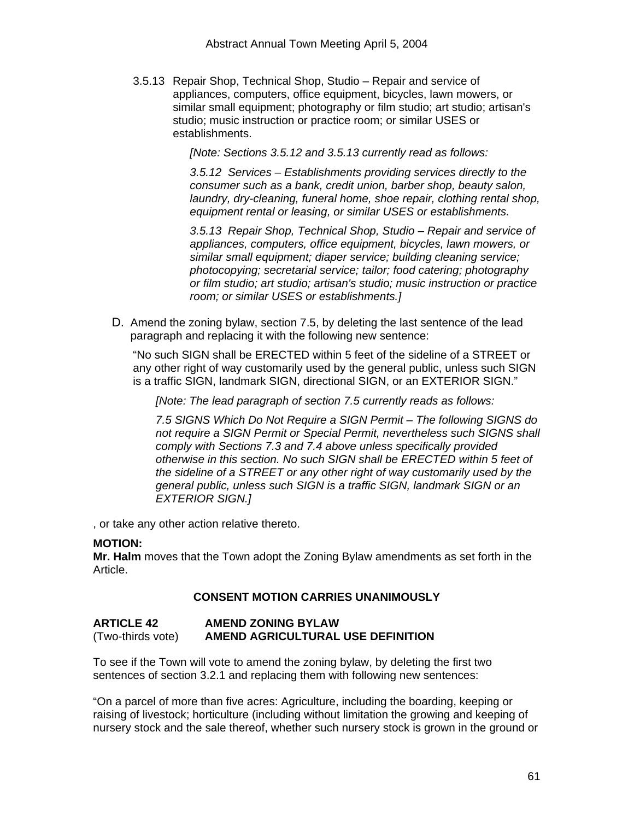3.5.13 Repair Shop, Technical Shop, Studio – Repair and service of appliances, computers, office equipment, bicycles, lawn mowers, or similar small equipment; photography or film studio; art studio; artisan's studio; music instruction or practice room; or similar USES or establishments.

*[Note: Sections 3.5.12 and 3.5.13 currently read as follows:* 

*3.5.12 Services – Establishments providing services directly to the consumer such as a bank, credit union, barber shop, beauty salon, laundry, dry-cleaning, funeral home, shoe repair, clothing rental shop, equipment rental or leasing, or similar USES or establishments.* 

*3.5.13 Repair Shop, Technical Shop, Studio – Repair and service of appliances, computers, office equipment, bicycles, lawn mowers, or similar small equipment; diaper service; building cleaning service; photocopying; secretarial service; tailor; food catering; photography or film studio; art studio; artisan's studio; music instruction or practice room; or similar USES or establishments.]* 

D. Amend the zoning bylaw, section 7.5, by deleting the last sentence of the lead paragraph and replacing it with the following new sentence:

"No such SIGN shall be ERECTED within 5 feet of the sideline of a STREET or any other right of way customarily used by the general public, unless such SIGN is a traffic SIGN, landmark SIGN, directional SIGN, or an EXTERIOR SIGN."

*[Note: The lead paragraph of section 7.5 currently reads as follows:* 

*7.5 SIGNS Which Do Not Require a SIGN Permit – The following SIGNS do not require a SIGN Permit or Special Permit, nevertheless such SIGNS shall comply with Sections 7.3 and 7.4 above unless specifically provided otherwise in this section. No such SIGN shall be ERECTED within 5 feet of the sideline of a STREET or any other right of way customarily used by the general public, unless such SIGN is a traffic SIGN, landmark SIGN or an EXTERIOR SIGN.]* 

, or take any other action relative thereto.

#### **MOTION:**

**Mr. Halm** moves that the Town adopt the Zoning Bylaw amendments as set forth in the Article.

#### **CONSENT MOTION CARRIES UNANIMOUSLY**

#### **ARTICLE 42 AMEND ZONING BYLAW**  (Two-thirds vote) **AMEND AGRICULTURAL USE DEFINITION**

To see if the Town will vote to amend the zoning bylaw, by deleting the first two sentences of section 3.2.1 and replacing them with following new sentences:

"On a parcel of more than five acres: Agriculture, including the boarding, keeping or raising of livestock; horticulture (including without limitation the growing and keeping of nursery stock and the sale thereof, whether such nursery stock is grown in the ground or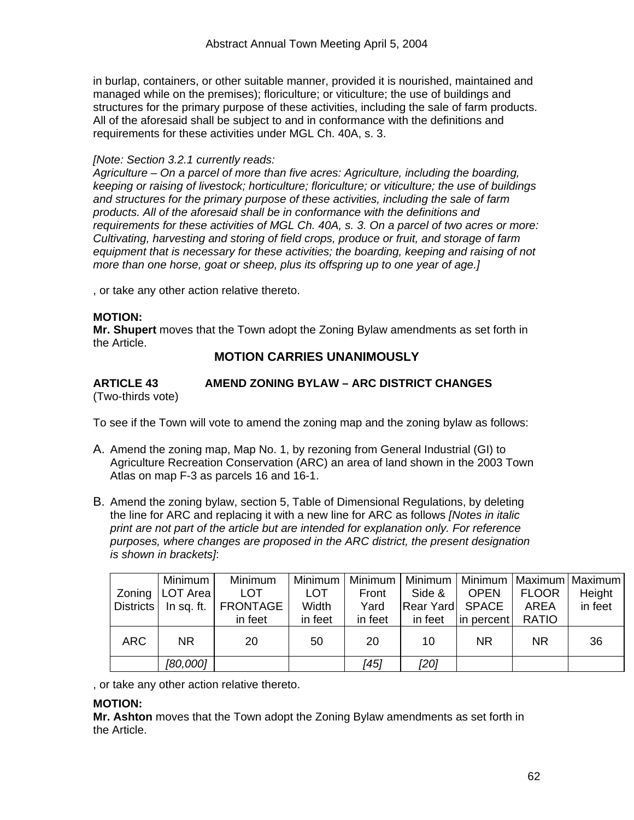in burlap, containers, or other suitable manner, provided it is nourished, maintained and managed while on the premises); floriculture; or viticulture; the use of buildings and structures for the primary purpose of these activities, including the sale of farm products. All of the aforesaid shall be subject to and in conformance with the definitions and requirements for these activities under MGL Ch. 40A, s. 3.

#### *[Note: Section 3.2.1 currently reads:*

*Agriculture – On a parcel of more than five acres: Agriculture, including the boarding, keeping or raising of livestock; horticulture; floriculture; or viticulture; the use of buildings and structures for the primary purpose of these activities, including the sale of farm products. All of the aforesaid shall be in conformance with the definitions and requirements for these activities of MGL Ch. 40A, s. 3. On a parcel of two acres or more: Cultivating, harvesting and storing of field crops, produce or fruit, and storage of farm equipment that is necessary for these activities; the boarding, keeping and raising of not more than one horse, goat or sheep, plus its offspring up to one year of age.]* 

, or take any other action relative thereto.

#### **MOTION:**

**Mr. Shupert** moves that the Town adopt the Zoning Bylaw amendments as set forth in the Article.

# **MOTION CARRIES UNANIMOUSLY**

#### **ARTICLE 43 AMEND ZONING BYLAW – ARC DISTRICT CHANGES**  (Two-thirds vote)

To see if the Town will vote to amend the zoning map and the zoning bylaw as follows:

- A. Amend the zoning map, Map No. 1, by rezoning from General Industrial (GI) to Agriculture Recreation Conservation (ARC) an area of land shown in the 2003 Town Atlas on map F-3 as parcels 16 and 16-1.
- B. Amend the zoning bylaw, section 5, Table of Dimensional Regulations, by deleting the line for ARC and replacing it with a new line for ARC as follows *[Notes in italic print are not part of the article but are intended for explanation only. For reference purposes, where changes are proposed in the ARC district, the present designation is shown in brackets]*:

|            | Minimum <sup>1</sup> | Minimum                           | Minimum    | Minimum |                  |             |              | Minimum   Minimum   Maximum   Maximum |
|------------|----------------------|-----------------------------------|------------|---------|------------------|-------------|--------------|---------------------------------------|
| Zoning     | LOT Area             | <b>LOT</b>                        | <b>LOT</b> | Front   | Side &           | <b>OPEN</b> | <b>FLOOR</b> | Height                                |
|            |                      | Districts   In sq. ft.   FRONTAGE | Width      | Yard    | Rear Yard  SPACE |             | <b>AREA</b>  | in feet                               |
|            |                      | in feet                           | in feet    | in feet | in feet          | in percent  | <b>RATIO</b> |                                       |
| <b>ARC</b> | <b>NR</b>            | 20                                | 50         | 20      | 10               | <b>NR</b>   | <b>NR</b>    | 36                                    |
|            | [80,000]             |                                   |            | [45]    | [20]             |             |              |                                       |

, or take any other action relative thereto.

#### **MOTION:**

**Mr. Ashton** moves that the Town adopt the Zoning Bylaw amendments as set forth in the Article.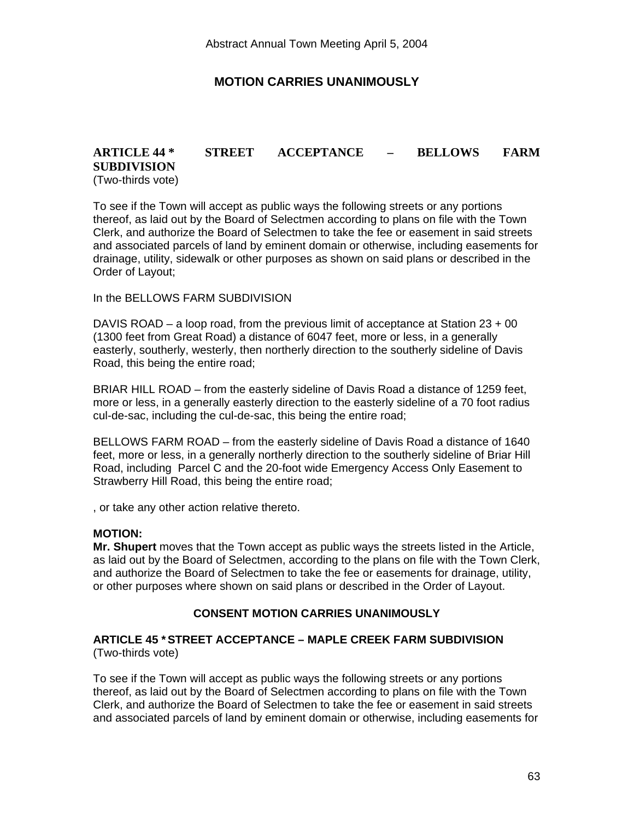# **MOTION CARRIES UNANIMOUSLY**

# **ARTICLE 44 \* STREET ACCEPTANCE – BELLOWS FARM SUBDIVISION**  (Two-thirds vote)

To see if the Town will accept as public ways the following streets or any portions thereof, as laid out by the Board of Selectmen according to plans on file with the Town Clerk, and authorize the Board of Selectmen to take the fee or easement in said streets and associated parcels of land by eminent domain or otherwise, including easements for drainage, utility, sidewalk or other purposes as shown on said plans or described in the Order of Layout;

In the BELLOWS FARM SUBDIVISION

DAVIS ROAD – a loop road, from the previous limit of acceptance at Station  $23 + 00$ (1300 feet from Great Road) a distance of 6047 feet, more or less, in a generally easterly, southerly, westerly, then northerly direction to the southerly sideline of Davis Road, this being the entire road;

BRIAR HILL ROAD – from the easterly sideline of Davis Road a distance of 1259 feet, more or less, in a generally easterly direction to the easterly sideline of a 70 foot radius cul-de-sac, including the cul-de-sac, this being the entire road;

BELLOWS FARM ROAD – from the easterly sideline of Davis Road a distance of 1640 feet, more or less, in a generally northerly direction to the southerly sideline of Briar Hill Road, including Parcel C and the 20-foot wide Emergency Access Only Easement to Strawberry Hill Road, this being the entire road;

, or take any other action relative thereto.

#### **MOTION:**

**Mr. Shupert** moves that the Town accept as public ways the streets listed in the Article, as laid out by the Board of Selectmen, according to the plans on file with the Town Clerk, and authorize the Board of Selectmen to take the fee or easements for drainage, utility, or other purposes where shown on said plans or described in the Order of Layout.

#### **CONSENT MOTION CARRIES UNANIMOUSLY**

#### **ARTICLE 45 \* STREET ACCEPTANCE – MAPLE CREEK FARM SUBDIVISION**  (Two-thirds vote)

To see if the Town will accept as public ways the following streets or any portions thereof, as laid out by the Board of Selectmen according to plans on file with the Town Clerk, and authorize the Board of Selectmen to take the fee or easement in said streets and associated parcels of land by eminent domain or otherwise, including easements for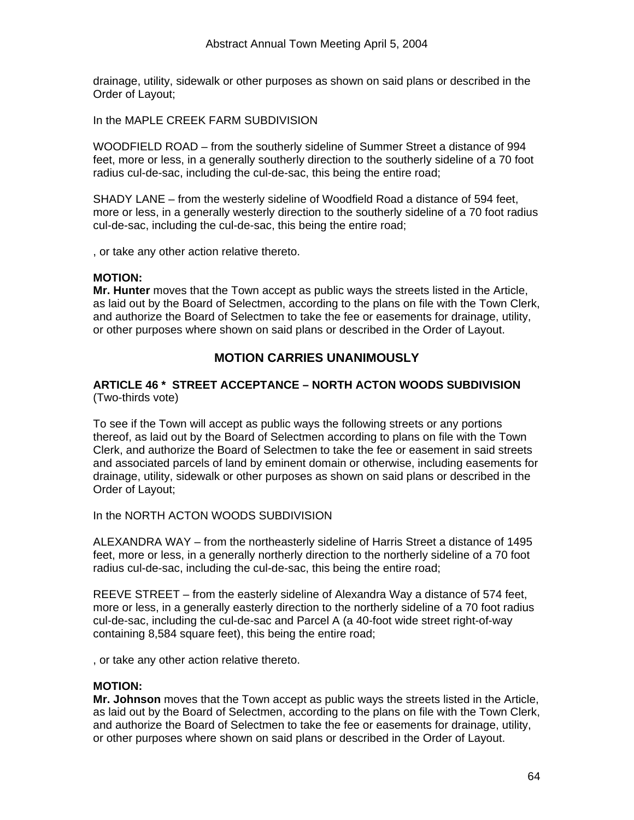drainage, utility, sidewalk or other purposes as shown on said plans or described in the Order of Layout;

In the MAPLE CREEK FARM SUBDIVISION

WOODFIELD ROAD – from the southerly sideline of Summer Street a distance of 994 feet, more or less, in a generally southerly direction to the southerly sideline of a 70 foot radius cul-de-sac, including the cul-de-sac, this being the entire road;

SHADY LANE – from the westerly sideline of Woodfield Road a distance of 594 feet, more or less, in a generally westerly direction to the southerly sideline of a 70 foot radius cul-de-sac, including the cul-de-sac, this being the entire road;

, or take any other action relative thereto.

#### **MOTION:**

**Mr. Hunter** moves that the Town accept as public ways the streets listed in the Article, as laid out by the Board of Selectmen, according to the plans on file with the Town Clerk, and authorize the Board of Selectmen to take the fee or easements for drainage, utility, or other purposes where shown on said plans or described in the Order of Layout.

# **MOTION CARRIES UNANIMOUSLY**

#### **ARTICLE 46 \* STREET ACCEPTANCE – NORTH ACTON WOODS SUBDIVISION**  (Two-thirds vote)

To see if the Town will accept as public ways the following streets or any portions thereof, as laid out by the Board of Selectmen according to plans on file with the Town Clerk, and authorize the Board of Selectmen to take the fee or easement in said streets and associated parcels of land by eminent domain or otherwise, including easements for drainage, utility, sidewalk or other purposes as shown on said plans or described in the Order of Layout;

In the NORTH ACTON WOODS SUBDIVISION

ALEXANDRA WAY – from the northeasterly sideline of Harris Street a distance of 1495 feet, more or less, in a generally northerly direction to the northerly sideline of a 70 foot radius cul-de-sac, including the cul-de-sac, this being the entire road;

REEVE STREET – from the easterly sideline of Alexandra Way a distance of 574 feet, more or less, in a generally easterly direction to the northerly sideline of a 70 foot radius cul-de-sac, including the cul-de-sac and Parcel A (a 40-foot wide street right-of-way containing 8,584 square feet), this being the entire road;

, or take any other action relative thereto.

#### **MOTION:**

**Mr. Johnson** moves that the Town accept as public ways the streets listed in the Article, as laid out by the Board of Selectmen, according to the plans on file with the Town Clerk, and authorize the Board of Selectmen to take the fee or easements for drainage, utility, or other purposes where shown on said plans or described in the Order of Layout.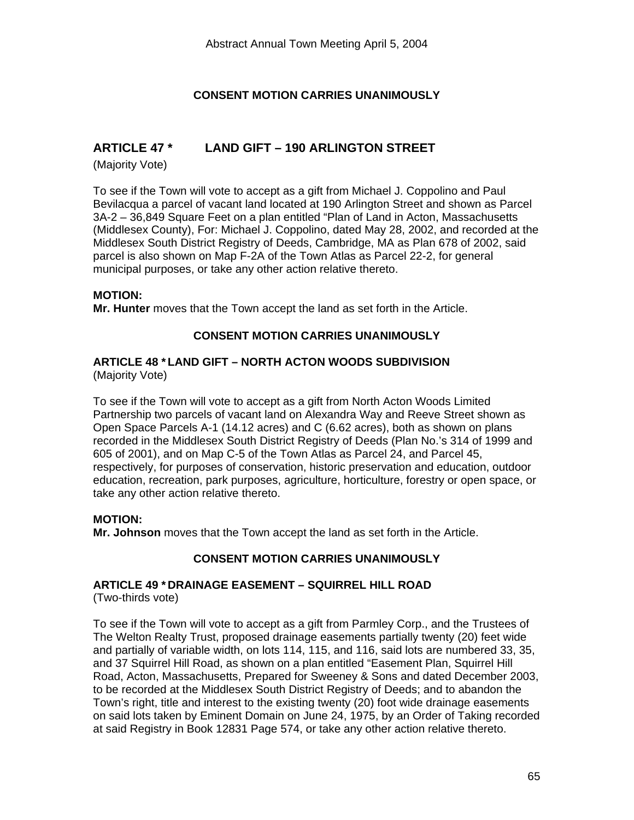# **CONSENT MOTION CARRIES UNANIMOUSLY**

# **ARTICLE 47 \* LAND GIFT – 190 ARLINGTON STREET**

(Majority Vote)

To see if the Town will vote to accept as a gift from Michael J. Coppolino and Paul Bevilacqua a parcel of vacant land located at 190 Arlington Street and shown as Parcel 3A-2 – 36,849 Square Feet on a plan entitled "Plan of Land in Acton, Massachusetts (Middlesex County), For: Michael J. Coppolino, dated May 28, 2002, and recorded at the Middlesex South District Registry of Deeds, Cambridge, MA as Plan 678 of 2002, said parcel is also shown on Map F-2A of the Town Atlas as Parcel 22-2, for general municipal purposes, or take any other action relative thereto.

#### **MOTION:**

**Mr. Hunter** moves that the Town accept the land as set forth in the Article.

# **CONSENT MOTION CARRIES UNANIMOUSLY**

#### **ARTICLE 48 \* LAND GIFT – NORTH ACTON WOODS SUBDIVISION**  (Majority Vote)

To see if the Town will vote to accept as a gift from North Acton Woods Limited Partnership two parcels of vacant land on Alexandra Way and Reeve Street shown as Open Space Parcels A-1 (14.12 acres) and C (6.62 acres), both as shown on plans recorded in the Middlesex South District Registry of Deeds (Plan No.'s 314 of 1999 and 605 of 2001), and on Map C-5 of the Town Atlas as Parcel 24, and Parcel 45, respectively, for purposes of conservation, historic preservation and education, outdoor education, recreation, park purposes, agriculture, horticulture, forestry or open space, or take any other action relative thereto.

#### **MOTION:**

**Mr. Johnson** moves that the Town accept the land as set forth in the Article.

# **CONSENT MOTION CARRIES UNANIMOUSLY**

# **ARTICLE 49 \* DRAINAGE EASEMENT – SQUIRREL HILL ROAD**

(Two-thirds vote)

To see if the Town will vote to accept as a gift from Parmley Corp., and the Trustees of The Welton Realty Trust, proposed drainage easements partially twenty (20) feet wide and partially of variable width, on lots 114, 115, and 116, said lots are numbered 33, 35, and 37 Squirrel Hill Road, as shown on a plan entitled "Easement Plan, Squirrel Hill Road, Acton, Massachusetts, Prepared for Sweeney & Sons and dated December 2003, to be recorded at the Middlesex South District Registry of Deeds; and to abandon the Town's right, title and interest to the existing twenty (20) foot wide drainage easements on said lots taken by Eminent Domain on June 24, 1975, by an Order of Taking recorded at said Registry in Book 12831 Page 574, or take any other action relative thereto.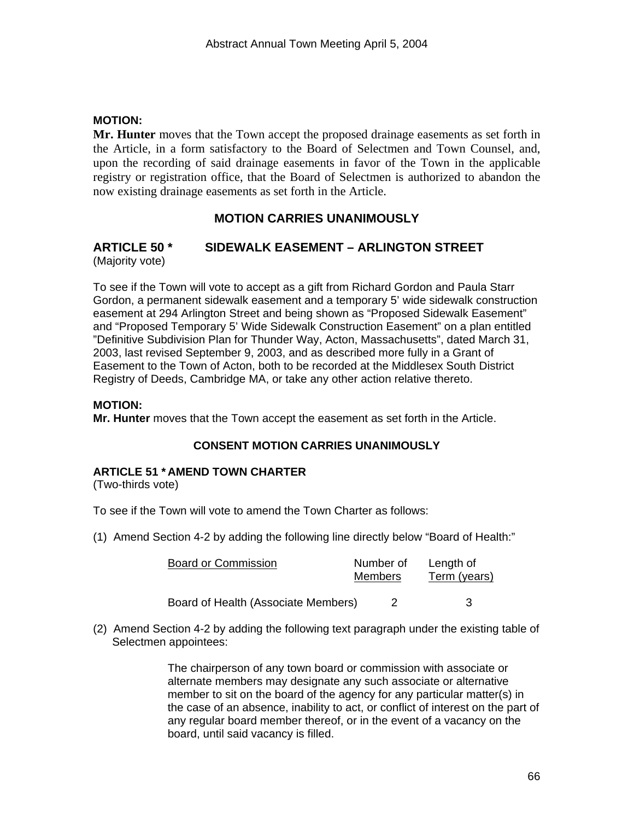## **MOTION:**

**Mr. Hunter** moves that the Town accept the proposed drainage easements as set forth in the Article, in a form satisfactory to the Board of Selectmen and Town Counsel, and, upon the recording of said drainage easements in favor of the Town in the applicable registry or registration office, that the Board of Selectmen is authorized to abandon the now existing drainage easements as set forth in the Article.

# **MOTION CARRIES UNANIMOUSLY**

#### **ARTICLE 50 \* SIDEWALK EASEMENT – ARLINGTON STREET**  (Majority vote)

To see if the Town will vote to accept as a gift from Richard Gordon and Paula Starr Gordon, a permanent sidewalk easement and a temporary 5' wide sidewalk construction easement at 294 Arlington Street and being shown as "Proposed Sidewalk Easement" and "Proposed Temporary 5' Wide Sidewalk Construction Easement" on a plan entitled "Definitive Subdivision Plan for Thunder Way, Acton, Massachusetts", dated March 31, 2003, last revised September 9, 2003, and as described more fully in a Grant of Easement to the Town of Acton, both to be recorded at the Middlesex South District Registry of Deeds, Cambridge MA, or take any other action relative thereto.

#### **MOTION:**

**Mr. Hunter** moves that the Town accept the easement as set forth in the Article.

#### **CONSENT MOTION CARRIES UNANIMOUSLY**

#### **ARTICLE 51 \* AMEND TOWN CHARTER**

(Two-thirds vote)

To see if the Town will vote to amend the Town Charter as follows:

(1) Amend Section 4-2 by adding the following line directly below "Board of Health:"

| <b>Board or Commission</b>          | Number of<br><b>Members</b> | Length of<br>Term (years) |
|-------------------------------------|-----------------------------|---------------------------|
| Board of Health (Associate Members) |                             | 3                         |

(2) Amend Section 4-2 by adding the following text paragraph under the existing table of Selectmen appointees:

> The chairperson of any town board or commission with associate or alternate members may designate any such associate or alternative member to sit on the board of the agency for any particular matter(s) in the case of an absence, inability to act, or conflict of interest on the part of any regular board member thereof, or in the event of a vacancy on the board, until said vacancy is filled.